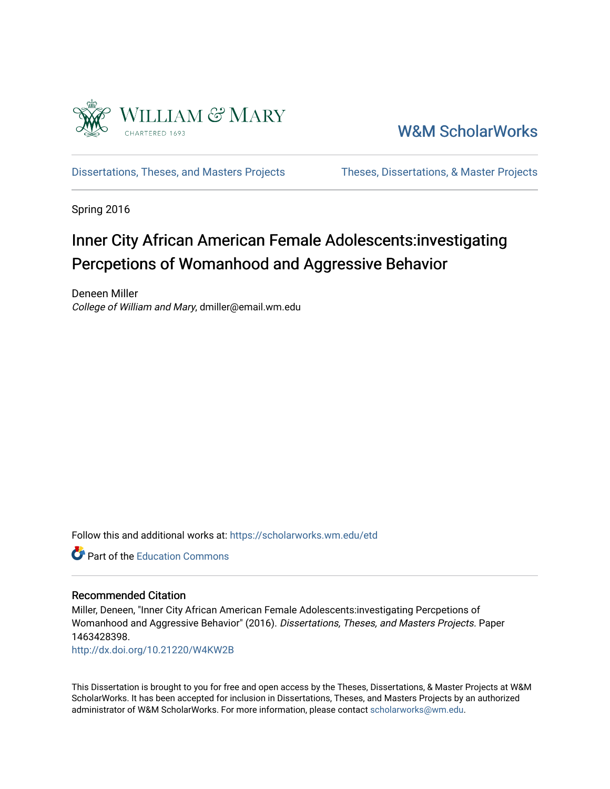

[W&M ScholarWorks](https://scholarworks.wm.edu/) 

[Dissertations, Theses, and Masters Projects](https://scholarworks.wm.edu/etd) Theses, Dissertations, & Master Projects

Spring 2016

# Inner City African American Female Adolescents:investigating Percpetions of Womanhood and Aggressive Behavior

Deneen Miller College of William and Mary, dmiller@email.wm.edu

Follow this and additional works at: [https://scholarworks.wm.edu/etd](https://scholarworks.wm.edu/etd?utm_source=scholarworks.wm.edu%2Fetd%2F1463428398&utm_medium=PDF&utm_campaign=PDFCoverPages)

Part of the [Education Commons](http://network.bepress.com/hgg/discipline/784?utm_source=scholarworks.wm.edu%2Fetd%2F1463428398&utm_medium=PDF&utm_campaign=PDFCoverPages)

#### Recommended Citation

Miller, Deneen, "Inner City African American Female Adolescents:investigating Percpetions of Womanhood and Aggressive Behavior" (2016). Dissertations, Theses, and Masters Projects. Paper 1463428398.

<http://dx.doi.org/10.21220/W4KW2B>

This Dissertation is brought to you for free and open access by the Theses, Dissertations, & Master Projects at W&M ScholarWorks. It has been accepted for inclusion in Dissertations, Theses, and Masters Projects by an authorized administrator of W&M ScholarWorks. For more information, please contact [scholarworks@wm.edu.](mailto:scholarworks@wm.edu)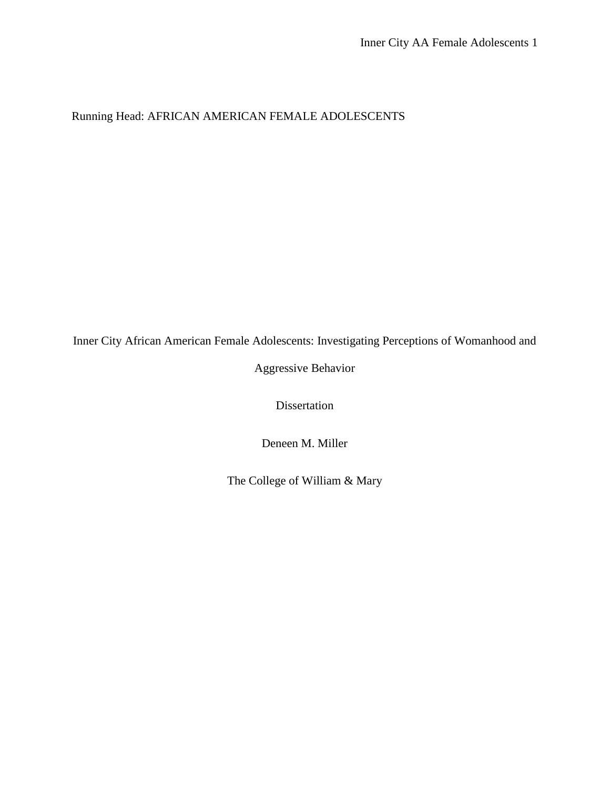Running Head: AFRICAN AMERICAN FEMALE ADOLESCENTS

Inner City African American Female Adolescents: Investigating Perceptions of Womanhood and

Aggressive Behavior

Dissertation

Deneen M. Miller

The College of William & Mary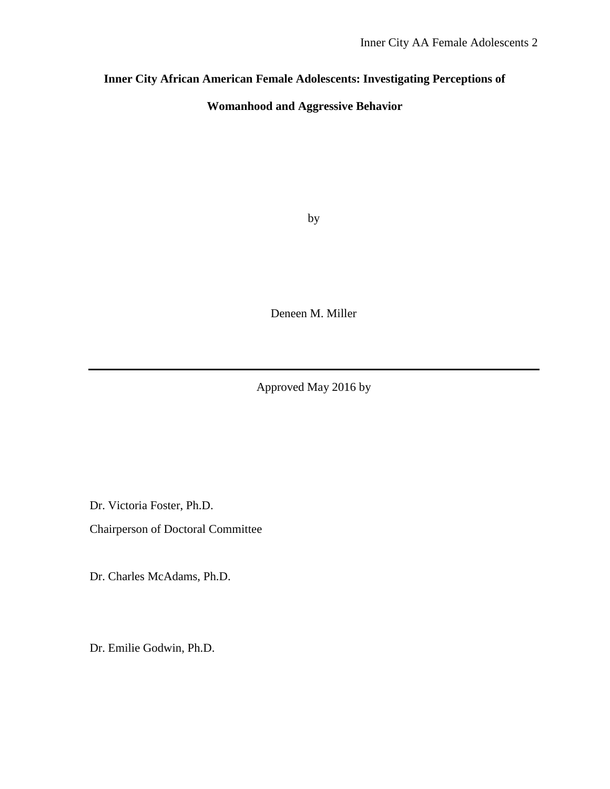# **Inner City African American Female Adolescents: Investigating Perceptions of**

## **Womanhood and Aggressive Behavior**

by

Deneen M. Miller

Approved May 2016 by

Dr. Victoria Foster, Ph.D.

Chairperson of Doctoral Committee

Dr. Charles McAdams, Ph.D.

Dr. Emilie Godwin, Ph.D.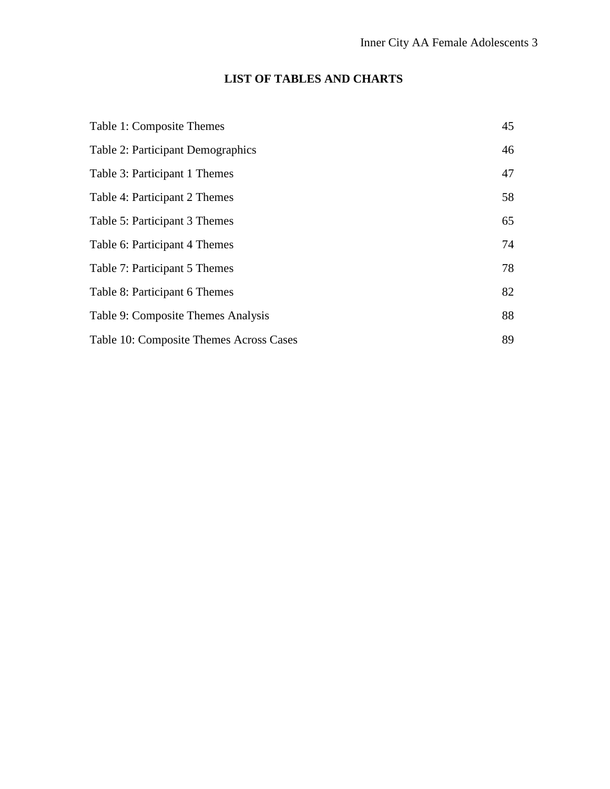# **LIST OF TABLES AND CHARTS**

| Table 1: Composite Themes                | 45 |
|------------------------------------------|----|
| <b>Table 2: Participant Demographics</b> | 46 |
| Table 3: Participant 1 Themes            | 47 |
| Table 4: Participant 2 Themes            | 58 |
| Table 5: Participant 3 Themes            | 65 |
| Table 6: Participant 4 Themes            | 74 |
| Table 7: Participant 5 Themes            | 78 |
| Table 8: Participant 6 Themes            | 82 |
| Table 9: Composite Themes Analysis       | 88 |
| Table 10: Composite Themes Across Cases  | 89 |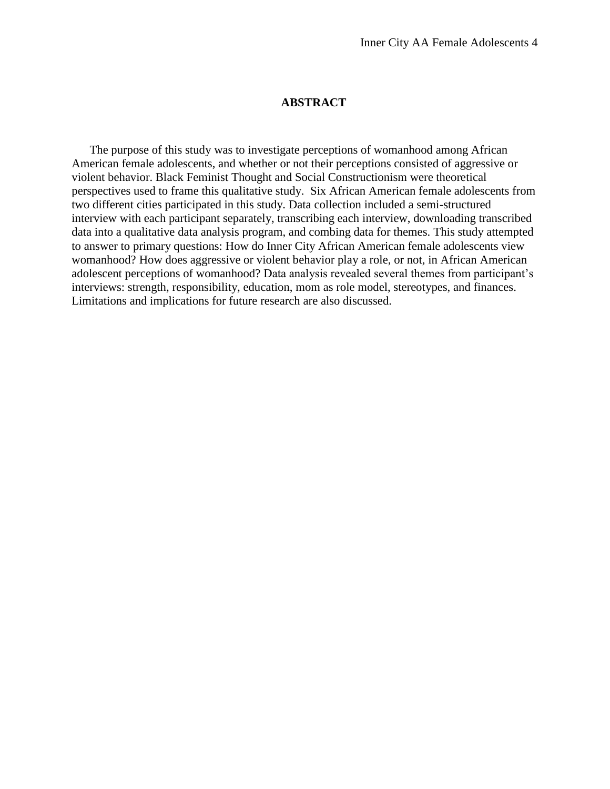#### **ABSTRACT**

The purpose of this study was to investigate perceptions of womanhood among African American female adolescents, and whether or not their perceptions consisted of aggressive or violent behavior. Black Feminist Thought and Social Constructionism were theoretical perspectives used to frame this qualitative study. Six African American female adolescents from two different cities participated in this study. Data collection included a semi-structured interview with each participant separately, transcribing each interview, downloading transcribed data into a qualitative data analysis program, and combing data for themes. This study attempted to answer to primary questions: How do Inner City African American female adolescents view womanhood? How does aggressive or violent behavior play a role, or not, in African American adolescent perceptions of womanhood? Data analysis revealed several themes from participant's interviews: strength, responsibility, education, mom as role model, stereotypes, and finances. Limitations and implications for future research are also discussed.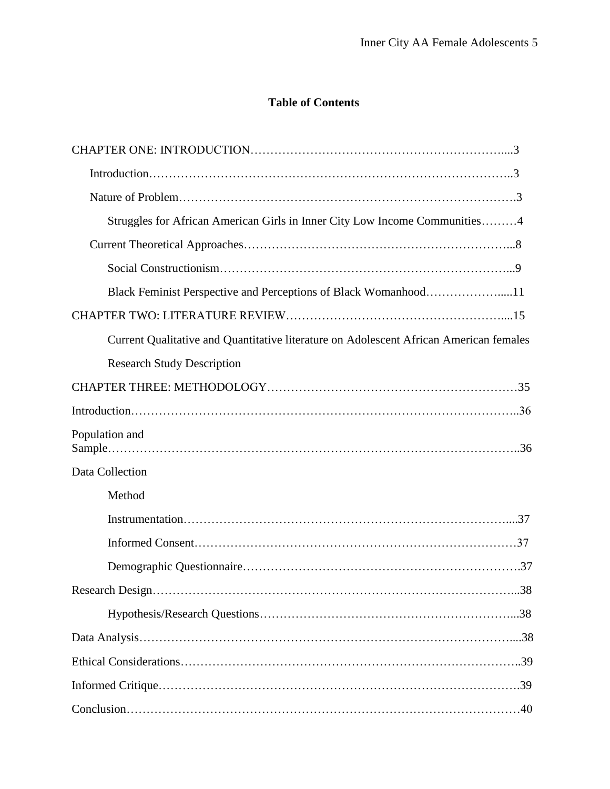# **Table of Contents**

| Struggles for African American Girls in Inner City Low Income Communities4             |
|----------------------------------------------------------------------------------------|
|                                                                                        |
|                                                                                        |
| Black Feminist Perspective and Perceptions of Black Womanhood11                        |
|                                                                                        |
| Current Qualitative and Quantitative literature on Adolescent African American females |
| <b>Research Study Description</b>                                                      |
|                                                                                        |
|                                                                                        |
| Population and                                                                         |
| Data Collection                                                                        |
| Method                                                                                 |
|                                                                                        |
|                                                                                        |
|                                                                                        |
|                                                                                        |
|                                                                                        |
|                                                                                        |
|                                                                                        |
|                                                                                        |
|                                                                                        |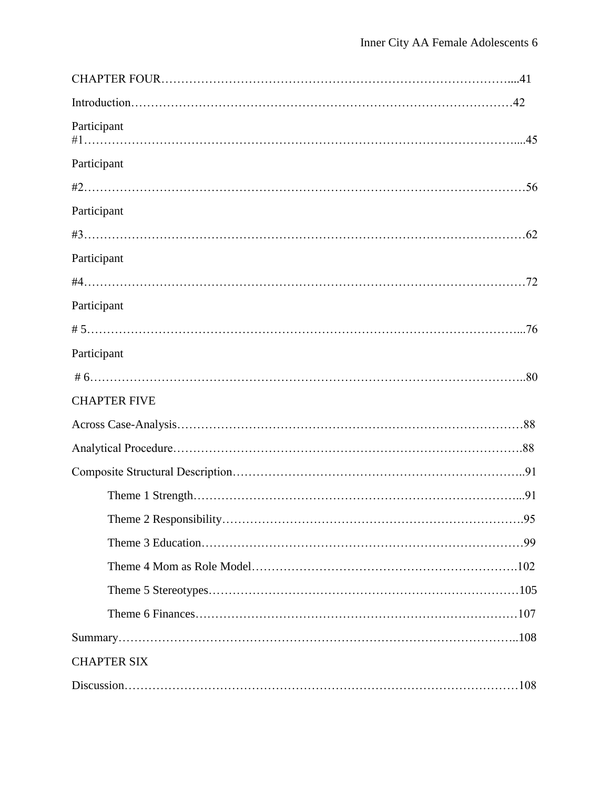| Participant         |     |
|---------------------|-----|
| Participant         |     |
|                     |     |
| Participant         |     |
|                     |     |
| Participant         |     |
|                     |     |
| Participant         |     |
|                     |     |
| Participant         |     |
|                     |     |
| <b>CHAPTER FIVE</b> |     |
|                     |     |
|                     |     |
|                     |     |
|                     |     |
|                     |     |
|                     |     |
|                     |     |
|                     |     |
|                     |     |
|                     |     |
| <b>CHAPTER SIX</b>  |     |
|                     | 108 |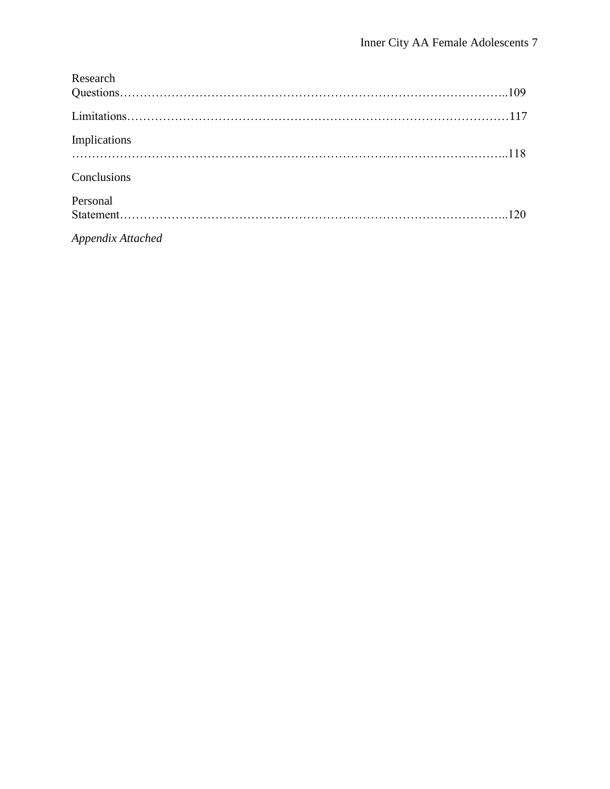| Research          |  |
|-------------------|--|
|                   |  |
|                   |  |
| Implications      |  |
| Conclusions       |  |
| Personal          |  |
|                   |  |
| Appendix Attached |  |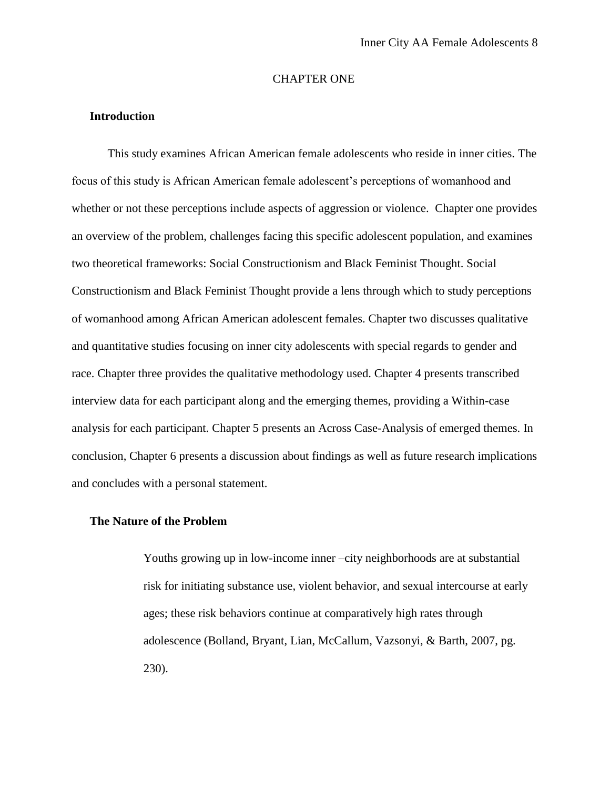#### CHAPTER ONE

### **Introduction**

This study examines African American female adolescents who reside in inner cities. The focus of this study is African American female adolescent's perceptions of womanhood and whether or not these perceptions include aspects of aggression or violence. Chapter one provides an overview of the problem, challenges facing this specific adolescent population, and examines two theoretical frameworks: Social Constructionism and Black Feminist Thought. Social Constructionism and Black Feminist Thought provide a lens through which to study perceptions of womanhood among African American adolescent females. Chapter two discusses qualitative and quantitative studies focusing on inner city adolescents with special regards to gender and race. Chapter three provides the qualitative methodology used. Chapter 4 presents transcribed interview data for each participant along and the emerging themes, providing a Within-case analysis for each participant. Chapter 5 presents an Across Case-Analysis of emerged themes. In conclusion, Chapter 6 presents a discussion about findings as well as future research implications and concludes with a personal statement.

### **The Nature of the Problem**

Youths growing up in low-income inner –city neighborhoods are at substantial risk for initiating substance use, violent behavior, and sexual intercourse at early ages; these risk behaviors continue at comparatively high rates through adolescence (Bolland, Bryant, Lian, McCallum, Vazsonyi, & Barth, 2007, pg. 230).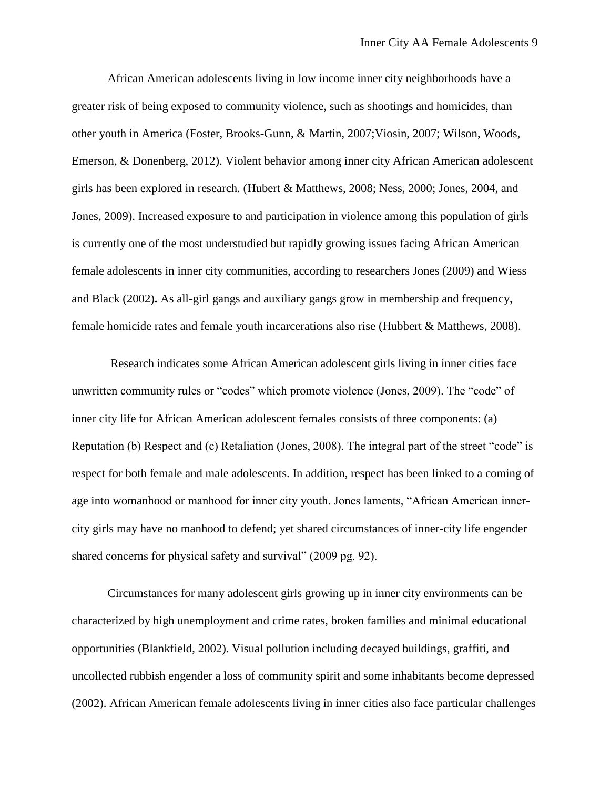African American adolescents living in low income inner city neighborhoods have a greater risk of being exposed to community violence, such as shootings and homicides, than other youth in America (Foster, Brooks-Gunn, & Martin, 2007;Viosin, 2007; Wilson, Woods, Emerson, & Donenberg, 2012). Violent behavior among inner city African American adolescent girls has been explored in research. (Hubert & Matthews, 2008; Ness, 2000; Jones, 2004, and Jones, 2009). Increased exposure to and participation in violence among this population of girls is currently one of the most understudied but rapidly growing issues facing African American female adolescents in inner city communities, according to researchers Jones (2009) and Wiess and Black (2002)**.** As all-girl gangs and auxiliary gangs grow in membership and frequency, female homicide rates and female youth incarcerations also rise (Hubbert & Matthews, 2008).

Research indicates some African American adolescent girls living in inner cities face unwritten community rules or "codes" which promote violence (Jones, 2009). The "code" of inner city life for African American adolescent females consists of three components: (a) Reputation (b) Respect and (c) Retaliation (Jones, 2008). The integral part of the street "code" is respect for both female and male adolescents. In addition, respect has been linked to a coming of age into womanhood or manhood for inner city youth. Jones laments, "African American innercity girls may have no manhood to defend; yet shared circumstances of inner-city life engender shared concerns for physical safety and survival" (2009 pg. 92).

Circumstances for many adolescent girls growing up in inner city environments can be characterized by high unemployment and crime rates, broken families and minimal educational opportunities (Blankfield, 2002). Visual pollution including decayed buildings, graffiti, and uncollected rubbish engender a loss of community spirit and some inhabitants become depressed (2002). African American female adolescents living in inner cities also face particular challenges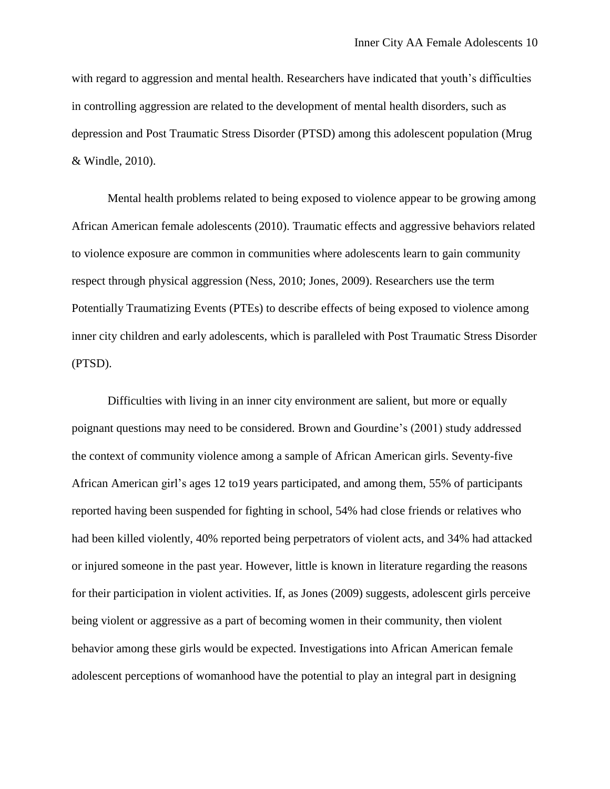with regard to aggression and mental health. Researchers have indicated that youth's difficulties in controlling aggression are related to the development of mental health disorders, such as depression and Post Traumatic Stress Disorder (PTSD) among this adolescent population (Mrug & Windle, 2010).

Mental health problems related to being exposed to violence appear to be growing among African American female adolescents (2010). Traumatic effects and aggressive behaviors related to violence exposure are common in communities where adolescents learn to gain community respect through physical aggression (Ness, 2010; Jones, 2009). Researchers use the term Potentially Traumatizing Events (PTEs) to describe effects of being exposed to violence among inner city children and early adolescents, which is paralleled with Post Traumatic Stress Disorder (PTSD).

Difficulties with living in an inner city environment are salient, but more or equally poignant questions may need to be considered. Brown and Gourdine's (2001) study addressed the context of community violence among a sample of African American girls. Seventy-five African American girl's ages 12 to19 years participated, and among them, 55% of participants reported having been suspended for fighting in school, 54% had close friends or relatives who had been killed violently, 40% reported being perpetrators of violent acts, and 34% had attacked or injured someone in the past year. However, little is known in literature regarding the reasons for their participation in violent activities. If, as Jones (2009) suggests, adolescent girls perceive being violent or aggressive as a part of becoming women in their community, then violent behavior among these girls would be expected. Investigations into African American female adolescent perceptions of womanhood have the potential to play an integral part in designing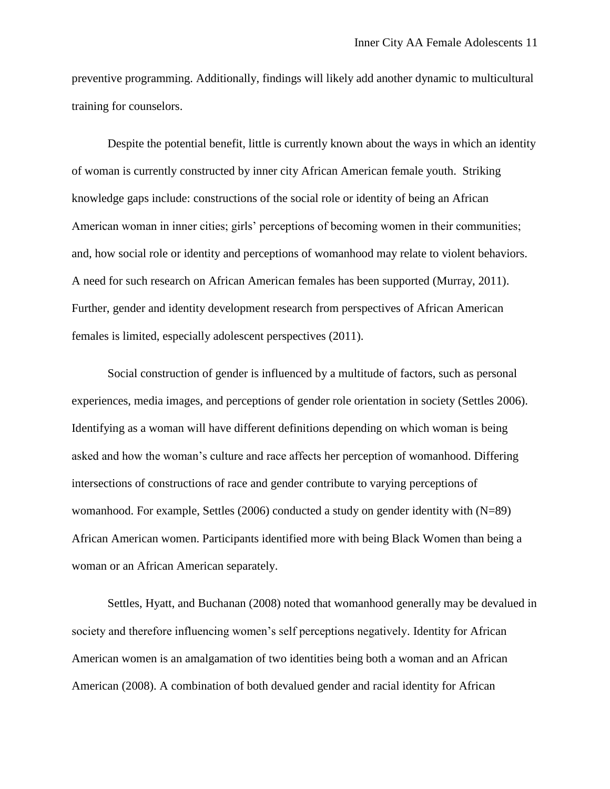preventive programming. Additionally, findings will likely add another dynamic to multicultural training for counselors.

Despite the potential benefit, little is currently known about the ways in which an identity of woman is currently constructed by inner city African American female youth. Striking knowledge gaps include: constructions of the social role or identity of being an African American woman in inner cities; girls' perceptions of becoming women in their communities; and, how social role or identity and perceptions of womanhood may relate to violent behaviors. A need for such research on African American females has been supported (Murray, 2011). Further, gender and identity development research from perspectives of African American females is limited, especially adolescent perspectives (2011).

Social construction of gender is influenced by a multitude of factors, such as personal experiences, media images, and perceptions of gender role orientation in society (Settles 2006). Identifying as a woman will have different definitions depending on which woman is being asked and how the woman's culture and race affects her perception of womanhood. Differing intersections of constructions of race and gender contribute to varying perceptions of womanhood. For example, Settles (2006) conducted a study on gender identity with (N=89) African American women. Participants identified more with being Black Women than being a woman or an African American separately.

Settles, Hyatt, and Buchanan (2008) noted that womanhood generally may be devalued in society and therefore influencing women's self perceptions negatively. Identity for African American women is an amalgamation of two identities being both a woman and an African American (2008). A combination of both devalued gender and racial identity for African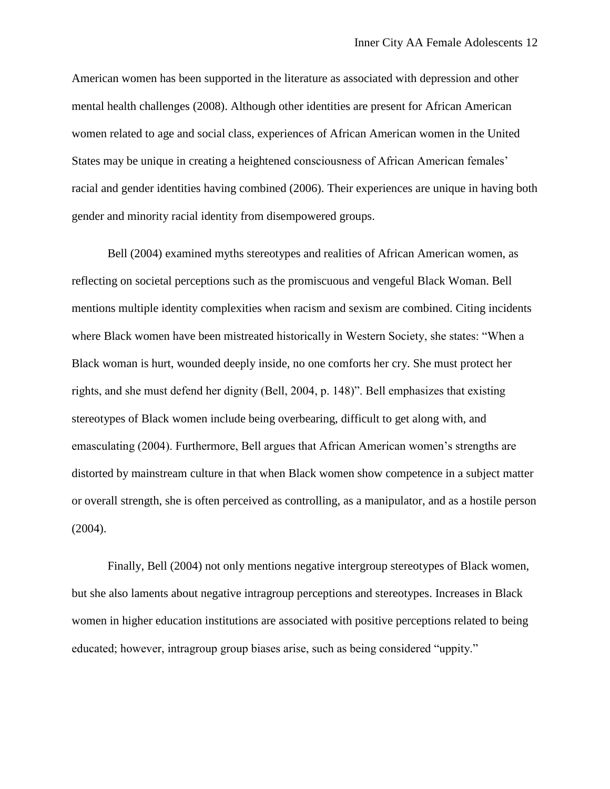American women has been supported in the literature as associated with depression and other mental health challenges (2008). Although other identities are present for African American women related to age and social class, experiences of African American women in the United States may be unique in creating a heightened consciousness of African American females' racial and gender identities having combined (2006). Their experiences are unique in having both gender and minority racial identity from disempowered groups.

Bell (2004) examined myths stereotypes and realities of African American women, as reflecting on societal perceptions such as the promiscuous and vengeful Black Woman. Bell mentions multiple identity complexities when racism and sexism are combined. Citing incidents where Black women have been mistreated historically in Western Society, she states: "When a Black woman is hurt, wounded deeply inside, no one comforts her cry. She must protect her rights, and she must defend her dignity (Bell, 2004, p. 148)". Bell emphasizes that existing stereotypes of Black women include being overbearing, difficult to get along with, and emasculating (2004). Furthermore, Bell argues that African American women's strengths are distorted by mainstream culture in that when Black women show competence in a subject matter or overall strength, she is often perceived as controlling, as a manipulator, and as a hostile person (2004).

Finally, Bell (2004) not only mentions negative intergroup stereotypes of Black women, but she also laments about negative intragroup perceptions and stereotypes. Increases in Black women in higher education institutions are associated with positive perceptions related to being educated; however, intragroup group biases arise, such as being considered "uppity."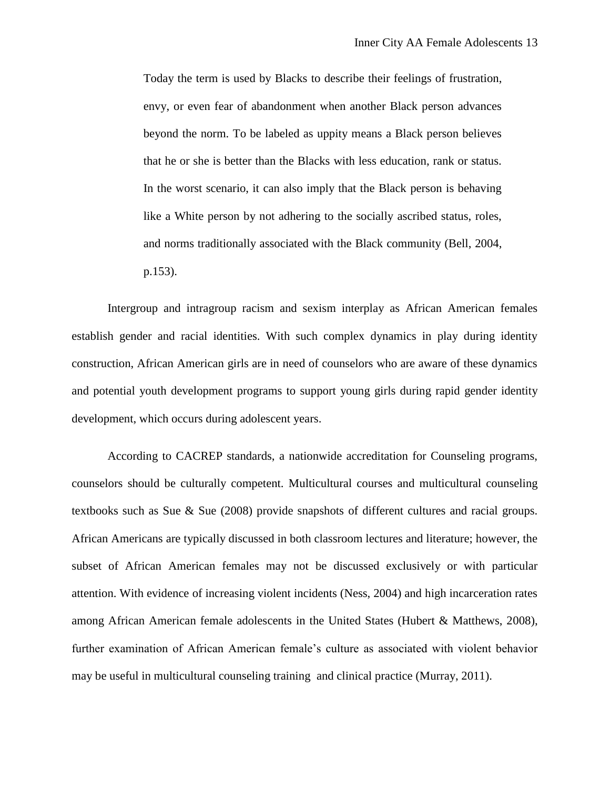Today the term is used by Blacks to describe their feelings of frustration, envy, or even fear of abandonment when another Black person advances beyond the norm. To be labeled as uppity means a Black person believes that he or she is better than the Blacks with less education, rank or status. In the worst scenario, it can also imply that the Black person is behaving like a White person by not adhering to the socially ascribed status, roles, and norms traditionally associated with the Black community (Bell, 2004, p.153).

Intergroup and intragroup racism and sexism interplay as African American females establish gender and racial identities. With such complex dynamics in play during identity construction, African American girls are in need of counselors who are aware of these dynamics and potential youth development programs to support young girls during rapid gender identity development, which occurs during adolescent years.

According to CACREP standards, a nationwide accreditation for Counseling programs, counselors should be culturally competent. Multicultural courses and multicultural counseling textbooks such as Sue & Sue (2008) provide snapshots of different cultures and racial groups. African Americans are typically discussed in both classroom lectures and literature; however, the subset of African American females may not be discussed exclusively or with particular attention. With evidence of increasing violent incidents (Ness, 2004) and high incarceration rates among African American female adolescents in the United States (Hubert & Matthews, 2008), further examination of African American female's culture as associated with violent behavior may be useful in multicultural counseling training and clinical practice (Murray, 2011).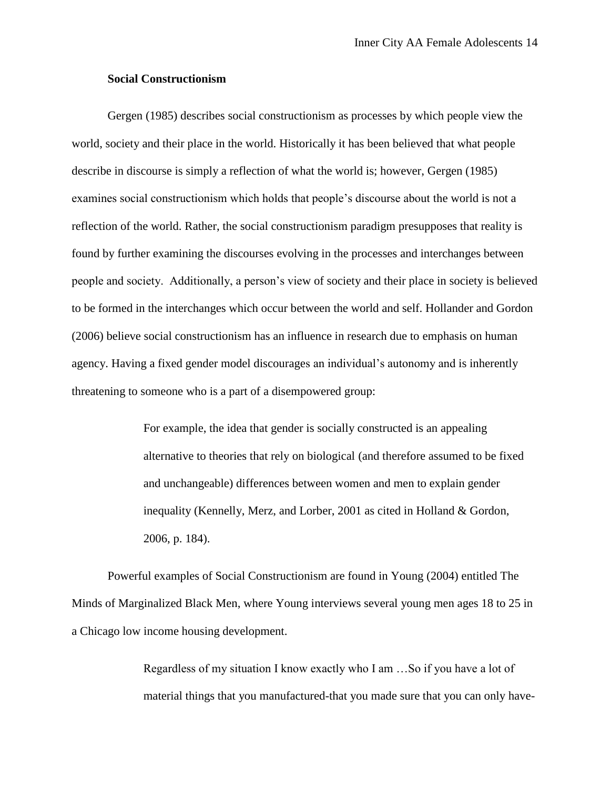### **Social Constructionism**

Gergen (1985) describes social constructionism as processes by which people view the world, society and their place in the world. Historically it has been believed that what people describe in discourse is simply a reflection of what the world is; however, Gergen (1985) examines social constructionism which holds that people's discourse about the world is not a reflection of the world. Rather, the social constructionism paradigm presupposes that reality is found by further examining the discourses evolving in the processes and interchanges between people and society. Additionally, a person's view of society and their place in society is believed to be formed in the interchanges which occur between the world and self. Hollander and Gordon (2006) believe social constructionism has an influence in research due to emphasis on human agency. Having a fixed gender model discourages an individual's autonomy and is inherently threatening to someone who is a part of a disempowered group:

> For example, the idea that gender is socially constructed is an appealing alternative to theories that rely on biological (and therefore assumed to be fixed and unchangeable) differences between women and men to explain gender inequality (Kennelly, Merz, and Lorber, 2001 as cited in Holland & Gordon, 2006, p. 184).

Powerful examples of Social Constructionism are found in Young (2004) entitled The Minds of Marginalized Black Men, where Young interviews several young men ages 18 to 25 in a Chicago low income housing development.

> Regardless of my situation I know exactly who I am …So if you have a lot of material things that you manufactured-that you made sure that you can only have-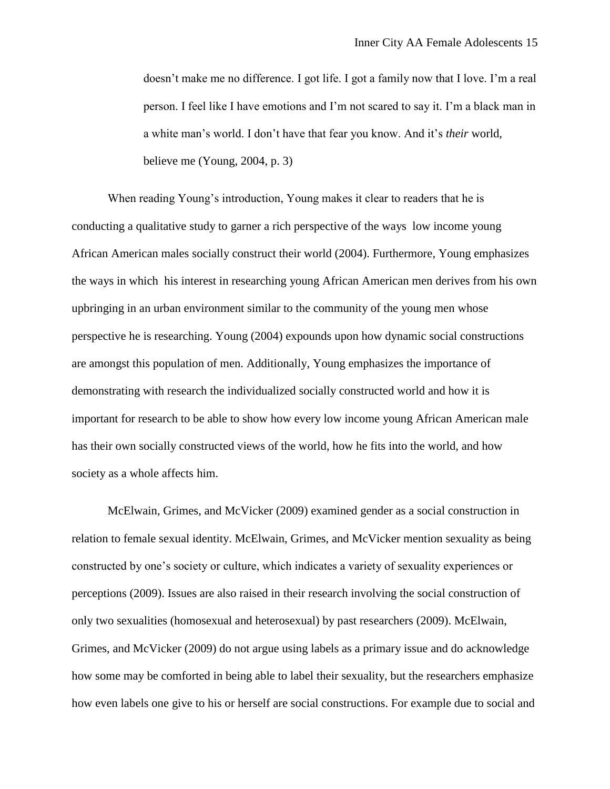doesn't make me no difference. I got life. I got a family now that I love. I'm a real person. I feel like I have emotions and I'm not scared to say it. I'm a black man in a white man's world. I don't have that fear you know. And it's *their* world, believe me (Young, 2004, p. 3)

When reading Young's introduction, Young makes it clear to readers that he is conducting a qualitative study to garner a rich perspective of the ways low income young African American males socially construct their world (2004). Furthermore, Young emphasizes the ways in which his interest in researching young African American men derives from his own upbringing in an urban environment similar to the community of the young men whose perspective he is researching. Young (2004) expounds upon how dynamic social constructions are amongst this population of men. Additionally, Young emphasizes the importance of demonstrating with research the individualized socially constructed world and how it is important for research to be able to show how every low income young African American male has their own socially constructed views of the world, how he fits into the world, and how society as a whole affects him.

McElwain, Grimes, and McVicker (2009) examined gender as a social construction in relation to female sexual identity. McElwain, Grimes, and McVicker mention sexuality as being constructed by one's society or culture, which indicates a variety of sexuality experiences or perceptions (2009). Issues are also raised in their research involving the social construction of only two sexualities (homosexual and heterosexual) by past researchers (2009). McElwain, Grimes, and McVicker (2009) do not argue using labels as a primary issue and do acknowledge how some may be comforted in being able to label their sexuality, but the researchers emphasize how even labels one give to his or herself are social constructions. For example due to social and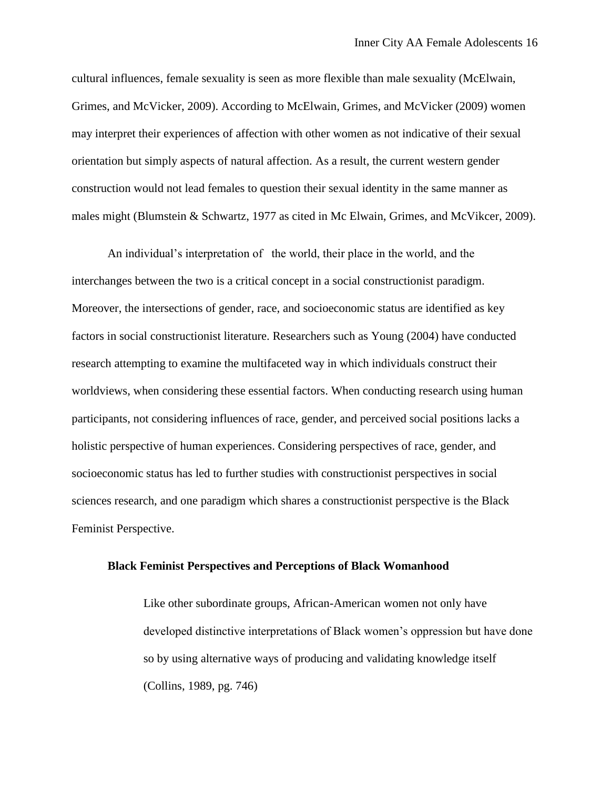cultural influences, female sexuality is seen as more flexible than male sexuality (McElwain, Grimes, and McVicker, 2009). According to McElwain, Grimes, and McVicker (2009) women may interpret their experiences of affection with other women as not indicative of their sexual orientation but simply aspects of natural affection. As a result, the current western gender construction would not lead females to question their sexual identity in the same manner as males might (Blumstein & Schwartz, 1977 as cited in Mc Elwain, Grimes, and McVikcer, 2009).

An individual's interpretation of the world, their place in the world, and the interchanges between the two is a critical concept in a social constructionist paradigm. Moreover, the intersections of gender, race, and socioeconomic status are identified as key factors in social constructionist literature. Researchers such as Young (2004) have conducted research attempting to examine the multifaceted way in which individuals construct their worldviews, when considering these essential factors. When conducting research using human participants, not considering influences of race, gender, and perceived social positions lacks a holistic perspective of human experiences. Considering perspectives of race, gender, and socioeconomic status has led to further studies with constructionist perspectives in social sciences research, and one paradigm which shares a constructionist perspective is the Black Feminist Perspective.

#### **Black Feminist Perspectives and Perceptions of Black Womanhood**

Like other subordinate groups, African-American women not only have developed distinctive interpretations of Black women's oppression but have done so by using alternative ways of producing and validating knowledge itself (Collins, 1989, pg. 746)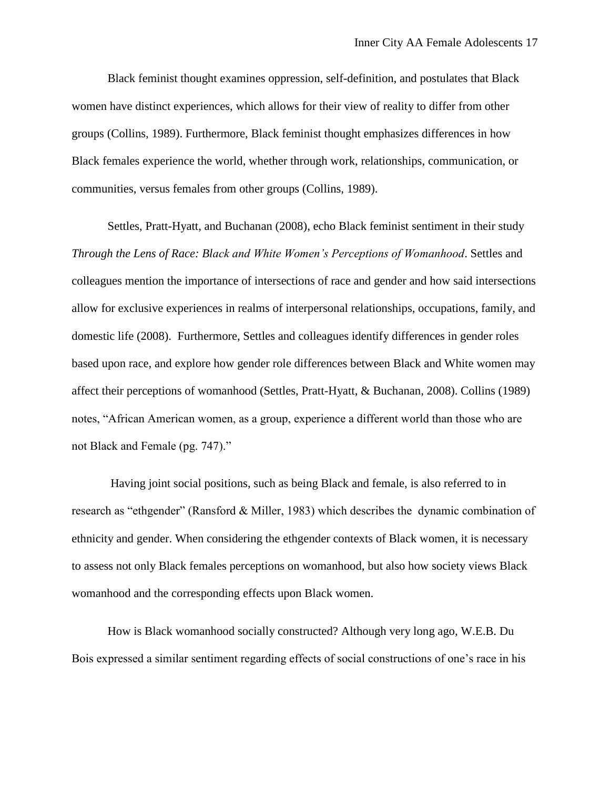Black feminist thought examines oppression, self-definition, and postulates that Black women have distinct experiences, which allows for their view of reality to differ from other groups (Collins, 1989). Furthermore, Black feminist thought emphasizes differences in how Black females experience the world, whether through work, relationships, communication, or communities, versus females from other groups (Collins, 1989).

Settles, Pratt-Hyatt, and Buchanan (2008), echo Black feminist sentiment in their study *Through the Lens of Race: Black and White Women's Perceptions of Womanhood*. Settles and colleagues mention the importance of intersections of race and gender and how said intersections allow for exclusive experiences in realms of interpersonal relationships, occupations, family, and domestic life (2008). Furthermore, Settles and colleagues identify differences in gender roles based upon race, and explore how gender role differences between Black and White women may affect their perceptions of womanhood (Settles, Pratt-Hyatt, & Buchanan, 2008). Collins (1989) notes, "African American women, as a group, experience a different world than those who are not Black and Female (pg. 747)."

Having joint social positions, such as being Black and female, is also referred to in research as "ethgender" (Ransford & Miller, 1983) which describes the dynamic combination of ethnicity and gender. When considering the ethgender contexts of Black women, it is necessary to assess not only Black females perceptions on womanhood, but also how society views Black womanhood and the corresponding effects upon Black women.

How is Black womanhood socially constructed? Although very long ago, W.E.B. Du Bois expressed a similar sentiment regarding effects of social constructions of one's race in his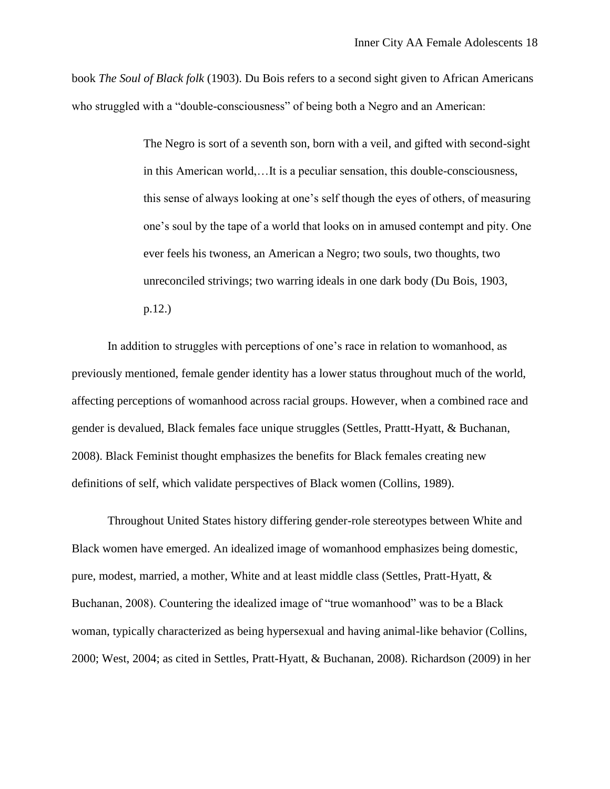book *The Soul of Black folk* (1903). Du Bois refers to a second sight given to African Americans who struggled with a "double-consciousness" of being both a Negro and an American:

> The Negro is sort of a seventh son, born with a veil, and gifted with second-sight in this American world,…It is a peculiar sensation, this double-consciousness, this sense of always looking at one's self though the eyes of others, of measuring one's soul by the tape of a world that looks on in amused contempt and pity. One ever feels his twoness, an American a Negro; two souls, two thoughts, two unreconciled strivings; two warring ideals in one dark body (Du Bois, 1903, p.12.)

In addition to struggles with perceptions of one's race in relation to womanhood, as previously mentioned, female gender identity has a lower status throughout much of the world, affecting perceptions of womanhood across racial groups. However, when a combined race and gender is devalued, Black females face unique struggles (Settles, Prattt-Hyatt, & Buchanan, 2008). Black Feminist thought emphasizes the benefits for Black females creating new definitions of self, which validate perspectives of Black women (Collins, 1989).

Throughout United States history differing gender-role stereotypes between White and Black women have emerged. An idealized image of womanhood emphasizes being domestic, pure, modest, married, a mother, White and at least middle class (Settles, Pratt-Hyatt, & Buchanan, 2008). Countering the idealized image of "true womanhood" was to be a Black woman, typically characterized as being hypersexual and having animal-like behavior (Collins, 2000; West, 2004; as cited in Settles, Pratt-Hyatt, & Buchanan, 2008). Richardson (2009) in her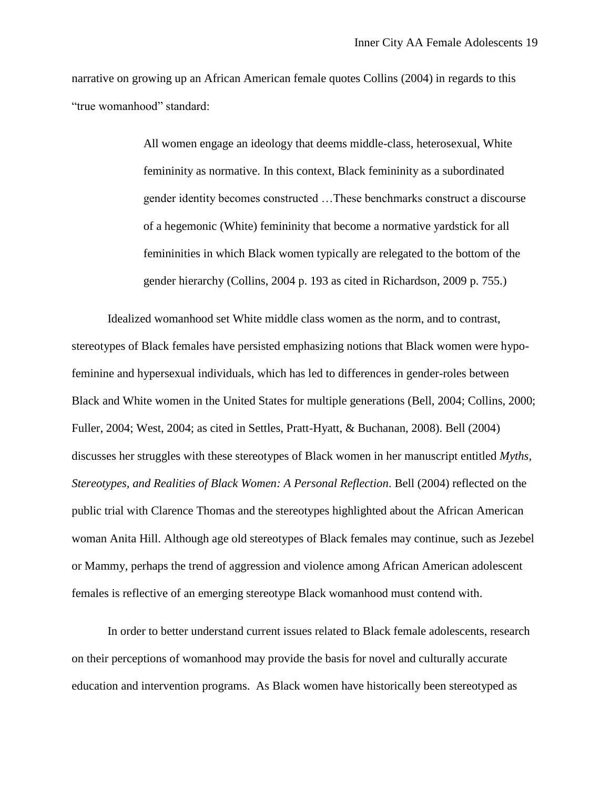narrative on growing up an African American female quotes Collins (2004) in regards to this "true womanhood" standard:

> All women engage an ideology that deems middle-class, heterosexual, White femininity as normative. In this context, Black femininity as a subordinated gender identity becomes constructed …These benchmarks construct a discourse of a hegemonic (White) femininity that become a normative yardstick for all femininities in which Black women typically are relegated to the bottom of the gender hierarchy (Collins, 2004 p. 193 as cited in Richardson, 2009 p. 755.)

Idealized womanhood set White middle class women as the norm, and to contrast, stereotypes of Black females have persisted emphasizing notions that Black women were hypofeminine and hypersexual individuals, which has led to differences in gender-roles between Black and White women in the United States for multiple generations (Bell, 2004; Collins, 2000; Fuller, 2004; West, 2004; as cited in Settles, Pratt-Hyatt, & Buchanan, 2008). Bell (2004) discusses her struggles with these stereotypes of Black women in her manuscript entitled *Myths, Stereotypes, and Realities of Black Women: A Personal Reflection*. Bell (2004) reflected on the public trial with Clarence Thomas and the stereotypes highlighted about the African American woman Anita Hill. Although age old stereotypes of Black females may continue, such as Jezebel or Mammy, perhaps the trend of aggression and violence among African American adolescent females is reflective of an emerging stereotype Black womanhood must contend with.

In order to better understand current issues related to Black female adolescents, research on their perceptions of womanhood may provide the basis for novel and culturally accurate education and intervention programs. As Black women have historically been stereotyped as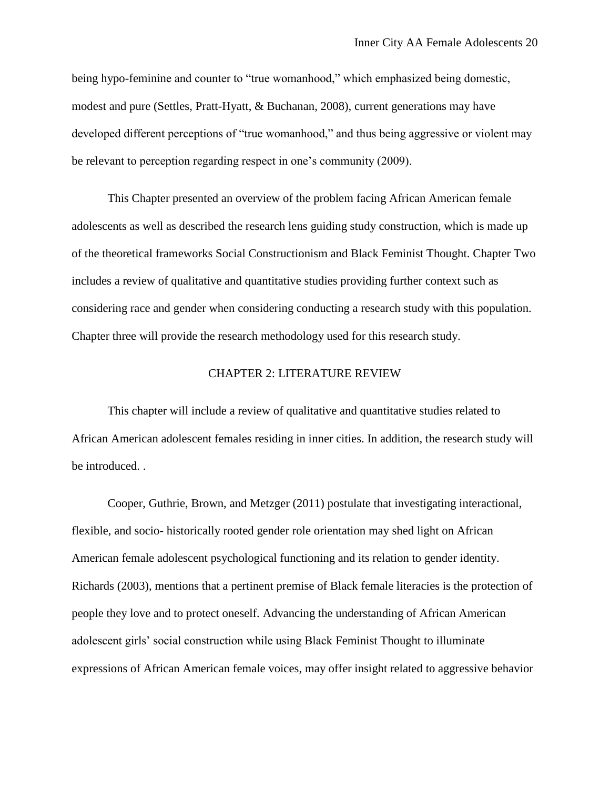being hypo-feminine and counter to "true womanhood," which emphasized being domestic, modest and pure (Settles, Pratt-Hyatt, & Buchanan, 2008), current generations may have developed different perceptions of "true womanhood," and thus being aggressive or violent may be relevant to perception regarding respect in one's community (2009).

This Chapter presented an overview of the problem facing African American female adolescents as well as described the research lens guiding study construction, which is made up of the theoretical frameworks Social Constructionism and Black Feminist Thought. Chapter Two includes a review of qualitative and quantitative studies providing further context such as considering race and gender when considering conducting a research study with this population. Chapter three will provide the research methodology used for this research study.

### CHAPTER 2: LITERATURE REVIEW

This chapter will include a review of qualitative and quantitative studies related to African American adolescent females residing in inner cities. In addition, the research study will be introduced. .

Cooper, Guthrie, Brown, and Metzger (2011) postulate that investigating interactional, flexible, and socio- historically rooted gender role orientation may shed light on African American female adolescent psychological functioning and its relation to gender identity. Richards (2003), mentions that a pertinent premise of Black female literacies is the protection of people they love and to protect oneself. Advancing the understanding of African American adolescent girls' social construction while using Black Feminist Thought to illuminate expressions of African American female voices, may offer insight related to aggressive behavior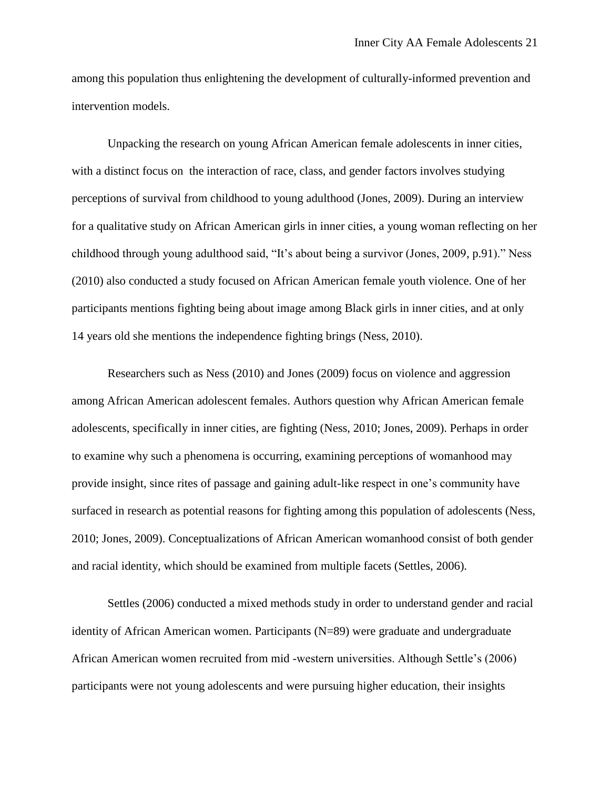among this population thus enlightening the development of culturally-informed prevention and intervention models.

Unpacking the research on young African American female adolescents in inner cities, with a distinct focus on the interaction of race, class, and gender factors involves studying perceptions of survival from childhood to young adulthood (Jones, 2009). During an interview for a qualitative study on African American girls in inner cities, a young woman reflecting on her childhood through young adulthood said, "It's about being a survivor (Jones, 2009, p.91)." Ness (2010) also conducted a study focused on African American female youth violence. One of her participants mentions fighting being about image among Black girls in inner cities, and at only 14 years old she mentions the independence fighting brings (Ness, 2010).

Researchers such as Ness (2010) and Jones (2009) focus on violence and aggression among African American adolescent females. Authors question why African American female adolescents, specifically in inner cities, are fighting (Ness, 2010; Jones, 2009). Perhaps in order to examine why such a phenomena is occurring, examining perceptions of womanhood may provide insight, since rites of passage and gaining adult-like respect in one's community have surfaced in research as potential reasons for fighting among this population of adolescents (Ness, 2010; Jones, 2009). Conceptualizations of African American womanhood consist of both gender and racial identity, which should be examined from multiple facets (Settles, 2006).

Settles (2006) conducted a mixed methods study in order to understand gender and racial identity of African American women. Participants (N=89) were graduate and undergraduate African American women recruited from mid -western universities. Although Settle's (2006) participants were not young adolescents and were pursuing higher education, their insights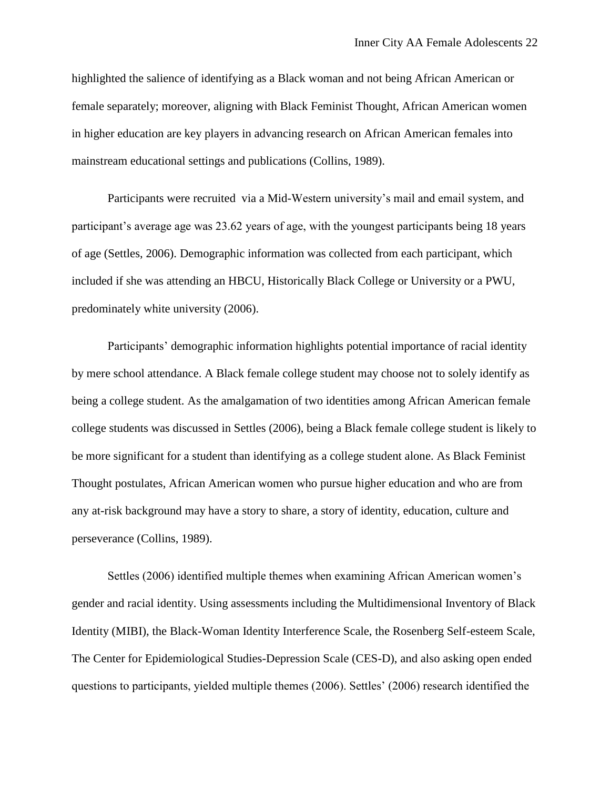highlighted the salience of identifying as a Black woman and not being African American or female separately; moreover, aligning with Black Feminist Thought, African American women in higher education are key players in advancing research on African American females into mainstream educational settings and publications (Collins, 1989).

Participants were recruited via a Mid-Western university's mail and email system, and participant's average age was 23.62 years of age, with the youngest participants being 18 years of age (Settles, 2006). Demographic information was collected from each participant, which included if she was attending an HBCU, Historically Black College or University or a PWU, predominately white university (2006).

Participants' demographic information highlights potential importance of racial identity by mere school attendance. A Black female college student may choose not to solely identify as being a college student. As the amalgamation of two identities among African American female college students was discussed in Settles (2006), being a Black female college student is likely to be more significant for a student than identifying as a college student alone. As Black Feminist Thought postulates, African American women who pursue higher education and who are from any at-risk background may have a story to share, a story of identity, education, culture and perseverance (Collins, 1989).

Settles (2006) identified multiple themes when examining African American women's gender and racial identity. Using assessments including the Multidimensional Inventory of Black Identity (MIBI), the Black-Woman Identity Interference Scale, the Rosenberg Self-esteem Scale, The Center for Epidemiological Studies-Depression Scale (CES-D), and also asking open ended questions to participants, yielded multiple themes (2006). Settles' (2006) research identified the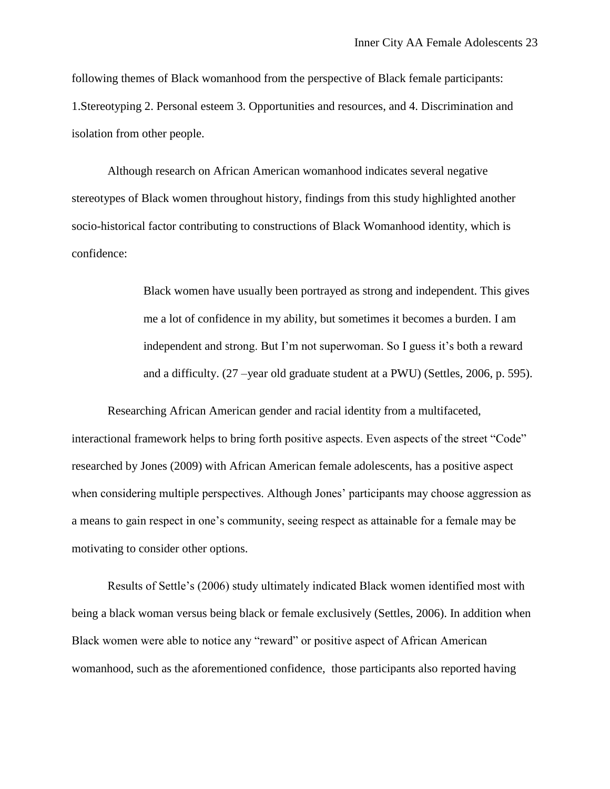following themes of Black womanhood from the perspective of Black female participants: 1.Stereotyping 2. Personal esteem 3. Opportunities and resources, and 4. Discrimination and isolation from other people.

Although research on African American womanhood indicates several negative stereotypes of Black women throughout history, findings from this study highlighted another socio-historical factor contributing to constructions of Black Womanhood identity, which is confidence:

> Black women have usually been portrayed as strong and independent. This gives me a lot of confidence in my ability, but sometimes it becomes a burden. I am independent and strong. But I'm not superwoman. So I guess it's both a reward and a difficulty. (27 –year old graduate student at a PWU) (Settles, 2006, p. 595).

Researching African American gender and racial identity from a multifaceted, interactional framework helps to bring forth positive aspects. Even aspects of the street "Code" researched by Jones (2009) with African American female adolescents, has a positive aspect when considering multiple perspectives. Although Jones' participants may choose aggression as a means to gain respect in one's community, seeing respect as attainable for a female may be motivating to consider other options.

Results of Settle's (2006) study ultimately indicated Black women identified most with being a black woman versus being black or female exclusively (Settles, 2006). In addition when Black women were able to notice any "reward" or positive aspect of African American womanhood, such as the aforementioned confidence, those participants also reported having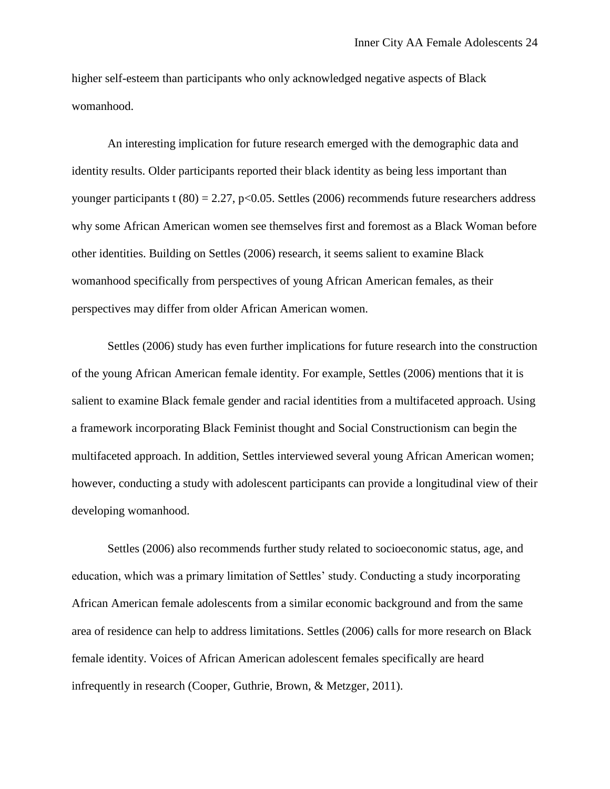higher self-esteem than participants who only acknowledged negative aspects of Black womanhood.

An interesting implication for future research emerged with the demographic data and identity results. Older participants reported their black identity as being less important than younger participants t  $(80) = 2.27$ , p<0.05. Settles (2006) recommends future researchers address why some African American women see themselves first and foremost as a Black Woman before other identities. Building on Settles (2006) research, it seems salient to examine Black womanhood specifically from perspectives of young African American females, as their perspectives may differ from older African American women.

Settles (2006) study has even further implications for future research into the construction of the young African American female identity. For example, Settles (2006) mentions that it is salient to examine Black female gender and racial identities from a multifaceted approach. Using a framework incorporating Black Feminist thought and Social Constructionism can begin the multifaceted approach. In addition, Settles interviewed several young African American women; however, conducting a study with adolescent participants can provide a longitudinal view of their developing womanhood.

Settles (2006) also recommends further study related to socioeconomic status, age, and education, which was a primary limitation of Settles' study. Conducting a study incorporating African American female adolescents from a similar economic background and from the same area of residence can help to address limitations. Settles (2006) calls for more research on Black female identity. Voices of African American adolescent females specifically are heard infrequently in research (Cooper, Guthrie, Brown, & Metzger, 2011).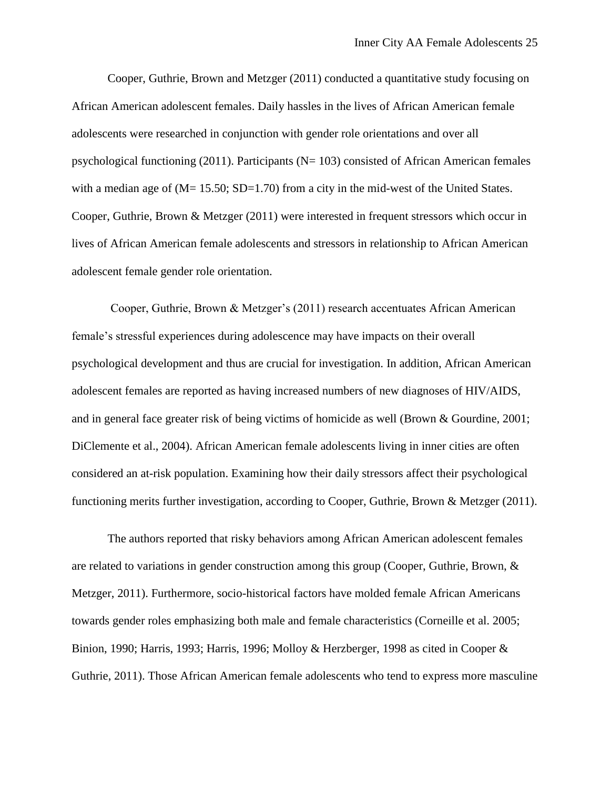Cooper, Guthrie, Brown and Metzger (2011) conducted a quantitative study focusing on African American adolescent females. Daily hassles in the lives of African American female adolescents were researched in conjunction with gender role orientations and over all psychological functioning  $(2011)$ . Participants (N= 103) consisted of African American females with a median age of (M= 15.50; SD=1.70) from a city in the mid-west of the United States. Cooper, Guthrie, Brown & Metzger (2011) were interested in frequent stressors which occur in lives of African American female adolescents and stressors in relationship to African American adolescent female gender role orientation.

Cooper, Guthrie, Brown & Metzger's (2011) research accentuates African American female's stressful experiences during adolescence may have impacts on their overall psychological development and thus are crucial for investigation. In addition, African American adolescent females are reported as having increased numbers of new diagnoses of HIV/AIDS, and in general face greater risk of being victims of homicide as well (Brown & Gourdine, 2001; DiClemente et al., 2004). African American female adolescents living in inner cities are often considered an at-risk population. Examining how their daily stressors affect their psychological functioning merits further investigation, according to Cooper, Guthrie, Brown & Metzger (2011).

The authors reported that risky behaviors among African American adolescent females are related to variations in gender construction among this group (Cooper, Guthrie, Brown, & Metzger, 2011). Furthermore, socio-historical factors have molded female African Americans towards gender roles emphasizing both male and female characteristics (Corneille et al. 2005; Binion, 1990; Harris, 1993; Harris, 1996; Molloy & Herzberger, 1998 as cited in Cooper & Guthrie, 2011). Those African American female adolescents who tend to express more masculine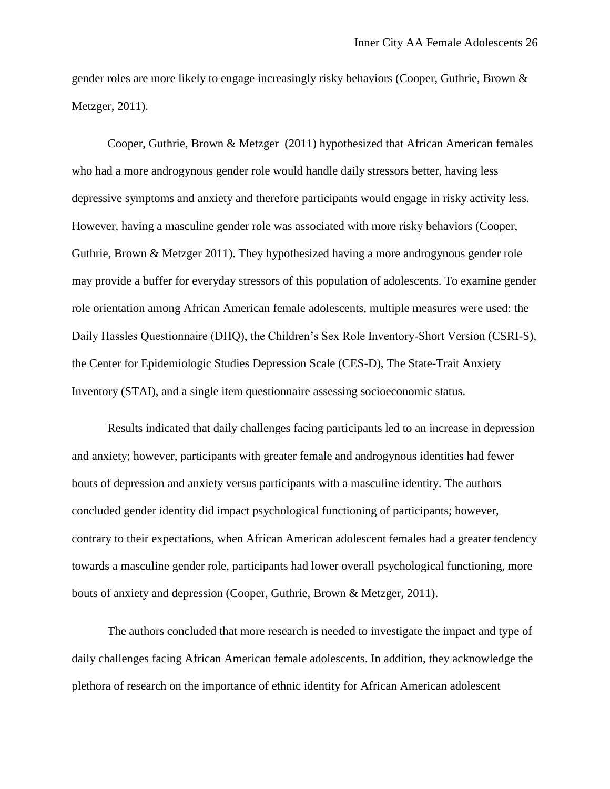gender roles are more likely to engage increasingly risky behaviors (Cooper, Guthrie, Brown & Metzger, 2011).

Cooper, Guthrie, Brown & Metzger (2011) hypothesized that African American females who had a more androgynous gender role would handle daily stressors better, having less depressive symptoms and anxiety and therefore participants would engage in risky activity less. However, having a masculine gender role was associated with more risky behaviors (Cooper, Guthrie, Brown & Metzger 2011). They hypothesized having a more androgynous gender role may provide a buffer for everyday stressors of this population of adolescents. To examine gender role orientation among African American female adolescents, multiple measures were used: the Daily Hassles Questionnaire (DHQ), the Children's Sex Role Inventory-Short Version (CSRI-S), the Center for Epidemiologic Studies Depression Scale (CES-D), The State-Trait Anxiety Inventory (STAI), and a single item questionnaire assessing socioeconomic status.

Results indicated that daily challenges facing participants led to an increase in depression and anxiety; however, participants with greater female and androgynous identities had fewer bouts of depression and anxiety versus participants with a masculine identity. The authors concluded gender identity did impact psychological functioning of participants; however, contrary to their expectations, when African American adolescent females had a greater tendency towards a masculine gender role, participants had lower overall psychological functioning, more bouts of anxiety and depression (Cooper, Guthrie, Brown & Metzger, 2011).

The authors concluded that more research is needed to investigate the impact and type of daily challenges facing African American female adolescents. In addition, they acknowledge the plethora of research on the importance of ethnic identity for African American adolescent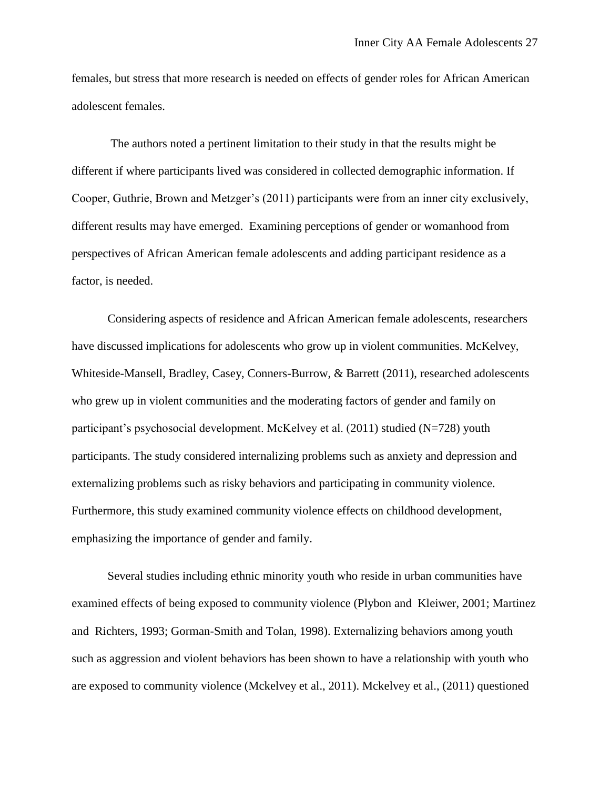females, but stress that more research is needed on effects of gender roles for African American adolescent females.

The authors noted a pertinent limitation to their study in that the results might be different if where participants lived was considered in collected demographic information. If Cooper, Guthrie, Brown and Metzger's (2011) participants were from an inner city exclusively, different results may have emerged. Examining perceptions of gender or womanhood from perspectives of African American female adolescents and adding participant residence as a factor, is needed.

Considering aspects of residence and African American female adolescents, researchers have discussed implications for adolescents who grow up in violent communities. McKelvey, Whiteside-Mansell, Bradley, Casey, Conners-Burrow, & Barrett (2011), researched adolescents who grew up in violent communities and the moderating factors of gender and family on participant's psychosocial development. McKelvey et al. (2011) studied (N=728) youth participants. The study considered internalizing problems such as anxiety and depression and externalizing problems such as risky behaviors and participating in community violence. Furthermore, this study examined community violence effects on childhood development, emphasizing the importance of gender and family.

Several studies including ethnic minority youth who reside in urban communities have examined effects of being exposed to community violence (Plybon and Kleiwer, 2001; Martinez and Richters, 1993; Gorman-Smith and Tolan, 1998). Externalizing behaviors among youth such as aggression and violent behaviors has been shown to have a relationship with youth who are exposed to community violence (Mckelvey et al., 2011). Mckelvey et al., (2011) questioned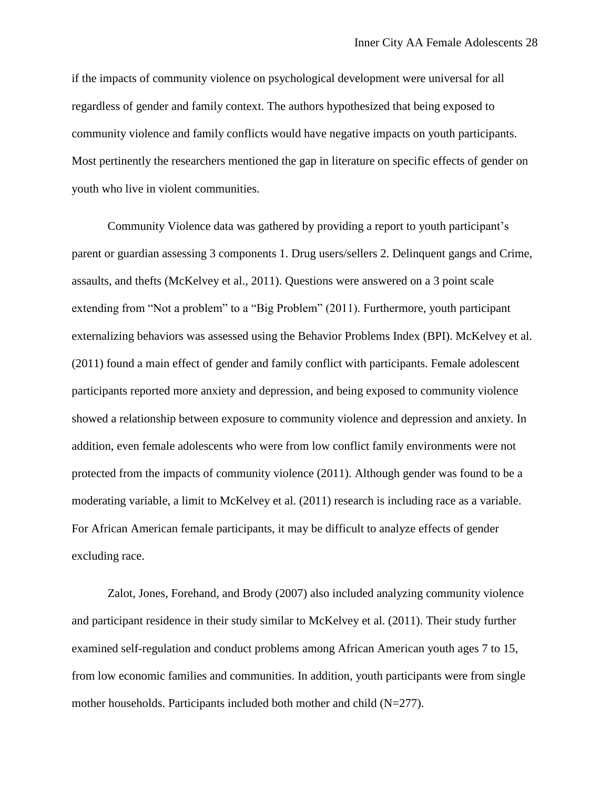if the impacts of community violence on psychological development were universal for all regardless of gender and family context. The authors hypothesized that being exposed to community violence and family conflicts would have negative impacts on youth participants. Most pertinently the researchers mentioned the gap in literature on specific effects of gender on youth who live in violent communities.

Community Violence data was gathered by providing a report to youth participant's parent or guardian assessing 3 components 1. Drug users/sellers 2. Delinquent gangs and Crime, assaults, and thefts (McKelvey et al., 2011). Questions were answered on a 3 point scale extending from "Not a problem" to a "Big Problem" (2011). Furthermore, youth participant externalizing behaviors was assessed using the Behavior Problems Index (BPI). McKelvey et al. (2011) found a main effect of gender and family conflict with participants. Female adolescent participants reported more anxiety and depression, and being exposed to community violence showed a relationship between exposure to community violence and depression and anxiety. In addition, even female adolescents who were from low conflict family environments were not protected from the impacts of community violence (2011). Although gender was found to be a moderating variable, a limit to McKelvey et al. (2011) research is including race as a variable. For African American female participants, it may be difficult to analyze effects of gender excluding race.

Zalot, Jones, Forehand, and Brody (2007) also included analyzing community violence and participant residence in their study similar to McKelvey et al. (2011). Their study further examined self-regulation and conduct problems among African American youth ages 7 to 15, from low economic families and communities. In addition, youth participants were from single mother households. Participants included both mother and child (N=277).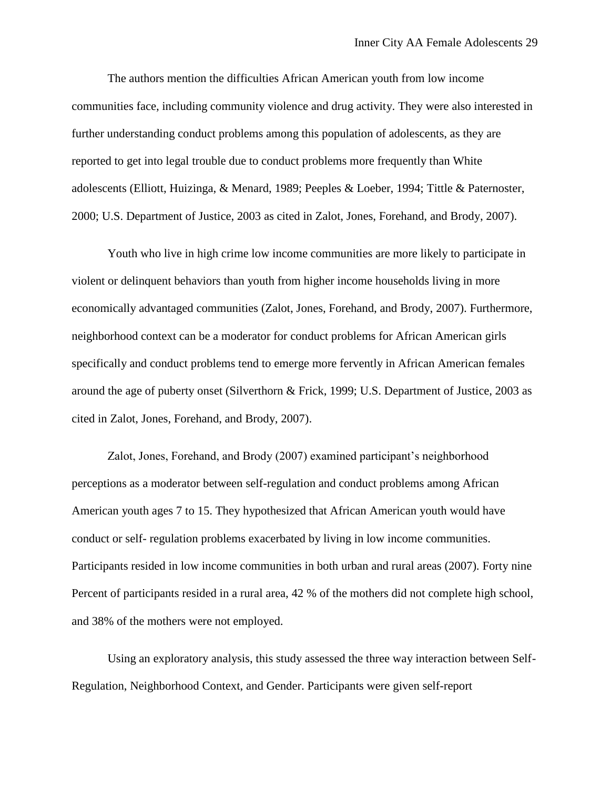The authors mention the difficulties African American youth from low income communities face, including community violence and drug activity. They were also interested in further understanding conduct problems among this population of adolescents, as they are reported to get into legal trouble due to conduct problems more frequently than White adolescents (Elliott, Huizinga, & Menard, 1989; Peeples & Loeber, 1994; Tittle & Paternoster, 2000; U.S. Department of Justice, 2003 as cited in Zalot, Jones, Forehand, and Brody, 2007).

Youth who live in high crime low income communities are more likely to participate in violent or delinquent behaviors than youth from higher income households living in more economically advantaged communities (Zalot, Jones, Forehand, and Brody, 2007). Furthermore, neighborhood context can be a moderator for conduct problems for African American girls specifically and conduct problems tend to emerge more fervently in African American females around the age of puberty onset (Silverthorn & Frick, 1999; U.S. Department of Justice, 2003 as cited in Zalot, Jones, Forehand, and Brody, 2007).

Zalot, Jones, Forehand, and Brody (2007) examined participant's neighborhood perceptions as a moderator between self-regulation and conduct problems among African American youth ages 7 to 15. They hypothesized that African American youth would have conduct or self- regulation problems exacerbated by living in low income communities. Participants resided in low income communities in both urban and rural areas (2007). Forty nine Percent of participants resided in a rural area, 42 % of the mothers did not complete high school, and 38% of the mothers were not employed.

Using an exploratory analysis, this study assessed the three way interaction between Self-Regulation, Neighborhood Context, and Gender. Participants were given self-report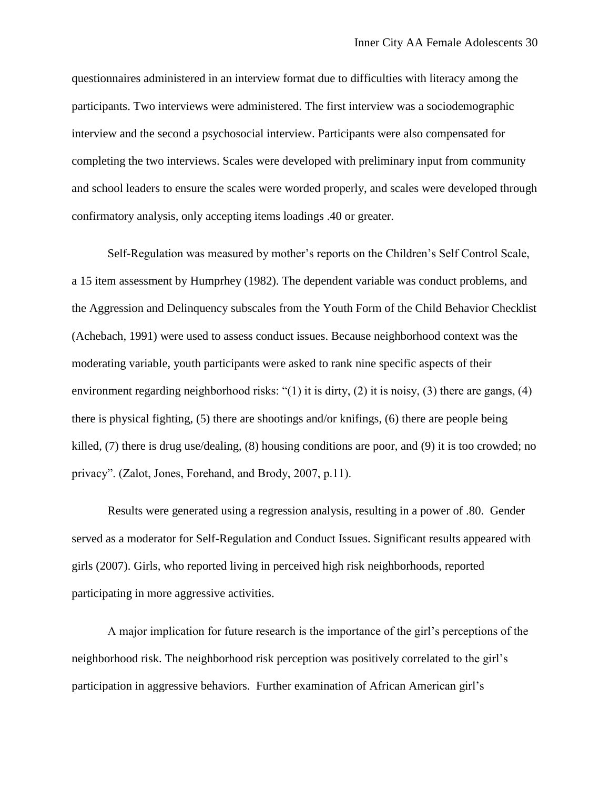questionnaires administered in an interview format due to difficulties with literacy among the participants. Two interviews were administered. The first interview was a sociodemographic interview and the second a psychosocial interview. Participants were also compensated for completing the two interviews. Scales were developed with preliminary input from community and school leaders to ensure the scales were worded properly, and scales were developed through confirmatory analysis, only accepting items loadings .40 or greater.

Self-Regulation was measured by mother's reports on the Children's Self Control Scale, a 15 item assessment by Humprhey (1982). The dependent variable was conduct problems, and the Aggression and Delinquency subscales from the Youth Form of the Child Behavior Checklist (Achebach, 1991) were used to assess conduct issues. Because neighborhood context was the moderating variable, youth participants were asked to rank nine specific aspects of their environment regarding neighborhood risks: "(1) it is dirty, (2) it is noisy, (3) there are gangs, (4) there is physical fighting, (5) there are shootings and/or knifings, (6) there are people being killed, (7) there is drug use/dealing, (8) housing conditions are poor, and (9) it is too crowded; no privacy". (Zalot, Jones, Forehand, and Brody, 2007, p.11).

Results were generated using a regression analysis, resulting in a power of .80. Gender served as a moderator for Self-Regulation and Conduct Issues. Significant results appeared with girls (2007). Girls, who reported living in perceived high risk neighborhoods, reported participating in more aggressive activities.

A major implication for future research is the importance of the girl's perceptions of the neighborhood risk. The neighborhood risk perception was positively correlated to the girl's participation in aggressive behaviors. Further examination of African American girl's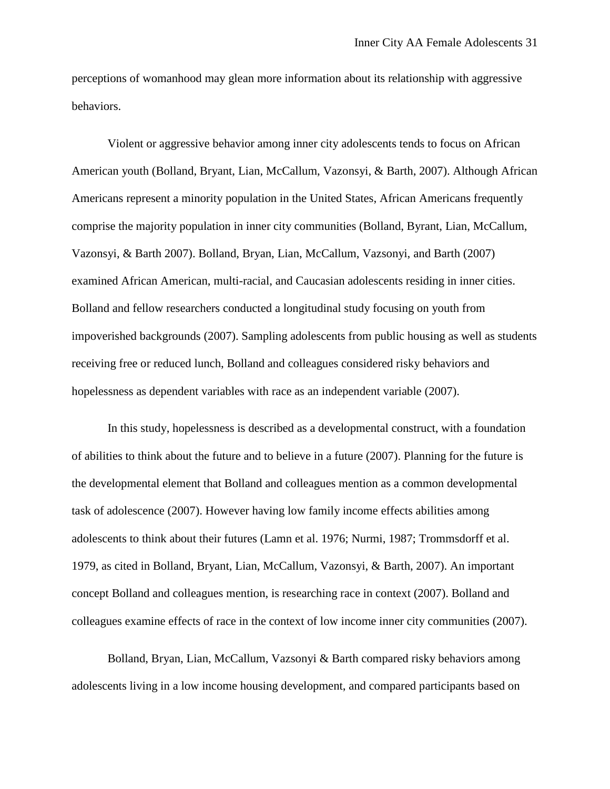perceptions of womanhood may glean more information about its relationship with aggressive behaviors.

Violent or aggressive behavior among inner city adolescents tends to focus on African American youth (Bolland, Bryant, Lian, McCallum, Vazonsyi, & Barth, 2007). Although African Americans represent a minority population in the United States, African Americans frequently comprise the majority population in inner city communities (Bolland, Byrant, Lian, McCallum, Vazonsyi, & Barth 2007). Bolland, Bryan, Lian, McCallum, Vazsonyi, and Barth (2007) examined African American, multi-racial, and Caucasian adolescents residing in inner cities. Bolland and fellow researchers conducted a longitudinal study focusing on youth from impoverished backgrounds (2007). Sampling adolescents from public housing as well as students receiving free or reduced lunch, Bolland and colleagues considered risky behaviors and hopelessness as dependent variables with race as an independent variable (2007).

In this study, hopelessness is described as a developmental construct, with a foundation of abilities to think about the future and to believe in a future (2007). Planning for the future is the developmental element that Bolland and colleagues mention as a common developmental task of adolescence (2007). However having low family income effects abilities among adolescents to think about their futures (Lamn et al. 1976; Nurmi, 1987; Trommsdorff et al. 1979, as cited in Bolland, Bryant, Lian, McCallum, Vazonsyi, & Barth, 2007). An important concept Bolland and colleagues mention, is researching race in context (2007). Bolland and colleagues examine effects of race in the context of low income inner city communities (2007).

Bolland, Bryan, Lian, McCallum, Vazsonyi & Barth compared risky behaviors among adolescents living in a low income housing development, and compared participants based on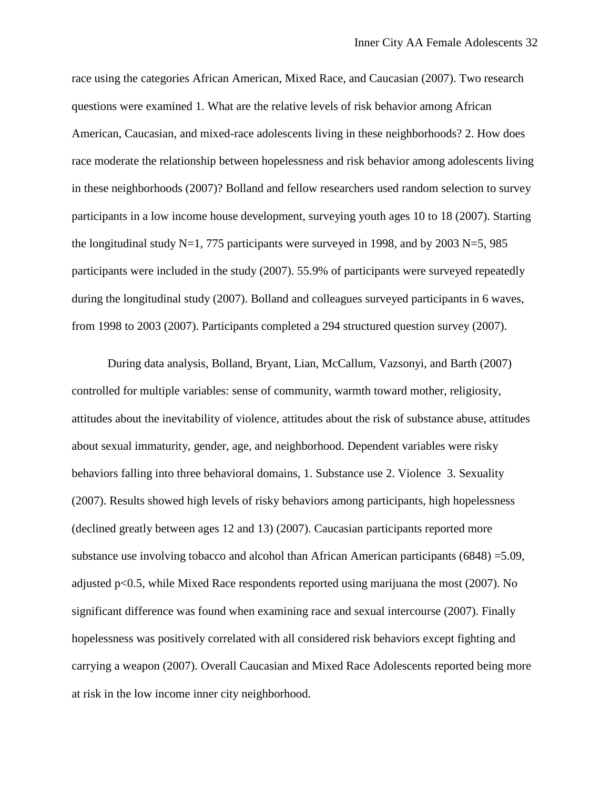race using the categories African American, Mixed Race, and Caucasian (2007). Two research questions were examined 1. What are the relative levels of risk behavior among African American, Caucasian, and mixed-race adolescents living in these neighborhoods? 2. How does race moderate the relationship between hopelessness and risk behavior among adolescents living in these neighborhoods (2007)? Bolland and fellow researchers used random selection to survey participants in a low income house development, surveying youth ages 10 to 18 (2007). Starting the longitudinal study N=1, 775 participants were surveyed in 1998, and by 2003 N=5, 985 participants were included in the study (2007). 55.9% of participants were surveyed repeatedly during the longitudinal study (2007). Bolland and colleagues surveyed participants in 6 waves, from 1998 to 2003 (2007). Participants completed a 294 structured question survey (2007).

During data analysis, Bolland, Bryant, Lian, McCallum, Vazsonyi, and Barth (2007) controlled for multiple variables: sense of community, warmth toward mother, religiosity, attitudes about the inevitability of violence, attitudes about the risk of substance abuse, attitudes about sexual immaturity, gender, age, and neighborhood. Dependent variables were risky behaviors falling into three behavioral domains, 1. Substance use 2. Violence 3. Sexuality (2007). Results showed high levels of risky behaviors among participants, high hopelessness (declined greatly between ages 12 and 13) (2007). Caucasian participants reported more substance use involving tobacco and alcohol than African American participants (6848) =5.09, adjusted p<0.5, while Mixed Race respondents reported using marijuana the most (2007). No significant difference was found when examining race and sexual intercourse (2007). Finally hopelessness was positively correlated with all considered risk behaviors except fighting and carrying a weapon (2007). Overall Caucasian and Mixed Race Adolescents reported being more at risk in the low income inner city neighborhood.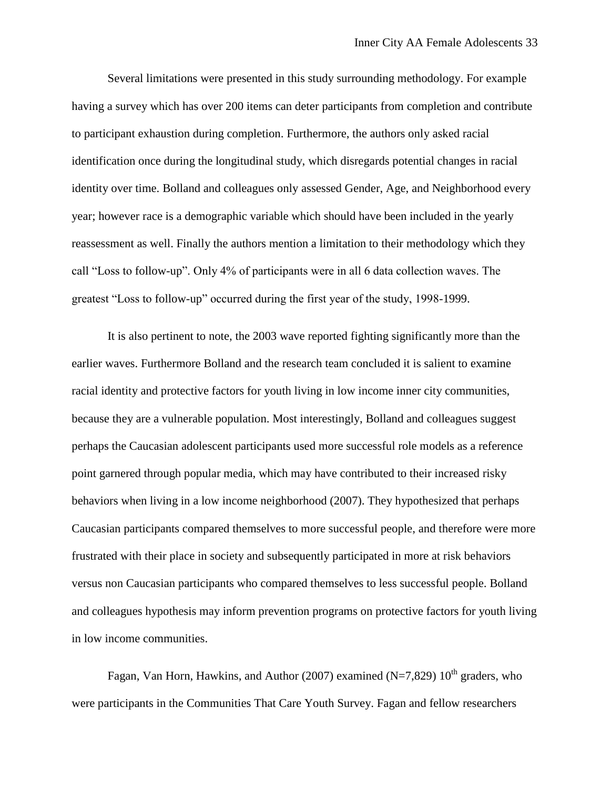Several limitations were presented in this study surrounding methodology. For example having a survey which has over 200 items can deter participants from completion and contribute to participant exhaustion during completion. Furthermore, the authors only asked racial identification once during the longitudinal study, which disregards potential changes in racial identity over time. Bolland and colleagues only assessed Gender, Age, and Neighborhood every year; however race is a demographic variable which should have been included in the yearly reassessment as well. Finally the authors mention a limitation to their methodology which they call "Loss to follow-up". Only 4% of participants were in all 6 data collection waves. The greatest "Loss to follow-up" occurred during the first year of the study, 1998-1999.

It is also pertinent to note, the 2003 wave reported fighting significantly more than the earlier waves. Furthermore Bolland and the research team concluded it is salient to examine racial identity and protective factors for youth living in low income inner city communities, because they are a vulnerable population. Most interestingly, Bolland and colleagues suggest perhaps the Caucasian adolescent participants used more successful role models as a reference point garnered through popular media, which may have contributed to their increased risky behaviors when living in a low income neighborhood (2007). They hypothesized that perhaps Caucasian participants compared themselves to more successful people, and therefore were more frustrated with their place in society and subsequently participated in more at risk behaviors versus non Caucasian participants who compared themselves to less successful people. Bolland and colleagues hypothesis may inform prevention programs on protective factors for youth living in low income communities.

Fagan, Van Horn, Hawkins, and Author (2007) examined (N=7,829)  $10^{th}$  graders, who were participants in the Communities That Care Youth Survey. Fagan and fellow researchers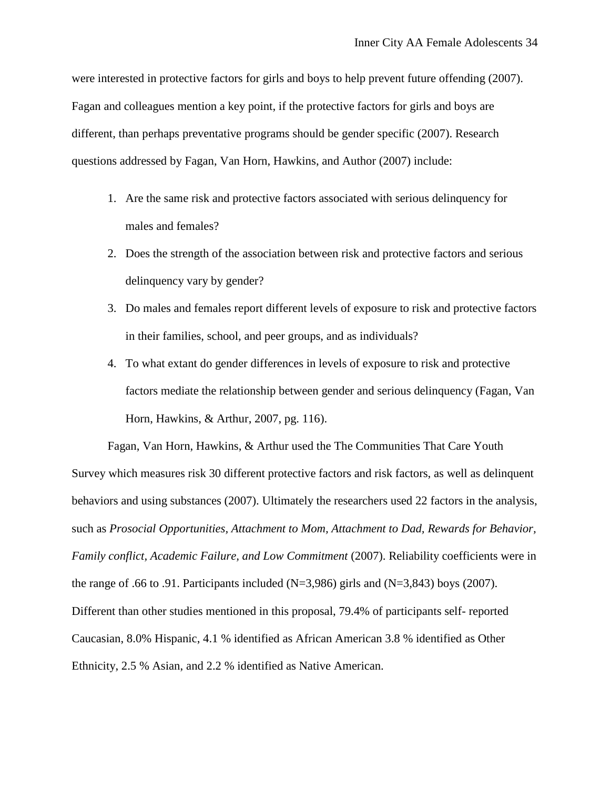were interested in protective factors for girls and boys to help prevent future offending (2007). Fagan and colleagues mention a key point, if the protective factors for girls and boys are different, than perhaps preventative programs should be gender specific (2007). Research questions addressed by Fagan, Van Horn, Hawkins, and Author (2007) include:

- 1. Are the same risk and protective factors associated with serious delinquency for males and females?
- 2. Does the strength of the association between risk and protective factors and serious delinquency vary by gender?
- 3. Do males and females report different levels of exposure to risk and protective factors in their families, school, and peer groups, and as individuals?
- 4. To what extant do gender differences in levels of exposure to risk and protective factors mediate the relationship between gender and serious delinquency (Fagan, Van Horn, Hawkins, & Arthur, 2007, pg. 116).

Fagan, Van Horn, Hawkins, & Arthur used the The Communities That Care Youth Survey which measures risk 30 different protective factors and risk factors, as well as delinquent behaviors and using substances (2007). Ultimately the researchers used 22 factors in the analysis, such as *Prosocial Opportunities, Attachment to Mom, Attachment to Dad, Rewards for Behavior, Family conflict, Academic Failure, and Low Commitment* (2007). Reliability coefficients were in the range of .66 to .91. Participants included ( $N=3,986$ ) girls and ( $N=3,843$ ) boys (2007). Different than other studies mentioned in this proposal, 79.4% of participants self- reported Caucasian, 8.0% Hispanic, 4.1 % identified as African American 3.8 % identified as Other Ethnicity, 2.5 % Asian, and 2.2 % identified as Native American.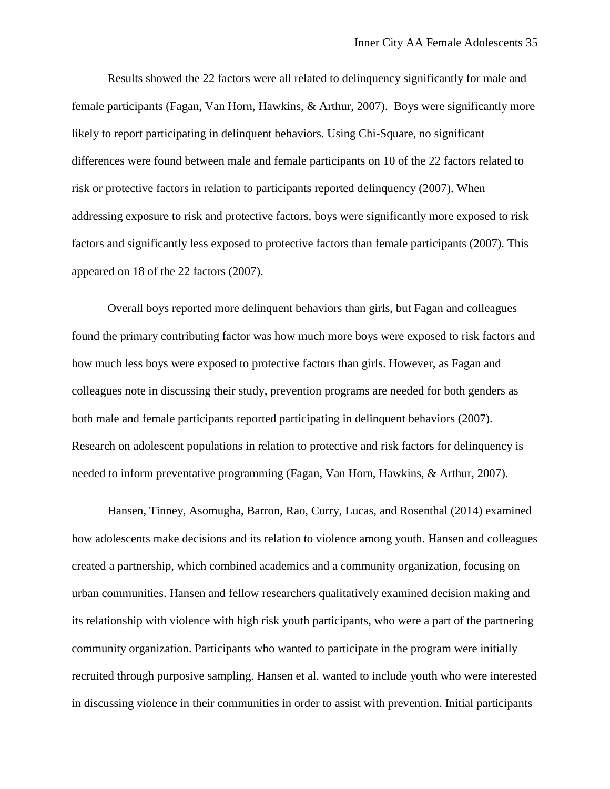Results showed the 22 factors were all related to delinquency significantly for male and female participants (Fagan, Van Horn, Hawkins, & Arthur, 2007). Boys were significantly more likely to report participating in delinquent behaviors. Using Chi-Square, no significant differences were found between male and female participants on 10 of the 22 factors related to risk or protective factors in relation to participants reported delinquency (2007). When addressing exposure to risk and protective factors, boys were significantly more exposed to risk factors and significantly less exposed to protective factors than female participants (2007). This appeared on 18 of the 22 factors (2007).

Overall boys reported more delinquent behaviors than girls, but Fagan and colleagues found the primary contributing factor was how much more boys were exposed to risk factors and how much less boys were exposed to protective factors than girls. However, as Fagan and colleagues note in discussing their study, prevention programs are needed for both genders as both male and female participants reported participating in delinquent behaviors (2007). Research on adolescent populations in relation to protective and risk factors for delinquency is needed to inform preventative programming (Fagan, Van Horn, Hawkins, & Arthur, 2007).

Hansen, Tinney, Asomugha, Barron, Rao, Curry, Lucas, and Rosenthal (2014) examined how adolescents make decisions and its relation to violence among youth. Hansen and colleagues created a partnership, which combined academics and a community organization, focusing on urban communities. Hansen and fellow researchers qualitatively examined decision making and its relationship with violence with high risk youth participants, who were a part of the partnering community organization. Participants who wanted to participate in the program were initially recruited through purposive sampling. Hansen et al. wanted to include youth who were interested in discussing violence in their communities in order to assist with prevention. Initial participants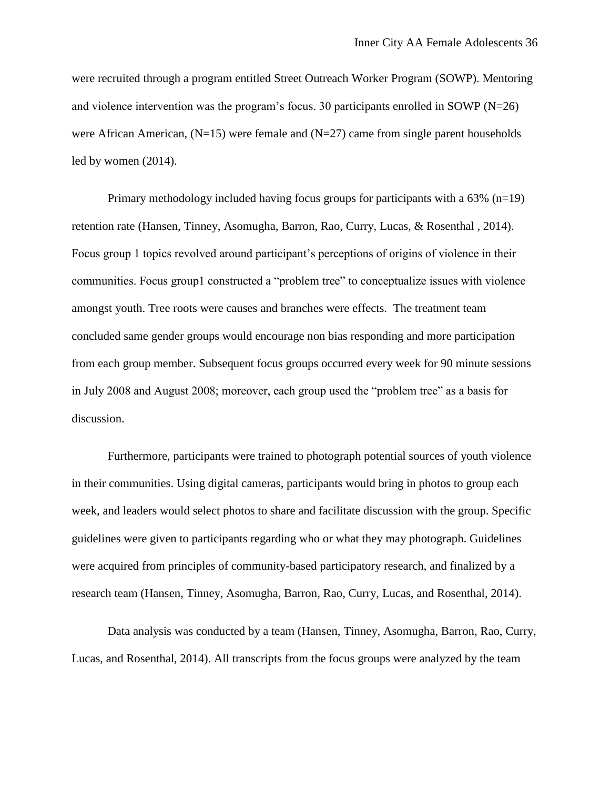were recruited through a program entitled Street Outreach Worker Program (SOWP). Mentoring and violence intervention was the program's focus. 30 participants enrolled in SOWP ( $N=26$ ) were African American,  $(N=15)$  were female and  $(N=27)$  came from single parent households led by women (2014).

Primary methodology included having focus groups for participants with a  $63\%$  (n=19) retention rate (Hansen, Tinney, Asomugha, Barron, Rao, Curry, Lucas, & Rosenthal , 2014). Focus group 1 topics revolved around participant's perceptions of origins of violence in their communities. Focus group1 constructed a "problem tree" to conceptualize issues with violence amongst youth. Tree roots were causes and branches were effects. The treatment team concluded same gender groups would encourage non bias responding and more participation from each group member. Subsequent focus groups occurred every week for 90 minute sessions in July 2008 and August 2008; moreover, each group used the "problem tree" as a basis for discussion.

Furthermore, participants were trained to photograph potential sources of youth violence in their communities. Using digital cameras, participants would bring in photos to group each week, and leaders would select photos to share and facilitate discussion with the group. Specific guidelines were given to participants regarding who or what they may photograph. Guidelines were acquired from principles of community-based participatory research, and finalized by a research team (Hansen, Tinney, Asomugha, Barron, Rao, Curry, Lucas, and Rosenthal, 2014).

Data analysis was conducted by a team (Hansen, Tinney, Asomugha, Barron, Rao, Curry, Lucas, and Rosenthal, 2014). All transcripts from the focus groups were analyzed by the team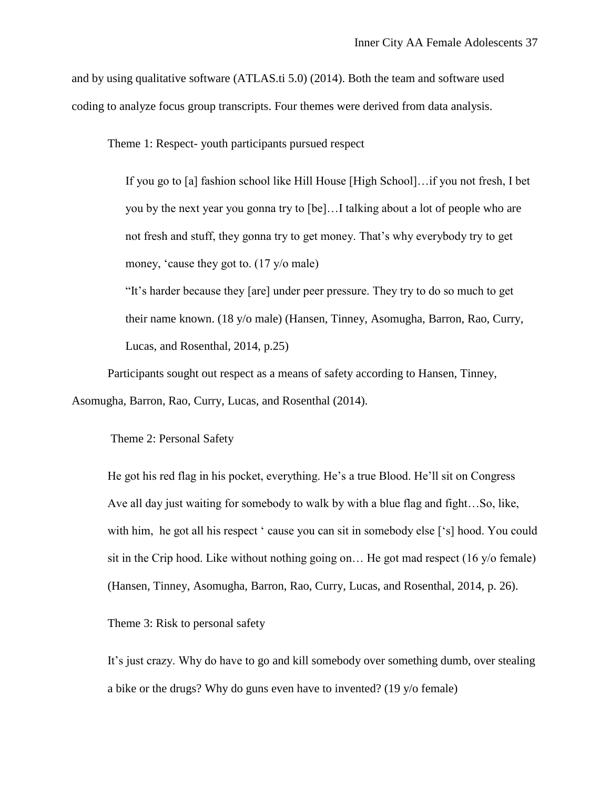and by using qualitative software (ATLAS.ti 5.0) (2014). Both the team and software used coding to analyze focus group transcripts. Four themes were derived from data analysis.

Theme 1: Respect- youth participants pursued respect

If you go to [a] fashion school like Hill House [High School]…if you not fresh, I bet you by the next year you gonna try to [be]…I talking about a lot of people who are not fresh and stuff, they gonna try to get money. That's why everybody try to get money, 'cause they got to. (17 y/o male)

"It's harder because they [are] under peer pressure. They try to do so much to get their name known. (18 y/o male) (Hansen, Tinney, Asomugha, Barron, Rao, Curry, Lucas, and Rosenthal, 2014, p.25)

Participants sought out respect as a means of safety according to Hansen, Tinney, Asomugha, Barron, Rao, Curry, Lucas, and Rosenthal (2014).

Theme 2: Personal Safety

He got his red flag in his pocket, everything. He's a true Blood. He'll sit on Congress Ave all day just waiting for somebody to walk by with a blue flag and fight…So, like, with him, he got all his respect ' cause you can sit in somebody else ['s] hood. You could sit in the Crip hood. Like without nothing going on… He got mad respect (16 y/o female) (Hansen, Tinney, Asomugha, Barron, Rao, Curry, Lucas, and Rosenthal, 2014, p. 26).

Theme 3: Risk to personal safety

It's just crazy. Why do have to go and kill somebody over something dumb, over stealing a bike or the drugs? Why do guns even have to invented? (19 y/o female)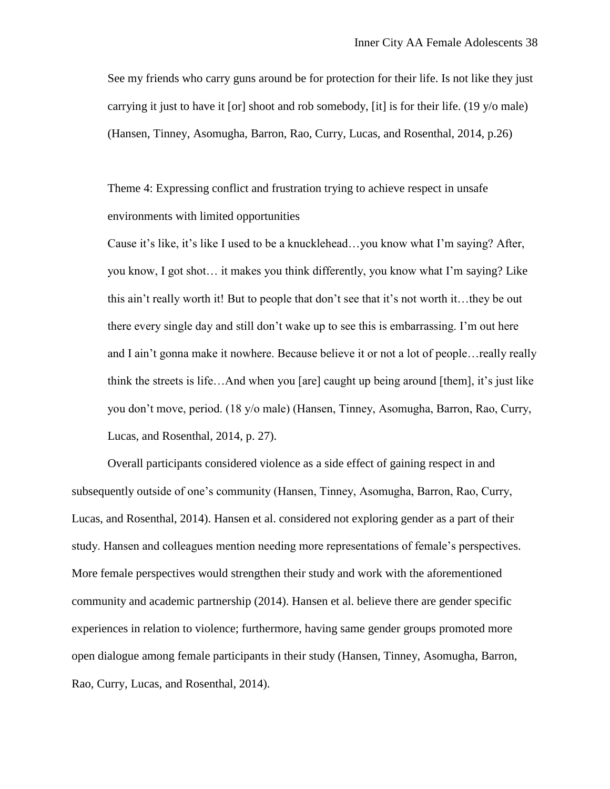See my friends who carry guns around be for protection for their life. Is not like they just carrying it just to have it [or] shoot and rob somebody, [it] is for their life. (19 y/o male) (Hansen, Tinney, Asomugha, Barron, Rao, Curry, Lucas, and Rosenthal, 2014, p.26)

Theme 4: Expressing conflict and frustration trying to achieve respect in unsafe environments with limited opportunities

Cause it's like, it's like I used to be a knucklehead…you know what I'm saying? After, you know, I got shot… it makes you think differently, you know what I'm saying? Like this ain't really worth it! But to people that don't see that it's not worth it…they be out there every single day and still don't wake up to see this is embarrassing. I'm out here and I ain't gonna make it nowhere. Because believe it or not a lot of people…really really think the streets is life…And when you [are] caught up being around [them], it's just like you don't move, period. (18 y/o male) (Hansen, Tinney, Asomugha, Barron, Rao, Curry, Lucas, and Rosenthal, 2014, p. 27).

Overall participants considered violence as a side effect of gaining respect in and subsequently outside of one's community (Hansen, Tinney, Asomugha, Barron, Rao, Curry, Lucas, and Rosenthal, 2014). Hansen et al. considered not exploring gender as a part of their study. Hansen and colleagues mention needing more representations of female's perspectives. More female perspectives would strengthen their study and work with the aforementioned community and academic partnership (2014). Hansen et al. believe there are gender specific experiences in relation to violence; furthermore, having same gender groups promoted more open dialogue among female participants in their study (Hansen, Tinney, Asomugha, Barron, Rao, Curry, Lucas, and Rosenthal, 2014).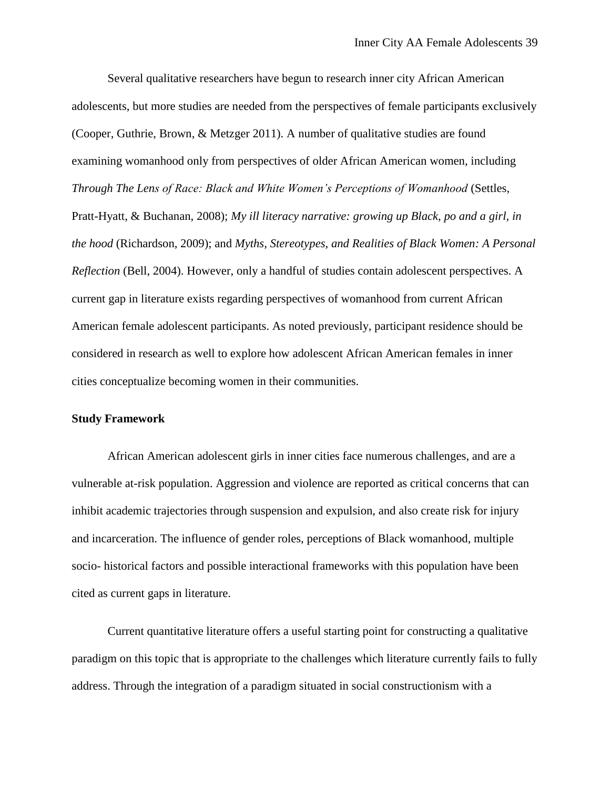Several qualitative researchers have begun to research inner city African American adolescents, but more studies are needed from the perspectives of female participants exclusively (Cooper, Guthrie, Brown, & Metzger 2011). A number of qualitative studies are found examining womanhood only from perspectives of older African American women, including *Through The Lens of Race: Black and White Women's Perceptions of Womanhood* (Settles, Pratt-Hyatt, & Buchanan, 2008); *My ill literacy narrative: growing up Black, po and a girl, in the hood* (Richardson, 2009); and *Myths, Stereotypes, and Realities of Black Women: A Personal Reflection* (Bell, 2004). However, only a handful of studies contain adolescent perspectives. A current gap in literature exists regarding perspectives of womanhood from current African American female adolescent participants. As noted previously, participant residence should be considered in research as well to explore how adolescent African American females in inner cities conceptualize becoming women in their communities.

#### **Study Framework**

African American adolescent girls in inner cities face numerous challenges, and are a vulnerable at-risk population. Aggression and violence are reported as critical concerns that can inhibit academic trajectories through suspension and expulsion, and also create risk for injury and incarceration. The influence of gender roles, perceptions of Black womanhood, multiple socio- historical factors and possible interactional frameworks with this population have been cited as current gaps in literature.

Current quantitative literature offers a useful starting point for constructing a qualitative paradigm on this topic that is appropriate to the challenges which literature currently fails to fully address. Through the integration of a paradigm situated in social constructionism with a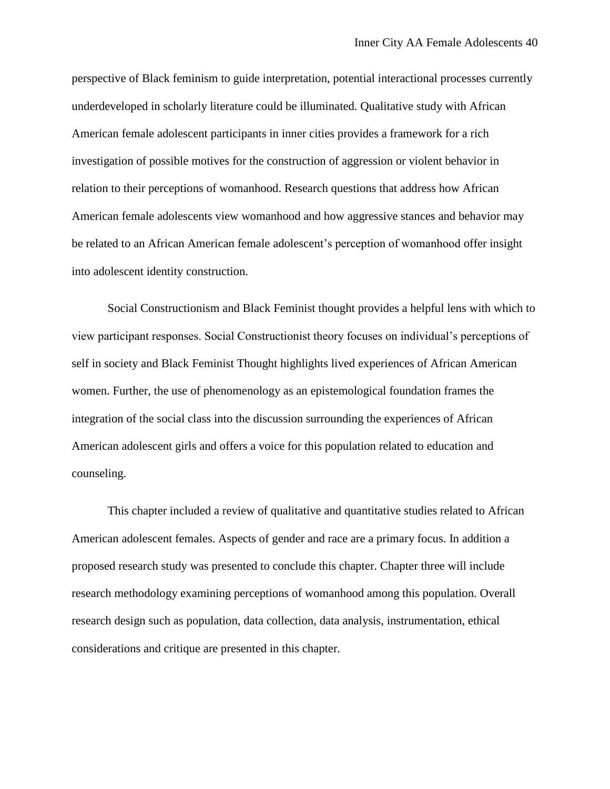perspective of Black feminism to guide interpretation, potential interactional processes currently underdeveloped in scholarly literature could be illuminated. Qualitative study with African American female adolescent participants in inner cities provides a framework for a rich investigation of possible motives for the construction of aggression or violent behavior in relation to their perceptions of womanhood. Research questions that address how African American female adolescents view womanhood and how aggressive stances and behavior may be related to an African American female adolescent's perception of womanhood offer insight into adolescent identity construction.

Social Constructionism and Black Feminist thought provides a helpful lens with which to view participant responses. Social Constructionist theory focuses on individual's perceptions of self in society and Black Feminist Thought highlights lived experiences of African American women. Further, the use of phenomenology as an epistemological foundation frames the integration of the social class into the discussion surrounding the experiences of African American adolescent girls and offers a voice for this population related to education and counseling.

This chapter included a review of qualitative and quantitative studies related to African American adolescent females. Aspects of gender and race are a primary focus. In addition a proposed research study was presented to conclude this chapter. Chapter three will include research methodology examining perceptions of womanhood among this population. Overall research design such as population, data collection, data analysis, instrumentation, ethical considerations and critique are presented in this chapter.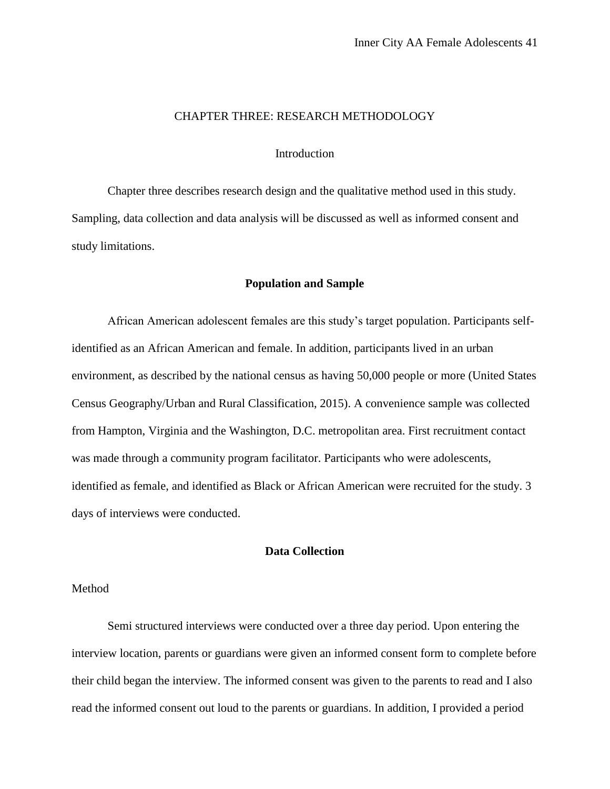## CHAPTER THREE: RESEARCH METHODOLOGY

## Introduction

Chapter three describes research design and the qualitative method used in this study. Sampling, data collection and data analysis will be discussed as well as informed consent and study limitations.

#### **Population and Sample**

African American adolescent females are this study's target population. Participants selfidentified as an African American and female. In addition, participants lived in an urban environment, as described by the national census as having 50,000 people or more (United States Census Geography/Urban and Rural Classification, 2015). A convenience sample was collected from Hampton, Virginia and the Washington, D.C. metropolitan area. First recruitment contact was made through a community program facilitator. Participants who were adolescents, identified as female, and identified as Black or African American were recruited for the study. 3 days of interviews were conducted.

# **Data Collection**

## Method

Semi structured interviews were conducted over a three day period. Upon entering the interview location, parents or guardians were given an informed consent form to complete before their child began the interview. The informed consent was given to the parents to read and I also read the informed consent out loud to the parents or guardians. In addition, I provided a period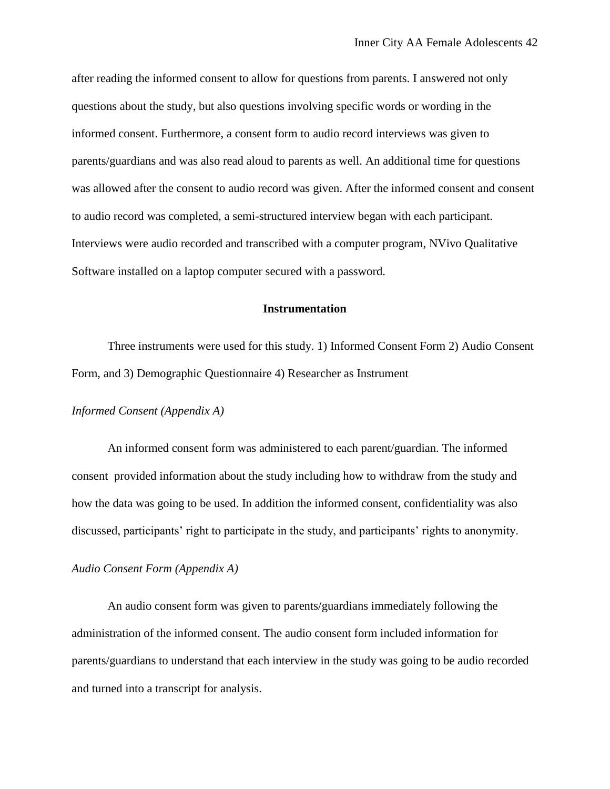after reading the informed consent to allow for questions from parents. I answered not only questions about the study, but also questions involving specific words or wording in the informed consent. Furthermore, a consent form to audio record interviews was given to parents/guardians and was also read aloud to parents as well. An additional time for questions was allowed after the consent to audio record was given. After the informed consent and consent to audio record was completed, a semi-structured interview began with each participant. Interviews were audio recorded and transcribed with a computer program, NVivo Qualitative Software installed on a laptop computer secured with a password.

## **Instrumentation**

Three instruments were used for this study. 1) Informed Consent Form 2) Audio Consent Form, and 3) Demographic Questionnaire 4) Researcher as Instrument

## *Informed Consent (Appendix A)*

An informed consent form was administered to each parent/guardian. The informed consent provided information about the study including how to withdraw from the study and how the data was going to be used. In addition the informed consent, confidentiality was also discussed, participants' right to participate in the study, and participants' rights to anonymity.

#### *Audio Consent Form (Appendix A)*

An audio consent form was given to parents/guardians immediately following the administration of the informed consent. The audio consent form included information for parents/guardians to understand that each interview in the study was going to be audio recorded and turned into a transcript for analysis.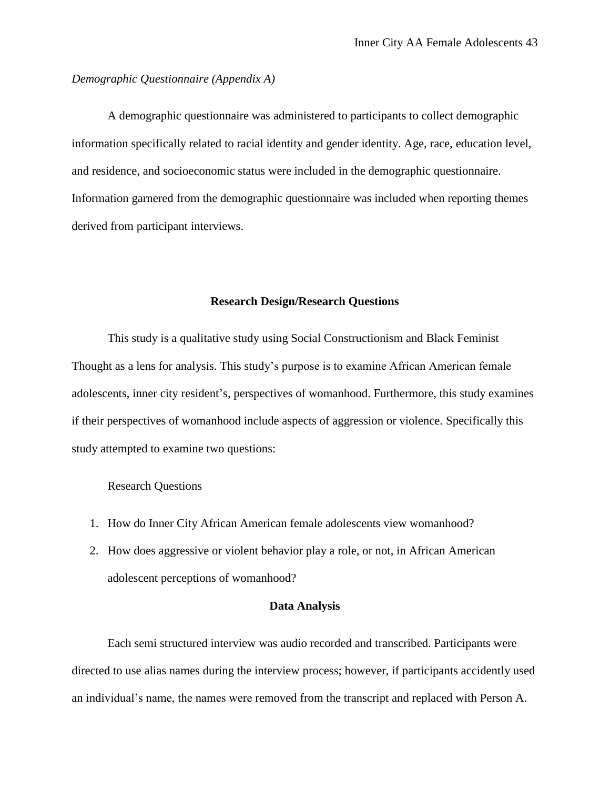*Demographic Questionnaire (Appendix A)*

A demographic questionnaire was administered to participants to collect demographic information specifically related to racial identity and gender identity. Age, race, education level, and residence, and socioeconomic status were included in the demographic questionnaire. Information garnered from the demographic questionnaire was included when reporting themes derived from participant interviews.

# **Research Design/Research Questions**

This study is a qualitative study using Social Constructionism and Black Feminist Thought as a lens for analysis. This study's purpose is to examine African American female adolescents, inner city resident's, perspectives of womanhood. Furthermore, this study examines if their perspectives of womanhood include aspects of aggression or violence. Specifically this study attempted to examine two questions:

#### Research Questions

- 1. How do Inner City African American female adolescents view womanhood?
- 2. How does aggressive or violent behavior play a role, or not, in African American adolescent perceptions of womanhood?

#### **Data Analysis**

Each semi structured interview was audio recorded and transcribed. Participants were directed to use alias names during the interview process; however, if participants accidently used an individual's name, the names were removed from the transcript and replaced with Person A.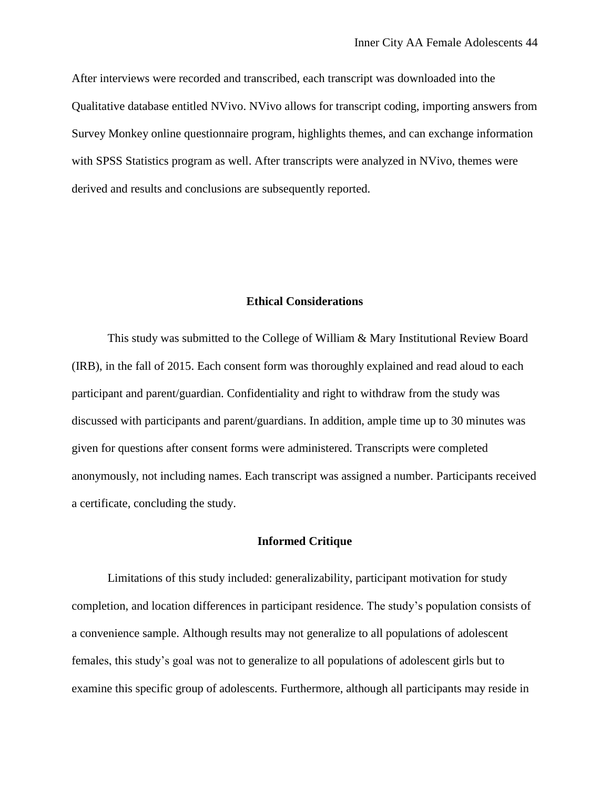After interviews were recorded and transcribed, each transcript was downloaded into the Qualitative database entitled NVivo. NVivo allows for transcript coding, importing answers from Survey Monkey online questionnaire program, highlights themes, and can exchange information with SPSS Statistics program as well. After transcripts were analyzed in NVivo, themes were derived and results and conclusions are subsequently reported.

## **Ethical Considerations**

This study was submitted to the College of William & Mary Institutional Review Board (IRB), in the fall of 2015. Each consent form was thoroughly explained and read aloud to each participant and parent/guardian. Confidentiality and right to withdraw from the study was discussed with participants and parent/guardians. In addition, ample time up to 30 minutes was given for questions after consent forms were administered. Transcripts were completed anonymously, not including names. Each transcript was assigned a number. Participants received a certificate, concluding the study.

## **Informed Critique**

Limitations of this study included: generalizability, participant motivation for study completion, and location differences in participant residence. The study's population consists of a convenience sample. Although results may not generalize to all populations of adolescent females, this study's goal was not to generalize to all populations of adolescent girls but to examine this specific group of adolescents. Furthermore, although all participants may reside in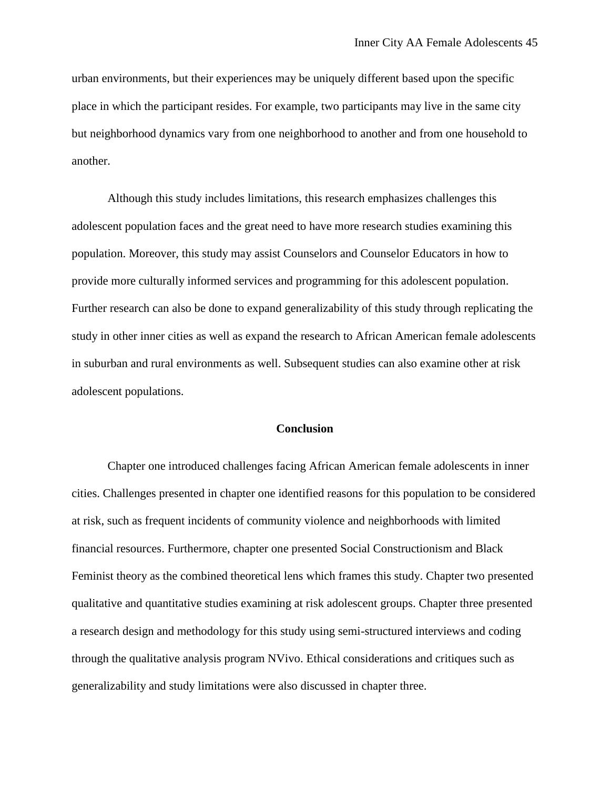urban environments, but their experiences may be uniquely different based upon the specific place in which the participant resides. For example, two participants may live in the same city but neighborhood dynamics vary from one neighborhood to another and from one household to another.

Although this study includes limitations, this research emphasizes challenges this adolescent population faces and the great need to have more research studies examining this population. Moreover, this study may assist Counselors and Counselor Educators in how to provide more culturally informed services and programming for this adolescent population. Further research can also be done to expand generalizability of this study through replicating the study in other inner cities as well as expand the research to African American female adolescents in suburban and rural environments as well. Subsequent studies can also examine other at risk adolescent populations.

### **Conclusion**

Chapter one introduced challenges facing African American female adolescents in inner cities. Challenges presented in chapter one identified reasons for this population to be considered at risk, such as frequent incidents of community violence and neighborhoods with limited financial resources. Furthermore, chapter one presented Social Constructionism and Black Feminist theory as the combined theoretical lens which frames this study. Chapter two presented qualitative and quantitative studies examining at risk adolescent groups. Chapter three presented a research design and methodology for this study using semi-structured interviews and coding through the qualitative analysis program NVivo. Ethical considerations and critiques such as generalizability and study limitations were also discussed in chapter three.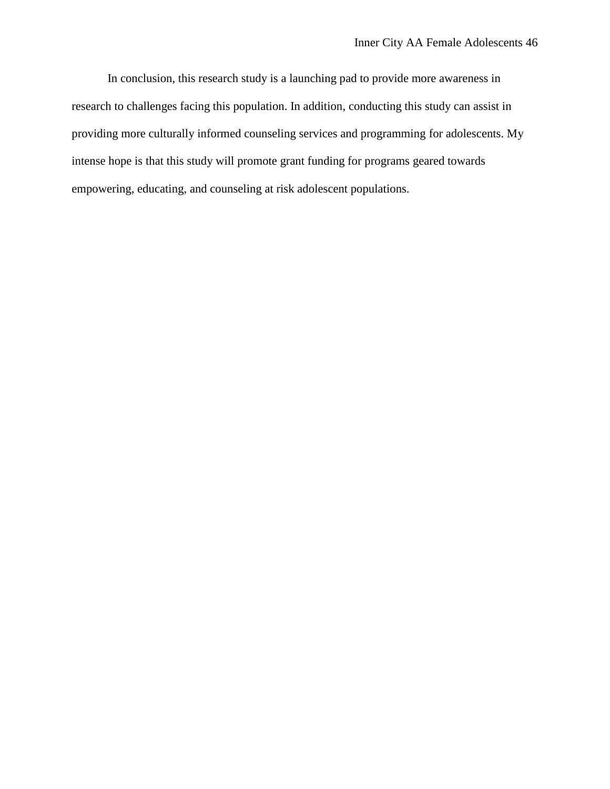In conclusion, this research study is a launching pad to provide more awareness in research to challenges facing this population. In addition, conducting this study can assist in providing more culturally informed counseling services and programming for adolescents. My intense hope is that this study will promote grant funding for programs geared towards empowering, educating, and counseling at risk adolescent populations.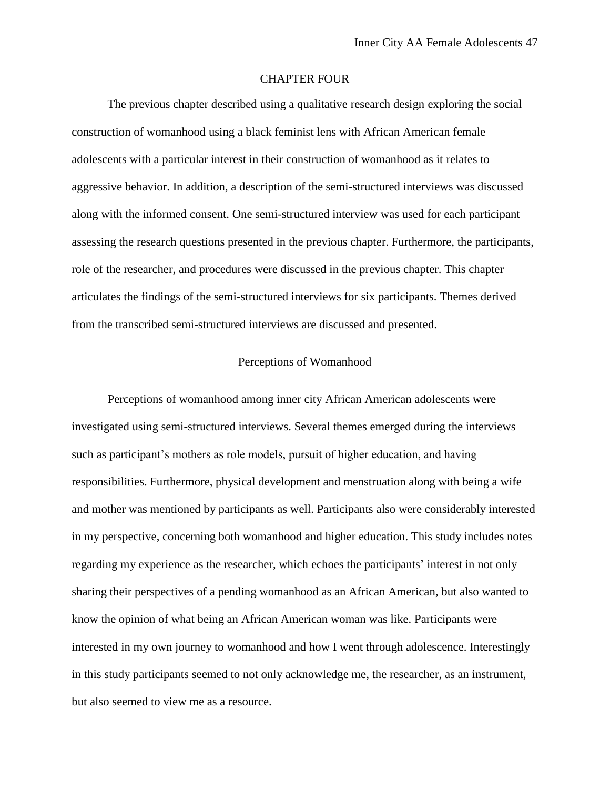## CHAPTER FOUR

The previous chapter described using a qualitative research design exploring the social construction of womanhood using a black feminist lens with African American female adolescents with a particular interest in their construction of womanhood as it relates to aggressive behavior. In addition, a description of the semi-structured interviews was discussed along with the informed consent. One semi-structured interview was used for each participant assessing the research questions presented in the previous chapter. Furthermore, the participants, role of the researcher, and procedures were discussed in the previous chapter. This chapter articulates the findings of the semi-structured interviews for six participants. Themes derived from the transcribed semi-structured interviews are discussed and presented.

## Perceptions of Womanhood

Perceptions of womanhood among inner city African American adolescents were investigated using semi-structured interviews. Several themes emerged during the interviews such as participant's mothers as role models, pursuit of higher education, and having responsibilities. Furthermore, physical development and menstruation along with being a wife and mother was mentioned by participants as well. Participants also were considerably interested in my perspective, concerning both womanhood and higher education. This study includes notes regarding my experience as the researcher, which echoes the participants' interest in not only sharing their perspectives of a pending womanhood as an African American, but also wanted to know the opinion of what being an African American woman was like. Participants were interested in my own journey to womanhood and how I went through adolescence. Interestingly in this study participants seemed to not only acknowledge me, the researcher, as an instrument, but also seemed to view me as a resource.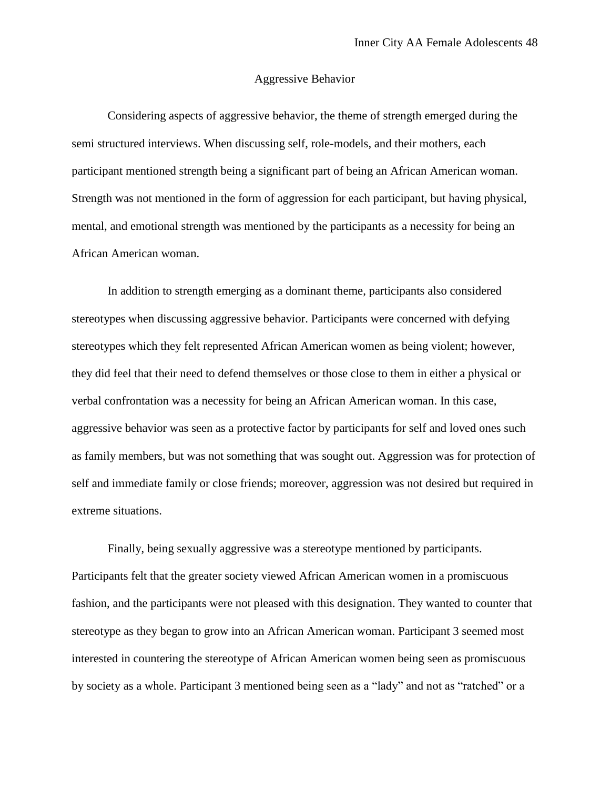#### Aggressive Behavior

Considering aspects of aggressive behavior, the theme of strength emerged during the semi structured interviews. When discussing self, role-models, and their mothers, each participant mentioned strength being a significant part of being an African American woman. Strength was not mentioned in the form of aggression for each participant, but having physical, mental, and emotional strength was mentioned by the participants as a necessity for being an African American woman.

In addition to strength emerging as a dominant theme, participants also considered stereotypes when discussing aggressive behavior. Participants were concerned with defying stereotypes which they felt represented African American women as being violent; however, they did feel that their need to defend themselves or those close to them in either a physical or verbal confrontation was a necessity for being an African American woman. In this case, aggressive behavior was seen as a protective factor by participants for self and loved ones such as family members, but was not something that was sought out. Aggression was for protection of self and immediate family or close friends; moreover, aggression was not desired but required in extreme situations.

Finally, being sexually aggressive was a stereotype mentioned by participants. Participants felt that the greater society viewed African American women in a promiscuous fashion, and the participants were not pleased with this designation. They wanted to counter that stereotype as they began to grow into an African American woman. Participant 3 seemed most interested in countering the stereotype of African American women being seen as promiscuous by society as a whole. Participant 3 mentioned being seen as a "lady" and not as "ratched" or a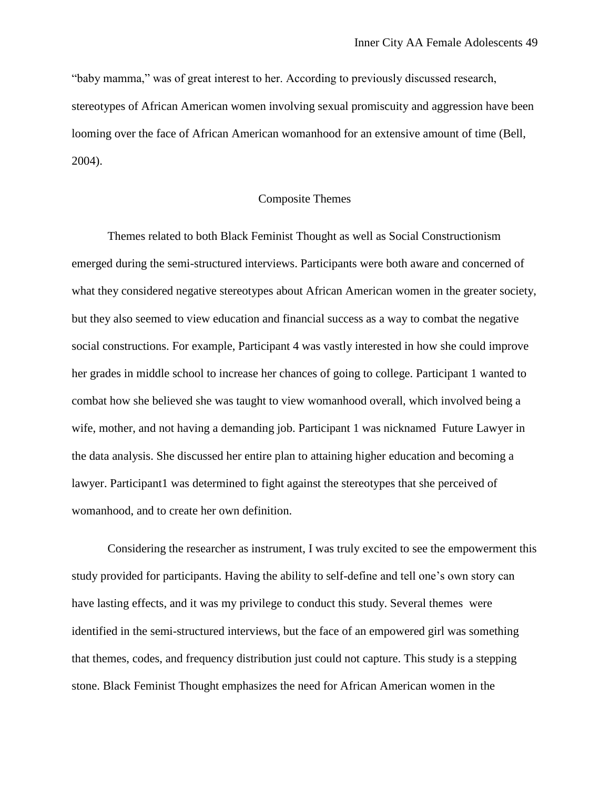"baby mamma," was of great interest to her. According to previously discussed research, stereotypes of African American women involving sexual promiscuity and aggression have been looming over the face of African American womanhood for an extensive amount of time (Bell, 2004).

#### Composite Themes

Themes related to both Black Feminist Thought as well as Social Constructionism emerged during the semi-structured interviews. Participants were both aware and concerned of what they considered negative stereotypes about African American women in the greater society, but they also seemed to view education and financial success as a way to combat the negative social constructions. For example, Participant 4 was vastly interested in how she could improve her grades in middle school to increase her chances of going to college. Participant 1 wanted to combat how she believed she was taught to view womanhood overall, which involved being a wife, mother, and not having a demanding job. Participant 1 was nicknamed Future Lawyer in the data analysis. She discussed her entire plan to attaining higher education and becoming a lawyer. Participant1 was determined to fight against the stereotypes that she perceived of womanhood, and to create her own definition.

Considering the researcher as instrument, I was truly excited to see the empowerment this study provided for participants. Having the ability to self-define and tell one's own story can have lasting effects, and it was my privilege to conduct this study. Several themes were identified in the semi-structured interviews, but the face of an empowered girl was something that themes, codes, and frequency distribution just could not capture. This study is a stepping stone. Black Feminist Thought emphasizes the need for African American women in the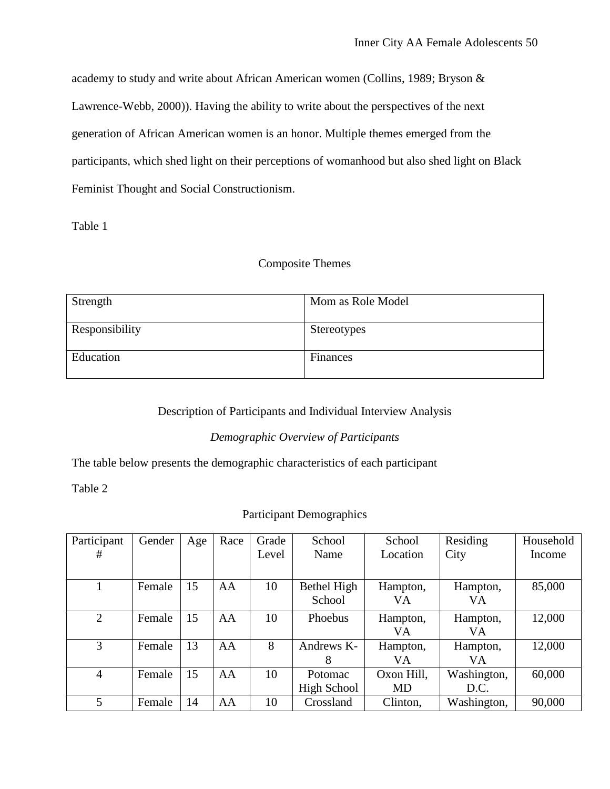academy to study and write about African American women (Collins, 1989; Bryson & Lawrence-Webb, 2000)). Having the ability to write about the perspectives of the next generation of African American women is an honor. Multiple themes emerged from the participants, which shed light on their perceptions of womanhood but also shed light on Black Feminist Thought and Social Constructionism.

Table 1

# Composite Themes

| Strength       | Mom as Role Model  |
|----------------|--------------------|
| Responsibility | <b>Stereotypes</b> |
| Education      | Finances           |

# Description of Participants and Individual Interview Analysis

# *Demographic Overview of Participants*

The table below presents the demographic characteristics of each participant

Table 2

# Participant Demographics

| Participant    | Gender | Age | Race | Grade | School      | School     | Residing    | Household |
|----------------|--------|-----|------|-------|-------------|------------|-------------|-----------|
| #              |        |     |      | Level | Name        | Location   | City        | Income    |
|                |        |     |      |       |             |            |             |           |
|                | Female | 15  | AA   | 10    | Bethel High | Hampton,   | Hampton,    | 85,000    |
|                |        |     |      |       | School      | VA         | VA          |           |
| 2              | Female | 15  | AA   | 10    | Phoebus     | Hampton,   | Hampton,    | 12,000    |
|                |        |     |      |       |             | VA         | VA          |           |
| 3              | Female | 13  | AA   | 8     | Andrews K-  | Hampton,   | Hampton,    | 12,000    |
|                |        |     |      |       | 8           | VA         | VA          |           |
| $\overline{4}$ | Female | 15  | AA   | 10    | Potomac     | Oxon Hill, | Washington, | 60,000    |
|                |        |     |      |       | High School | MD         | D.C.        |           |
| 5              | Female | 14  | AA   | 10    | Crossland   | Clinton,   | Washington, | 90,000    |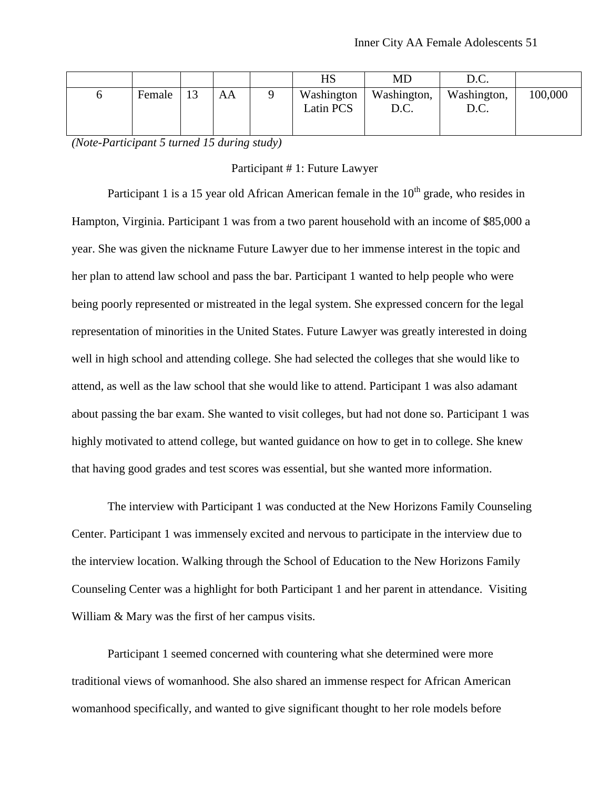|        |    |    | HS                             | MD                  | D.C.                |         |
|--------|----|----|--------------------------------|---------------------|---------------------|---------|
| Female | 13 | AA | Washington<br><b>Latin PCS</b> | Washington,<br>D.C. | Washington,<br>D.C. | 100,000 |

*(Note-Participant 5 turned 15 during study)*

#### Participant # 1: Future Lawyer

Participant 1 is a 15 year old African American female in the  $10<sup>th</sup>$  grade, who resides in Hampton, Virginia. Participant 1 was from a two parent household with an income of \$85,000 a year. She was given the nickname Future Lawyer due to her immense interest in the topic and her plan to attend law school and pass the bar. Participant 1 wanted to help people who were being poorly represented or mistreated in the legal system. She expressed concern for the legal representation of minorities in the United States. Future Lawyer was greatly interested in doing well in high school and attending college. She had selected the colleges that she would like to attend, as well as the law school that she would like to attend. Participant 1 was also adamant about passing the bar exam. She wanted to visit colleges, but had not done so. Participant 1 was highly motivated to attend college, but wanted guidance on how to get in to college. She knew that having good grades and test scores was essential, but she wanted more information.

The interview with Participant 1 was conducted at the New Horizons Family Counseling Center. Participant 1 was immensely excited and nervous to participate in the interview due to the interview location. Walking through the School of Education to the New Horizons Family Counseling Center was a highlight for both Participant 1 and her parent in attendance. Visiting William & Mary was the first of her campus visits.

Participant 1 seemed concerned with countering what she determined were more traditional views of womanhood. She also shared an immense respect for African American womanhood specifically, and wanted to give significant thought to her role models before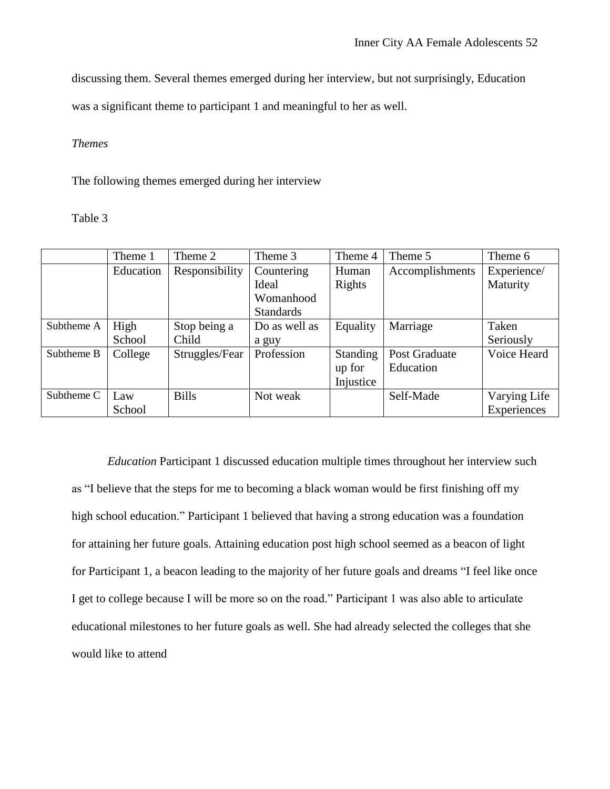discussing them. Several themes emerged during her interview, but not surprisingly, Education

was a significant theme to participant 1 and meaningful to her as well.

## *Themes*

The following themes emerged during her interview

Table 3

|            | Theme 1   | Theme 2        | Theme 3          | Theme 4         | Theme 5         | Theme 6      |
|------------|-----------|----------------|------------------|-----------------|-----------------|--------------|
|            | Education | Responsibility | Countering       | Human           | Accomplishments | Experience/  |
|            |           |                | Ideal            | Rights          |                 | Maturity     |
|            |           |                | Womanhood        |                 |                 |              |
|            |           |                | <b>Standards</b> |                 |                 |              |
| Subtheme A | High      | Stop being a   | Do as well as    | Equality        | Marriage        | Taken        |
|            | School    | Child          | a guy            |                 |                 | Seriously    |
| Subtheme B | College   | Struggles/Fear | Profession       | <b>Standing</b> | Post Graduate   | Voice Heard  |
|            |           |                |                  | up for          | Education       |              |
|            |           |                |                  | Injustice       |                 |              |
| Subtheme C | Law       | <b>Bills</b>   | Not weak         |                 | Self-Made       | Varying Life |
|            | School    |                |                  |                 |                 | Experiences  |

*Education* Participant 1 discussed education multiple times throughout her interview such as "I believe that the steps for me to becoming a black woman would be first finishing off my high school education." Participant 1 believed that having a strong education was a foundation for attaining her future goals. Attaining education post high school seemed as a beacon of light for Participant 1, a beacon leading to the majority of her future goals and dreams "I feel like once I get to college because I will be more so on the road." Participant 1 was also able to articulate educational milestones to her future goals as well. She had already selected the colleges that she would like to attend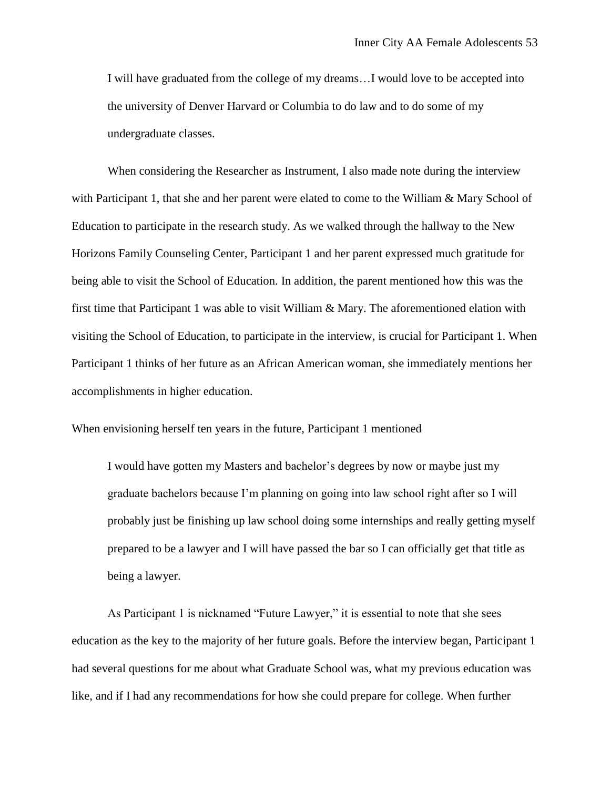I will have graduated from the college of my dreams…I would love to be accepted into the university of Denver Harvard or Columbia to do law and to do some of my undergraduate classes.

When considering the Researcher as Instrument, I also made note during the interview with Participant 1, that she and her parent were elated to come to the William & Mary School of Education to participate in the research study. As we walked through the hallway to the New Horizons Family Counseling Center, Participant 1 and her parent expressed much gratitude for being able to visit the School of Education. In addition, the parent mentioned how this was the first time that Participant 1 was able to visit William & Mary. The aforementioned elation with visiting the School of Education, to participate in the interview, is crucial for Participant 1. When Participant 1 thinks of her future as an African American woman, she immediately mentions her accomplishments in higher education.

When envisioning herself ten years in the future, Participant 1 mentioned

I would have gotten my Masters and bachelor's degrees by now or maybe just my graduate bachelors because I'm planning on going into law school right after so I will probably just be finishing up law school doing some internships and really getting myself prepared to be a lawyer and I will have passed the bar so I can officially get that title as being a lawyer.

As Participant 1 is nicknamed "Future Lawyer," it is essential to note that she sees education as the key to the majority of her future goals. Before the interview began, Participant 1 had several questions for me about what Graduate School was, what my previous education was like, and if I had any recommendations for how she could prepare for college. When further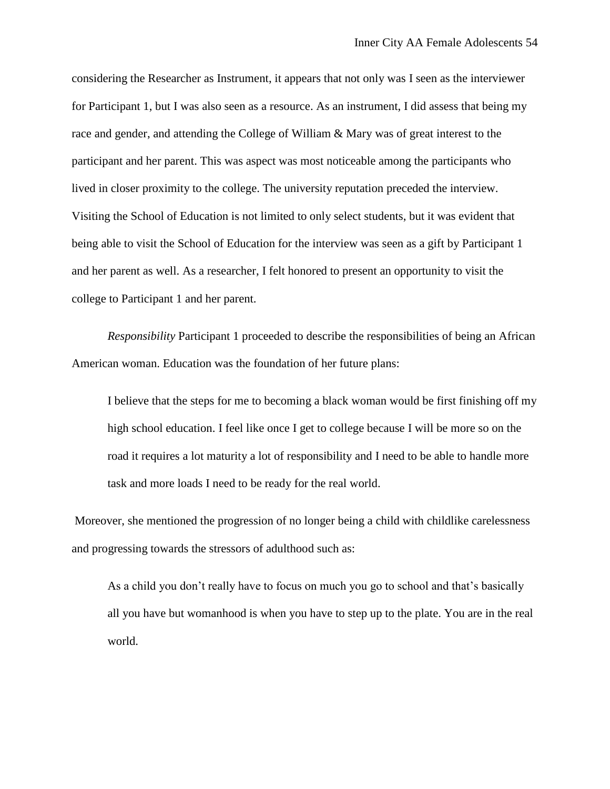considering the Researcher as Instrument, it appears that not only was I seen as the interviewer for Participant 1, but I was also seen as a resource. As an instrument, I did assess that being my race and gender, and attending the College of William & Mary was of great interest to the participant and her parent. This was aspect was most noticeable among the participants who lived in closer proximity to the college. The university reputation preceded the interview. Visiting the School of Education is not limited to only select students, but it was evident that being able to visit the School of Education for the interview was seen as a gift by Participant 1 and her parent as well. As a researcher, I felt honored to present an opportunity to visit the college to Participant 1 and her parent.

*Responsibility* Participant 1 proceeded to describe the responsibilities of being an African American woman. Education was the foundation of her future plans:

I believe that the steps for me to becoming a black woman would be first finishing off my high school education. I feel like once I get to college because I will be more so on the road it requires a lot maturity a lot of responsibility and I need to be able to handle more task and more loads I need to be ready for the real world.

Moreover, she mentioned the progression of no longer being a child with childlike carelessness and progressing towards the stressors of adulthood such as:

As a child you don't really have to focus on much you go to school and that's basically all you have but womanhood is when you have to step up to the plate. You are in the real world.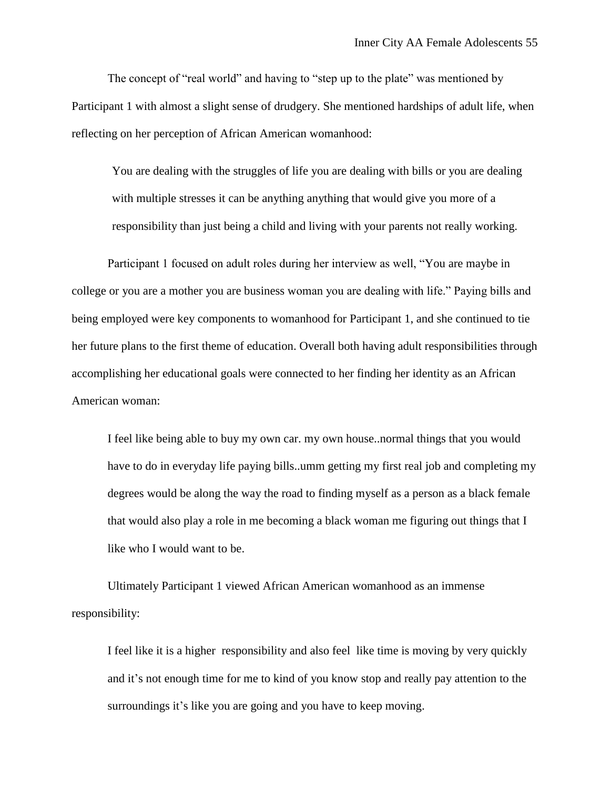The concept of "real world" and having to "step up to the plate" was mentioned by Participant 1 with almost a slight sense of drudgery. She mentioned hardships of adult life, when reflecting on her perception of African American womanhood:

You are dealing with the struggles of life you are dealing with bills or you are dealing with multiple stresses it can be anything anything that would give you more of a responsibility than just being a child and living with your parents not really working.

Participant 1 focused on adult roles during her interview as well, "You are maybe in college or you are a mother you are business woman you are dealing with life." Paying bills and being employed were key components to womanhood for Participant 1, and she continued to tie her future plans to the first theme of education. Overall both having adult responsibilities through accomplishing her educational goals were connected to her finding her identity as an African American woman:

I feel like being able to buy my own car. my own house..normal things that you would have to do in everyday life paying bills..umm getting my first real job and completing my degrees would be along the way the road to finding myself as a person as a black female that would also play a role in me becoming a black woman me figuring out things that I like who I would want to be.

Ultimately Participant 1 viewed African American womanhood as an immense responsibility:

I feel like it is a higher responsibility and also feel like time is moving by very quickly and it's not enough time for me to kind of you know stop and really pay attention to the surroundings it's like you are going and you have to keep moving.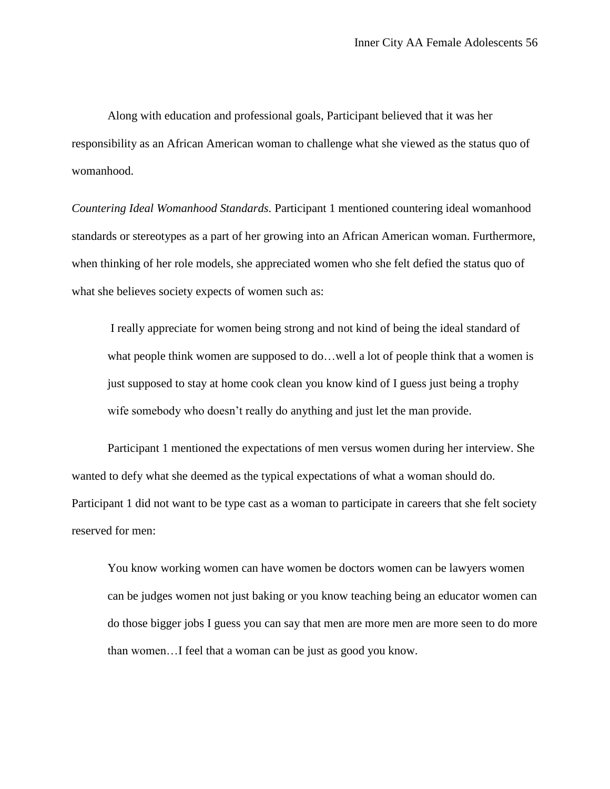Along with education and professional goals, Participant believed that it was her responsibility as an African American woman to challenge what she viewed as the status quo of womanhood.

*Countering Ideal Womanhood Standards.* Participant 1 mentioned countering ideal womanhood standards or stereotypes as a part of her growing into an African American woman. Furthermore, when thinking of her role models, she appreciated women who she felt defied the status quo of what she believes society expects of women such as:

I really appreciate for women being strong and not kind of being the ideal standard of what people think women are supposed to do…well a lot of people think that a women is just supposed to stay at home cook clean you know kind of I guess just being a trophy wife somebody who doesn't really do anything and just let the man provide.

Participant 1 mentioned the expectations of men versus women during her interview. She wanted to defy what she deemed as the typical expectations of what a woman should do. Participant 1 did not want to be type cast as a woman to participate in careers that she felt society reserved for men:

You know working women can have women be doctors women can be lawyers women can be judges women not just baking or you know teaching being an educator women can do those bigger jobs I guess you can say that men are more men are more seen to do more than women…I feel that a woman can be just as good you know.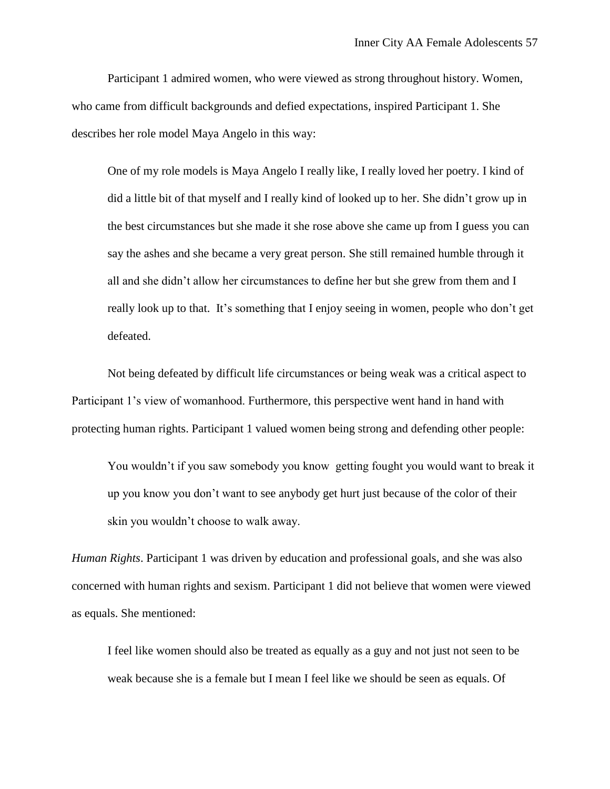Participant 1 admired women, who were viewed as strong throughout history. Women, who came from difficult backgrounds and defied expectations, inspired Participant 1. She describes her role model Maya Angelo in this way:

One of my role models is Maya Angelo I really like, I really loved her poetry. I kind of did a little bit of that myself and I really kind of looked up to her. She didn't grow up in the best circumstances but she made it she rose above she came up from I guess you can say the ashes and she became a very great person. She still remained humble through it all and she didn't allow her circumstances to define her but she grew from them and I really look up to that. It's something that I enjoy seeing in women, people who don't get defeated.

Not being defeated by difficult life circumstances or being weak was a critical aspect to Participant 1's view of womanhood. Furthermore, this perspective went hand in hand with protecting human rights. Participant 1 valued women being strong and defending other people:

You wouldn't if you saw somebody you know getting fought you would want to break it up you know you don't want to see anybody get hurt just because of the color of their skin you wouldn't choose to walk away.

*Human Rights*. Participant 1 was driven by education and professional goals, and she was also concerned with human rights and sexism. Participant 1 did not believe that women were viewed as equals. She mentioned:

I feel like women should also be treated as equally as a guy and not just not seen to be weak because she is a female but I mean I feel like we should be seen as equals. Of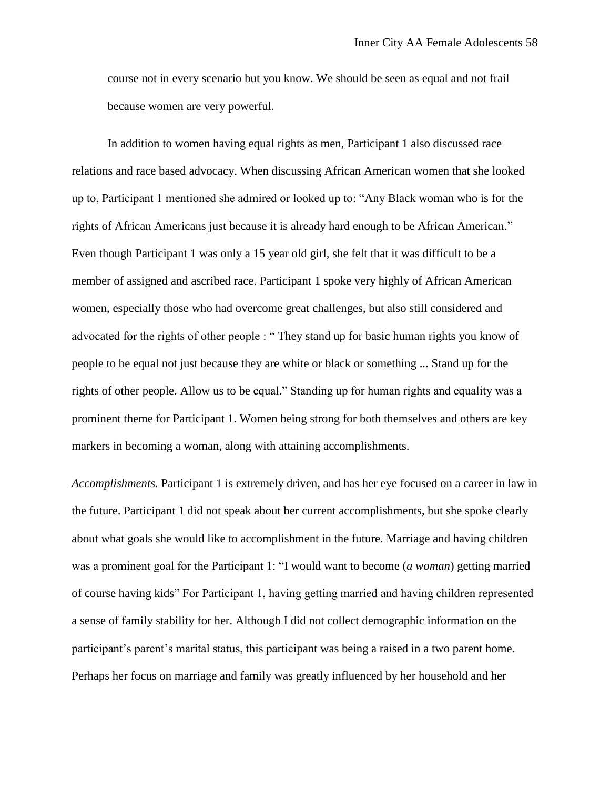course not in every scenario but you know. We should be seen as equal and not frail because women are very powerful.

In addition to women having equal rights as men, Participant 1 also discussed race relations and race based advocacy. When discussing African American women that she looked up to, Participant 1 mentioned she admired or looked up to: "Any Black woman who is for the rights of African Americans just because it is already hard enough to be African American." Even though Participant 1 was only a 15 year old girl, she felt that it was difficult to be a member of assigned and ascribed race. Participant 1 spoke very highly of African American women, especially those who had overcome great challenges, but also still considered and advocated for the rights of other people : " They stand up for basic human rights you know of people to be equal not just because they are white or black or something ... Stand up for the rights of other people. Allow us to be equal." Standing up for human rights and equality was a prominent theme for Participant 1. Women being strong for both themselves and others are key markers in becoming a woman, along with attaining accomplishments.

*Accomplishments.* Participant 1 is extremely driven, and has her eye focused on a career in law in the future. Participant 1 did not speak about her current accomplishments, but she spoke clearly about what goals she would like to accomplishment in the future. Marriage and having children was a prominent goal for the Participant 1: "I would want to become (*a woman*) getting married of course having kids" For Participant 1, having getting married and having children represented a sense of family stability for her. Although I did not collect demographic information on the participant's parent's marital status, this participant was being a raised in a two parent home. Perhaps her focus on marriage and family was greatly influenced by her household and her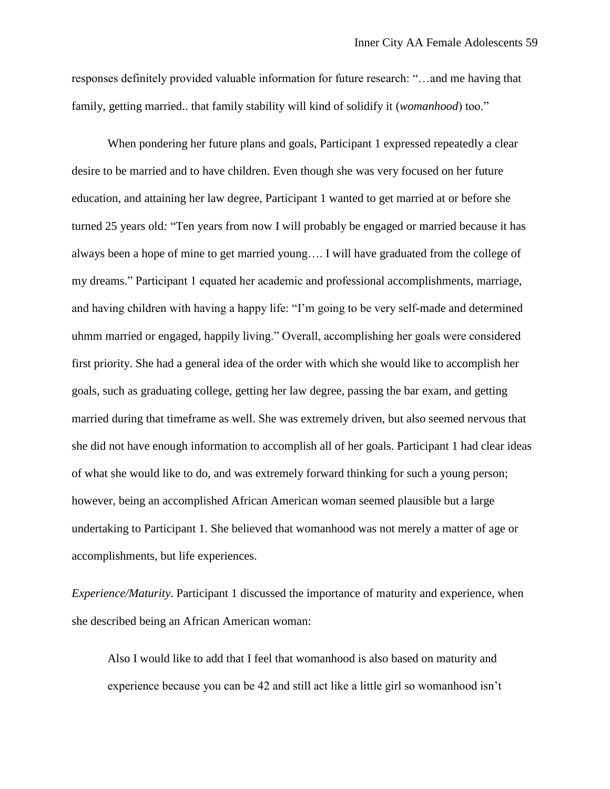responses definitely provided valuable information for future research: "…and me having that family, getting married.. that family stability will kind of solidify it (*womanhood*) too."

When pondering her future plans and goals, Participant 1 expressed repeatedly a clear desire to be married and to have children. Even though she was very focused on her future education, and attaining her law degree, Participant 1 wanted to get married at or before she turned 25 years old*:* "Ten years from now I will probably be engaged or married because it has always been a hope of mine to get married young…. I will have graduated from the college of my dreams." Participant 1 equated her academic and professional accomplishments, marriage, and having children with having a happy life: "I'm going to be very self-made and determined uhmm married or engaged, happily living." Overall, accomplishing her goals were considered first priority. She had a general idea of the order with which she would like to accomplish her goals, such as graduating college, getting her law degree, passing the bar exam, and getting married during that timeframe as well. She was extremely driven, but also seemed nervous that she did not have enough information to accomplish all of her goals. Participant 1 had clear ideas of what she would like to do, and was extremely forward thinking for such a young person; however, being an accomplished African American woman seemed plausible but a large undertaking to Participant 1. She believed that womanhood was not merely a matter of age or accomplishments, but life experiences.

*Experience/Maturity*. Participant 1 discussed the importance of maturity and experience, when she described being an African American woman:

Also I would like to add that I feel that womanhood is also based on maturity and experience because you can be 42 and still act like a little girl so womanhood isn't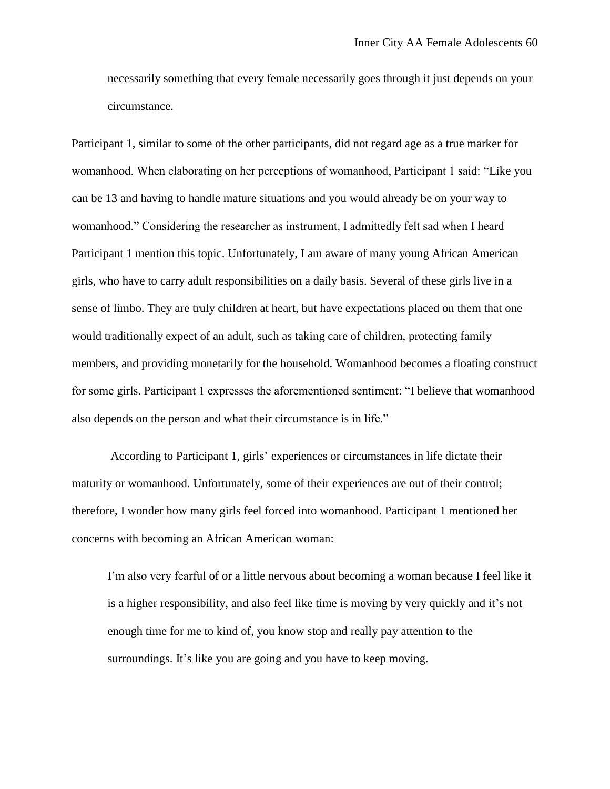necessarily something that every female necessarily goes through it just depends on your circumstance.

Participant 1, similar to some of the other participants, did not regard age as a true marker for womanhood. When elaborating on her perceptions of womanhood, Participant 1 said: "Like you can be 13 and having to handle mature situations and you would already be on your way to womanhood." Considering the researcher as instrument, I admittedly felt sad when I heard Participant 1 mention this topic. Unfortunately, I am aware of many young African American girls, who have to carry adult responsibilities on a daily basis. Several of these girls live in a sense of limbo. They are truly children at heart, but have expectations placed on them that one would traditionally expect of an adult, such as taking care of children, protecting family members, and providing monetarily for the household. Womanhood becomes a floating construct for some girls. Participant 1 expresses the aforementioned sentiment: "I believe that womanhood also depends on the person and what their circumstance is in life."

According to Participant 1, girls' experiences or circumstances in life dictate their maturity or womanhood. Unfortunately, some of their experiences are out of their control; therefore, I wonder how many girls feel forced into womanhood. Participant 1 mentioned her concerns with becoming an African American woman:

I'm also very fearful of or a little nervous about becoming a woman because I feel like it is a higher responsibility, and also feel like time is moving by very quickly and it's not enough time for me to kind of, you know stop and really pay attention to the surroundings. It's like you are going and you have to keep moving.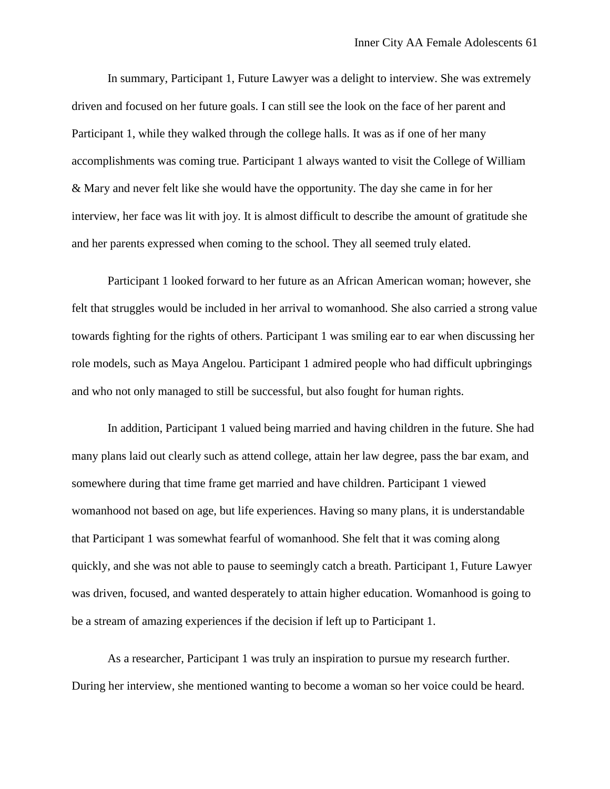In summary, Participant 1, Future Lawyer was a delight to interview. She was extremely driven and focused on her future goals. I can still see the look on the face of her parent and Participant 1, while they walked through the college halls. It was as if one of her many accomplishments was coming true. Participant 1 always wanted to visit the College of William & Mary and never felt like she would have the opportunity. The day she came in for her interview, her face was lit with joy. It is almost difficult to describe the amount of gratitude she and her parents expressed when coming to the school. They all seemed truly elated.

Participant 1 looked forward to her future as an African American woman; however, she felt that struggles would be included in her arrival to womanhood. She also carried a strong value towards fighting for the rights of others. Participant 1 was smiling ear to ear when discussing her role models, such as Maya Angelou. Participant 1 admired people who had difficult upbringings and who not only managed to still be successful, but also fought for human rights.

In addition, Participant 1 valued being married and having children in the future. She had many plans laid out clearly such as attend college, attain her law degree, pass the bar exam, and somewhere during that time frame get married and have children. Participant 1 viewed womanhood not based on age, but life experiences. Having so many plans, it is understandable that Participant 1 was somewhat fearful of womanhood. She felt that it was coming along quickly, and she was not able to pause to seemingly catch a breath. Participant 1, Future Lawyer was driven, focused, and wanted desperately to attain higher education. Womanhood is going to be a stream of amazing experiences if the decision if left up to Participant 1.

As a researcher, Participant 1 was truly an inspiration to pursue my research further. During her interview, she mentioned wanting to become a woman so her voice could be heard.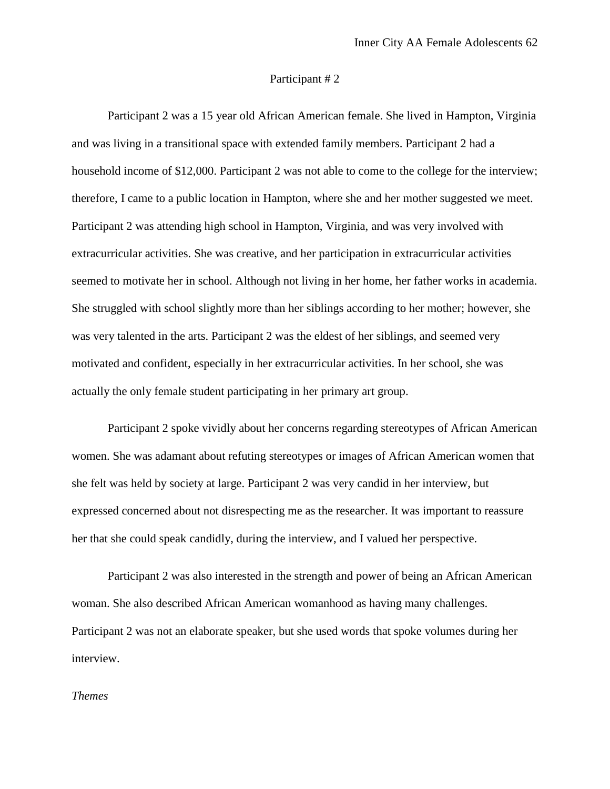#### Participant # 2

Participant 2 was a 15 year old African American female. She lived in Hampton, Virginia and was living in a transitional space with extended family members. Participant 2 had a household income of \$12,000. Participant 2 was not able to come to the college for the interview; therefore, I came to a public location in Hampton, where she and her mother suggested we meet. Participant 2 was attending high school in Hampton, Virginia, and was very involved with extracurricular activities. She was creative, and her participation in extracurricular activities seemed to motivate her in school. Although not living in her home, her father works in academia. She struggled with school slightly more than her siblings according to her mother; however, she was very talented in the arts. Participant 2 was the eldest of her siblings, and seemed very motivated and confident, especially in her extracurricular activities. In her school, she was actually the only female student participating in her primary art group.

Participant 2 spoke vividly about her concerns regarding stereotypes of African American women. She was adamant about refuting stereotypes or images of African American women that she felt was held by society at large. Participant 2 was very candid in her interview, but expressed concerned about not disrespecting me as the researcher. It was important to reassure her that she could speak candidly, during the interview, and I valued her perspective.

Participant 2 was also interested in the strength and power of being an African American woman. She also described African American womanhood as having many challenges. Participant 2 was not an elaborate speaker, but she used words that spoke volumes during her interview.

# *Themes*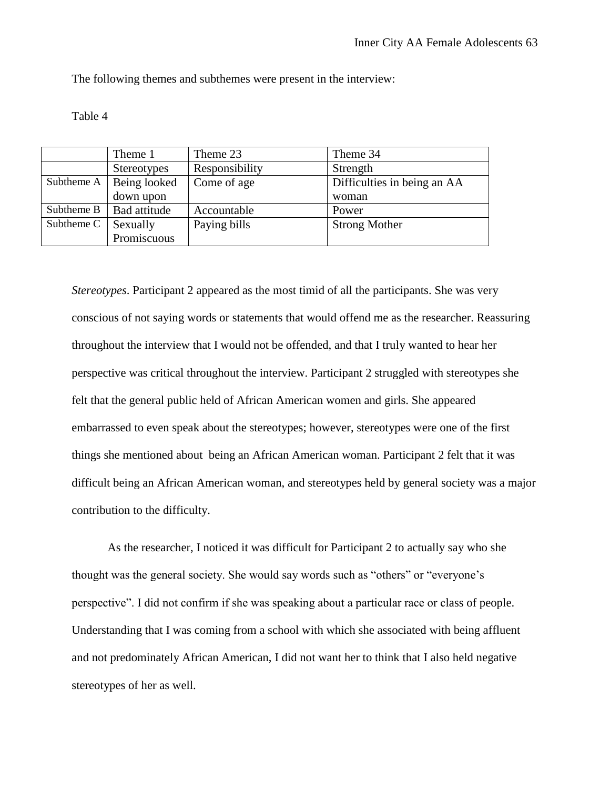The following themes and subthemes were present in the interview:

## Table 4

|            | Theme 1                   | Theme 23       | Theme 34                    |
|------------|---------------------------|----------------|-----------------------------|
|            | <b>Stereotypes</b>        | Responsibility | Strength                    |
|            | Subtheme A   Being looked | Come of age    | Difficulties in being an AA |
|            | down upon                 |                | woman                       |
| Subtheme B | Bad attitude              | Accountable    | Power                       |
| Subtheme C | Sexually                  | Paying bills   | <b>Strong Mother</b>        |
|            | Promiscuous               |                |                             |

*Stereotypes*. Participant 2 appeared as the most timid of all the participants. She was very conscious of not saying words or statements that would offend me as the researcher. Reassuring throughout the interview that I would not be offended, and that I truly wanted to hear her perspective was critical throughout the interview. Participant 2 struggled with stereotypes she felt that the general public held of African American women and girls. She appeared embarrassed to even speak about the stereotypes; however, stereotypes were one of the first things she mentioned about being an African American woman. Participant 2 felt that it was difficult being an African American woman, and stereotypes held by general society was a major contribution to the difficulty.

As the researcher, I noticed it was difficult for Participant 2 to actually say who she thought was the general society. She would say words such as "others" or "everyone's perspective". I did not confirm if she was speaking about a particular race or class of people. Understanding that I was coming from a school with which she associated with being affluent and not predominately African American, I did not want her to think that I also held negative stereotypes of her as well.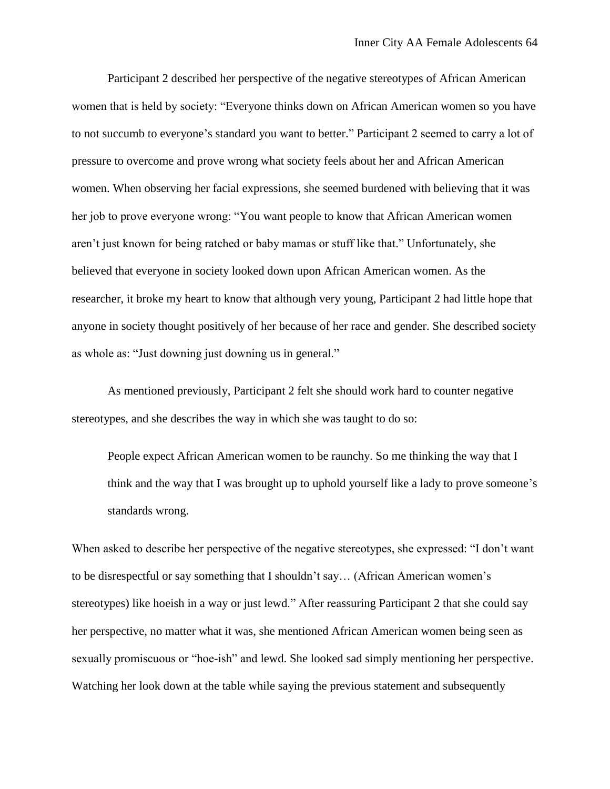Participant 2 described her perspective of the negative stereotypes of African American women that is held by society: "Everyone thinks down on African American women so you have to not succumb to everyone's standard you want to better." Participant 2 seemed to carry a lot of pressure to overcome and prove wrong what society feels about her and African American women. When observing her facial expressions, she seemed burdened with believing that it was her job to prove everyone wrong: "You want people to know that African American women aren't just known for being ratched or baby mamas or stuff like that." Unfortunately, she believed that everyone in society looked down upon African American women. As the researcher, it broke my heart to know that although very young, Participant 2 had little hope that anyone in society thought positively of her because of her race and gender. She described society as whole as: "Just downing just downing us in general."

As mentioned previously, Participant 2 felt she should work hard to counter negative stereotypes, and she describes the way in which she was taught to do so:

People expect African American women to be raunchy. So me thinking the way that I think and the way that I was brought up to uphold yourself like a lady to prove someone's standards wrong.

When asked to describe her perspective of the negative stereotypes, she expressed: "I don't want to be disrespectful or say something that I shouldn't say… (African American women's stereotypes) like hoeish in a way or just lewd." After reassuring Participant 2 that she could say her perspective, no matter what it was, she mentioned African American women being seen as sexually promiscuous or "hoe-ish" and lewd. She looked sad simply mentioning her perspective. Watching her look down at the table while saying the previous statement and subsequently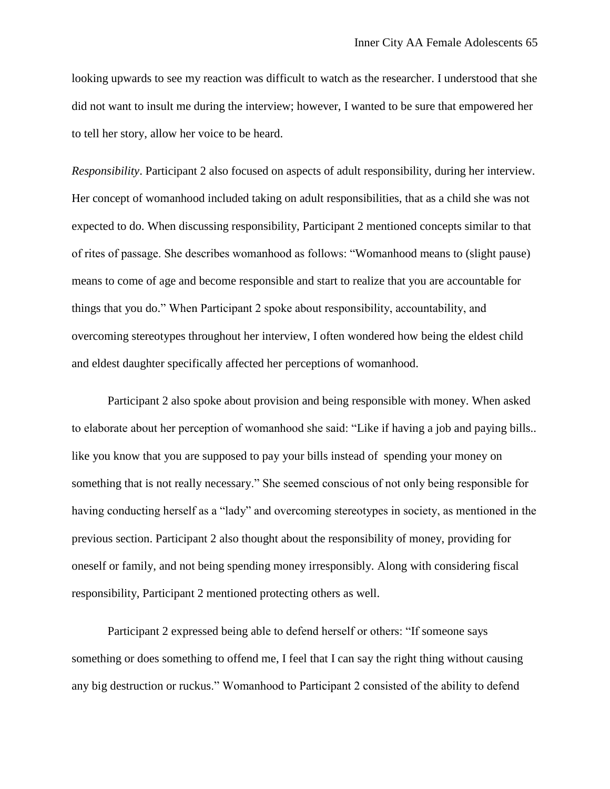looking upwards to see my reaction was difficult to watch as the researcher. I understood that she did not want to insult me during the interview; however, I wanted to be sure that empowered her to tell her story, allow her voice to be heard.

*Responsibility*. Participant 2 also focused on aspects of adult responsibility, during her interview. Her concept of womanhood included taking on adult responsibilities, that as a child she was not expected to do. When discussing responsibility, Participant 2 mentioned concepts similar to that of rites of passage. She describes womanhood as follows: "Womanhood means to (slight pause) means to come of age and become responsible and start to realize that you are accountable for things that you do." When Participant 2 spoke about responsibility, accountability, and overcoming stereotypes throughout her interview, I often wondered how being the eldest child and eldest daughter specifically affected her perceptions of womanhood.

Participant 2 also spoke about provision and being responsible with money. When asked to elaborate about her perception of womanhood she said: "Like if having a job and paying bills.. like you know that you are supposed to pay your bills instead of spending your money on something that is not really necessary." She seemed conscious of not only being responsible for having conducting herself as a "lady" and overcoming stereotypes in society, as mentioned in the previous section. Participant 2 also thought about the responsibility of money, providing for oneself or family, and not being spending money irresponsibly. Along with considering fiscal responsibility, Participant 2 mentioned protecting others as well.

Participant 2 expressed being able to defend herself or others: "If someone says something or does something to offend me, I feel that I can say the right thing without causing any big destruction or ruckus." Womanhood to Participant 2 consisted of the ability to defend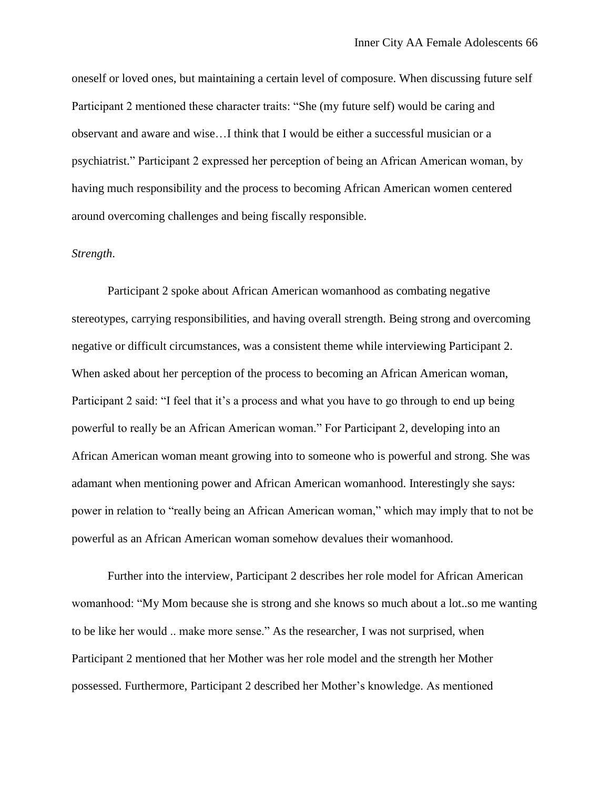oneself or loved ones, but maintaining a certain level of composure. When discussing future self Participant 2 mentioned these character traits: "She (my future self) would be caring and observant and aware and wise…I think that I would be either a successful musician or a psychiatrist." Participant 2 expressed her perception of being an African American woman, by having much responsibility and the process to becoming African American women centered around overcoming challenges and being fiscally responsible.

#### *Strength*.

Participant 2 spoke about African American womanhood as combating negative stereotypes, carrying responsibilities, and having overall strength. Being strong and overcoming negative or difficult circumstances, was a consistent theme while interviewing Participant 2. When asked about her perception of the process to becoming an African American woman, Participant 2 said: "I feel that it's a process and what you have to go through to end up being powerful to really be an African American woman." For Participant 2, developing into an African American woman meant growing into to someone who is powerful and strong. She was adamant when mentioning power and African American womanhood. Interestingly she says: power in relation to "really being an African American woman," which may imply that to not be powerful as an African American woman somehow devalues their womanhood.

Further into the interview, Participant 2 describes her role model for African American womanhood: "My Mom because she is strong and she knows so much about a lot..so me wanting to be like her would .. make more sense." As the researcher, I was not surprised, when Participant 2 mentioned that her Mother was her role model and the strength her Mother possessed. Furthermore, Participant 2 described her Mother's knowledge. As mentioned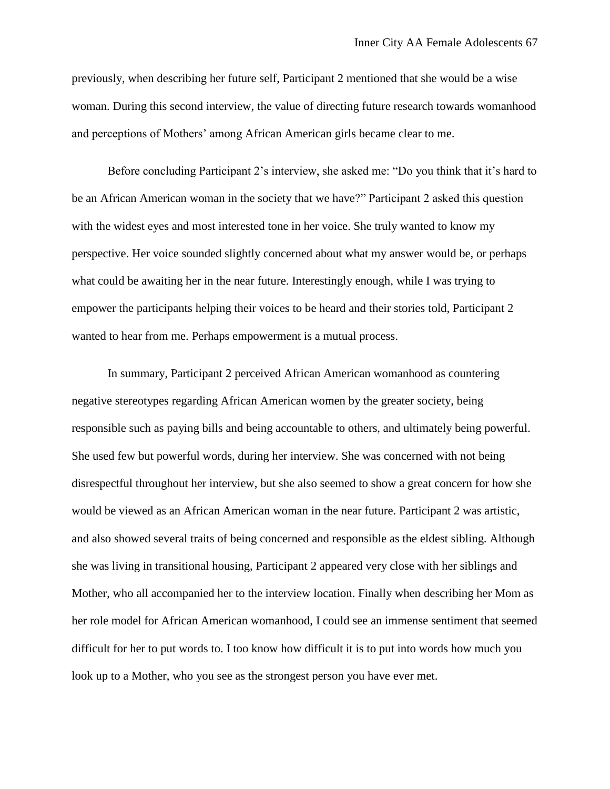previously, when describing her future self, Participant 2 mentioned that she would be a wise woman. During this second interview, the value of directing future research towards womanhood and perceptions of Mothers' among African American girls became clear to me.

Before concluding Participant 2's interview, she asked me: "Do you think that it's hard to be an African American woman in the society that we have?" Participant 2 asked this question with the widest eyes and most interested tone in her voice. She truly wanted to know my perspective. Her voice sounded slightly concerned about what my answer would be, or perhaps what could be awaiting her in the near future. Interestingly enough, while I was trying to empower the participants helping their voices to be heard and their stories told, Participant 2 wanted to hear from me. Perhaps empowerment is a mutual process.

In summary, Participant 2 perceived African American womanhood as countering negative stereotypes regarding African American women by the greater society, being responsible such as paying bills and being accountable to others, and ultimately being powerful. She used few but powerful words, during her interview. She was concerned with not being disrespectful throughout her interview, but she also seemed to show a great concern for how she would be viewed as an African American woman in the near future. Participant 2 was artistic, and also showed several traits of being concerned and responsible as the eldest sibling. Although she was living in transitional housing, Participant 2 appeared very close with her siblings and Mother, who all accompanied her to the interview location. Finally when describing her Mom as her role model for African American womanhood, I could see an immense sentiment that seemed difficult for her to put words to. I too know how difficult it is to put into words how much you look up to a Mother, who you see as the strongest person you have ever met.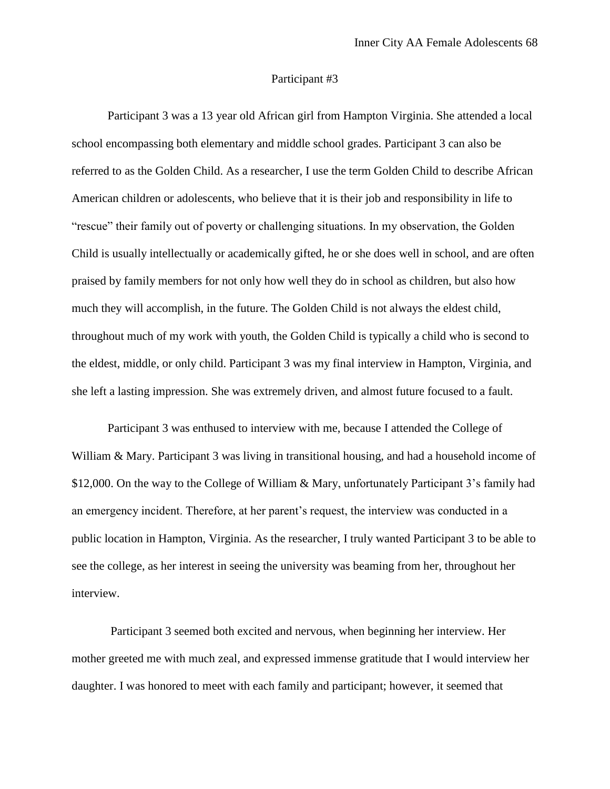#### Participant #3

Participant 3 was a 13 year old African girl from Hampton Virginia. She attended a local school encompassing both elementary and middle school grades. Participant 3 can also be referred to as the Golden Child. As a researcher, I use the term Golden Child to describe African American children or adolescents, who believe that it is their job and responsibility in life to "rescue" their family out of poverty or challenging situations. In my observation, the Golden Child is usually intellectually or academically gifted, he or she does well in school, and are often praised by family members for not only how well they do in school as children, but also how much they will accomplish, in the future. The Golden Child is not always the eldest child, throughout much of my work with youth, the Golden Child is typically a child who is second to the eldest, middle, or only child. Participant 3 was my final interview in Hampton, Virginia, and she left a lasting impression. She was extremely driven, and almost future focused to a fault.

Participant 3 was enthused to interview with me, because I attended the College of William & Mary. Participant 3 was living in transitional housing, and had a household income of \$12,000. On the way to the College of William & Mary, unfortunately Participant 3's family had an emergency incident. Therefore, at her parent's request, the interview was conducted in a public location in Hampton, Virginia. As the researcher, I truly wanted Participant 3 to be able to see the college, as her interest in seeing the university was beaming from her, throughout her interview.

Participant 3 seemed both excited and nervous, when beginning her interview. Her mother greeted me with much zeal, and expressed immense gratitude that I would interview her daughter. I was honored to meet with each family and participant; however, it seemed that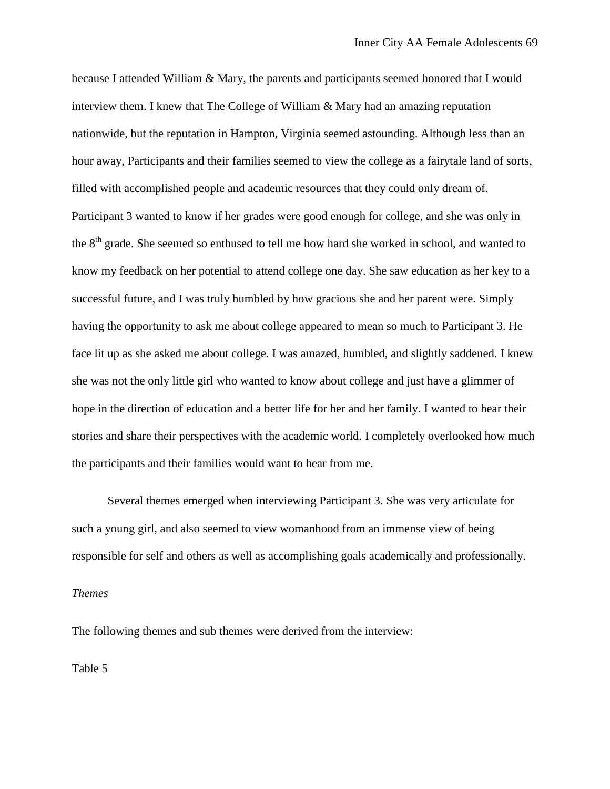because I attended William & Mary, the parents and participants seemed honored that I would interview them. I knew that The College of William & Mary had an amazing reputation nationwide, but the reputation in Hampton, Virginia seemed astounding. Although less than an hour away, Participants and their families seemed to view the college as a fairytale land of sorts, filled with accomplished people and academic resources that they could only dream of. Participant 3 wanted to know if her grades were good enough for college, and she was only in the 8<sup>th</sup> grade. She seemed so enthused to tell me how hard she worked in school, and wanted to know my feedback on her potential to attend college one day. She saw education as her key to a successful future, and I was truly humbled by how gracious she and her parent were. Simply having the opportunity to ask me about college appeared to mean so much to Participant 3. He face lit up as she asked me about college. I was amazed, humbled, and slightly saddened. I knew she was not the only little girl who wanted to know about college and just have a glimmer of hope in the direction of education and a better life for her and her family. I wanted to hear their stories and share their perspectives with the academic world. I completely overlooked how much the participants and their families would want to hear from me.

Several themes emerged when interviewing Participant 3. She was very articulate for such a young girl, and also seemed to view womanhood from an immense view of being responsible for self and others as well as accomplishing goals academically and professionally.

## *Themes*

The following themes and sub themes were derived from the interview:

Table 5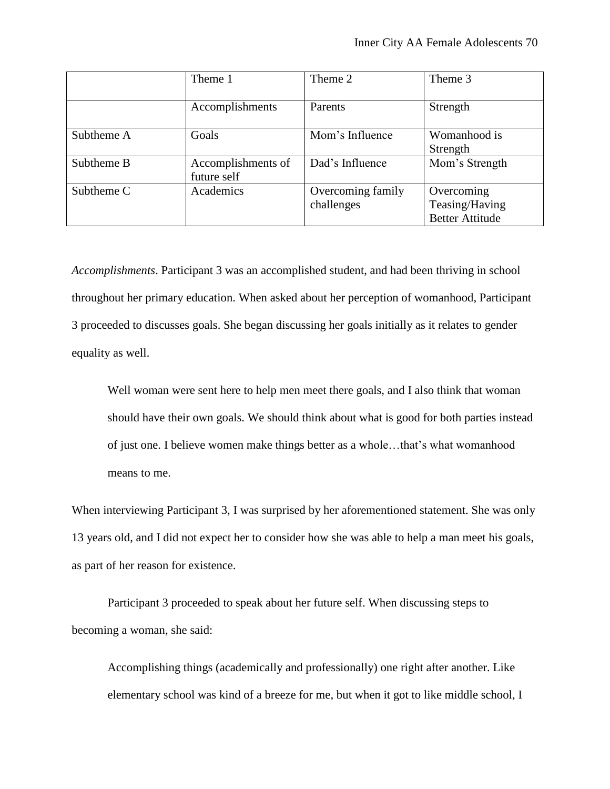|            | Theme 1                           | Theme 2                         | Theme 3                                                |
|------------|-----------------------------------|---------------------------------|--------------------------------------------------------|
|            | Accomplishments                   | Parents                         | Strength                                               |
| Subtheme A | Goals                             | Mom's Influence                 | Womanhood is<br>Strength                               |
| Subtheme B | Accomplishments of<br>future self | Dad's Influence                 | Mom's Strength                                         |
| Subtheme C | Academics                         | Overcoming family<br>challenges | Overcoming<br>Teasing/Having<br><b>Better Attitude</b> |

*Accomplishments*. Participant 3 was an accomplished student, and had been thriving in school throughout her primary education. When asked about her perception of womanhood, Participant 3 proceeded to discusses goals. She began discussing her goals initially as it relates to gender equality as well.

Well woman were sent here to help men meet there goals, and I also think that woman should have their own goals. We should think about what is good for both parties instead of just one. I believe women make things better as a whole…that's what womanhood means to me.

When interviewing Participant 3, I was surprised by her aforementioned statement. She was only 13 years old, and I did not expect her to consider how she was able to help a man meet his goals, as part of her reason for existence.

Participant 3 proceeded to speak about her future self. When discussing steps to becoming a woman, she said:

Accomplishing things (academically and professionally) one right after another. Like elementary school was kind of a breeze for me, but when it got to like middle school, I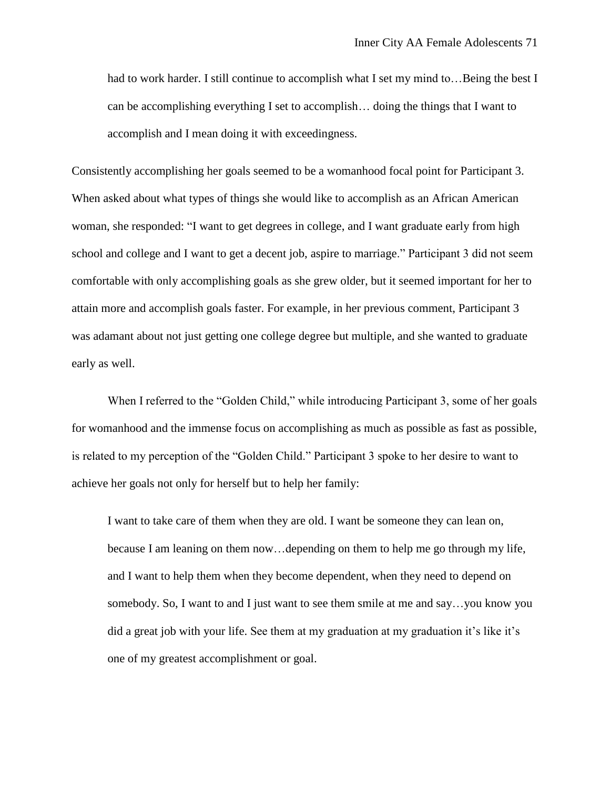had to work harder. I still continue to accomplish what I set my mind to... Being the best I can be accomplishing everything I set to accomplish… doing the things that I want to accomplish and I mean doing it with exceedingness.

Consistently accomplishing her goals seemed to be a womanhood focal point for Participant 3. When asked about what types of things she would like to accomplish as an African American woman, she responded: "I want to get degrees in college, and I want graduate early from high school and college and I want to get a decent job, aspire to marriage." Participant 3 did not seem comfortable with only accomplishing goals as she grew older, but it seemed important for her to attain more and accomplish goals faster. For example, in her previous comment, Participant 3 was adamant about not just getting one college degree but multiple, and she wanted to graduate early as well.

When I referred to the "Golden Child," while introducing Participant 3, some of her goals for womanhood and the immense focus on accomplishing as much as possible as fast as possible, is related to my perception of the "Golden Child." Participant 3 spoke to her desire to want to achieve her goals not only for herself but to help her family:

I want to take care of them when they are old. I want be someone they can lean on, because I am leaning on them now…depending on them to help me go through my life, and I want to help them when they become dependent, when they need to depend on somebody. So, I want to and I just want to see them smile at me and say…you know you did a great job with your life. See them at my graduation at my graduation it's like it's one of my greatest accomplishment or goal.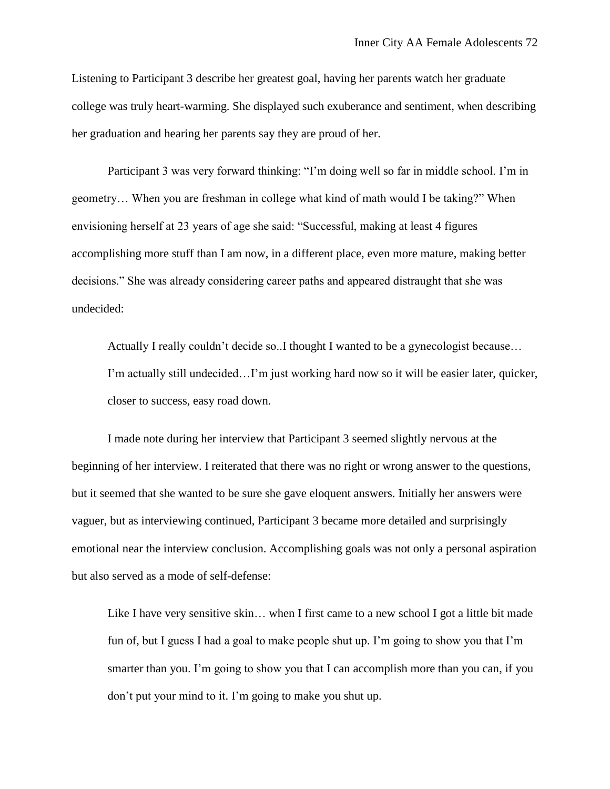Listening to Participant 3 describe her greatest goal, having her parents watch her graduate college was truly heart-warming. She displayed such exuberance and sentiment, when describing her graduation and hearing her parents say they are proud of her.

Participant 3 was very forward thinking: "I'm doing well so far in middle school. I'm in geometry… When you are freshman in college what kind of math would I be taking?" When envisioning herself at 23 years of age she said: "Successful, making at least 4 figures accomplishing more stuff than I am now, in a different place, even more mature, making better decisions." She was already considering career paths and appeared distraught that she was undecided:

Actually I really couldn't decide so..I thought I wanted to be a gynecologist because… I'm actually still undecided…I'm just working hard now so it will be easier later, quicker, closer to success, easy road down.

I made note during her interview that Participant 3 seemed slightly nervous at the beginning of her interview. I reiterated that there was no right or wrong answer to the questions, but it seemed that she wanted to be sure she gave eloquent answers. Initially her answers were vaguer, but as interviewing continued, Participant 3 became more detailed and surprisingly emotional near the interview conclusion. Accomplishing goals was not only a personal aspiration but also served as a mode of self-defense:

Like I have very sensitive skin... when I first came to a new school I got a little bit made fun of, but I guess I had a goal to make people shut up. I'm going to show you that I'm smarter than you. I'm going to show you that I can accomplish more than you can, if you don't put your mind to it. I'm going to make you shut up.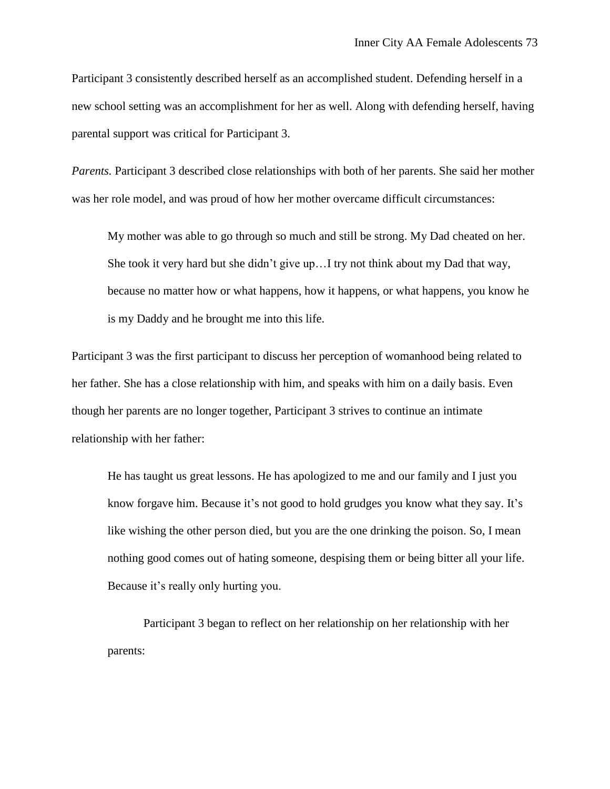Participant 3 consistently described herself as an accomplished student. Defending herself in a new school setting was an accomplishment for her as well. Along with defending herself, having parental support was critical for Participant 3.

*Parents.* Participant 3 described close relationships with both of her parents. She said her mother was her role model, and was proud of how her mother overcame difficult circumstances:

My mother was able to go through so much and still be strong. My Dad cheated on her. She took it very hard but she didn't give up…I try not think about my Dad that way, because no matter how or what happens, how it happens, or what happens, you know he is my Daddy and he brought me into this life.

Participant 3 was the first participant to discuss her perception of womanhood being related to her father. She has a close relationship with him, and speaks with him on a daily basis. Even though her parents are no longer together, Participant 3 strives to continue an intimate relationship with her father:

He has taught us great lessons. He has apologized to me and our family and I just you know forgave him. Because it's not good to hold grudges you know what they say. It's like wishing the other person died, but you are the one drinking the poison. So, I mean nothing good comes out of hating someone, despising them or being bitter all your life. Because it's really only hurting you.

Participant 3 began to reflect on her relationship on her relationship with her parents: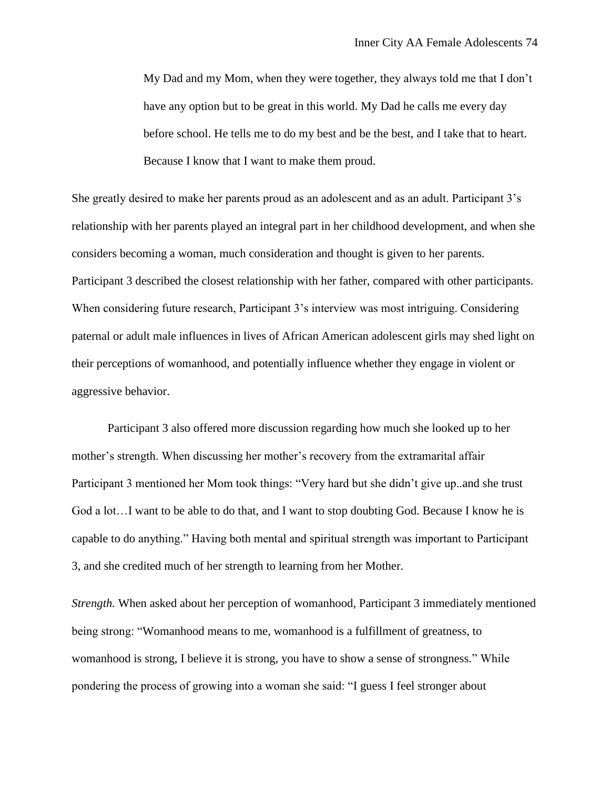My Dad and my Mom, when they were together, they always told me that I don't have any option but to be great in this world. My Dad he calls me every day before school. He tells me to do my best and be the best, and I take that to heart. Because I know that I want to make them proud.

She greatly desired to make her parents proud as an adolescent and as an adult. Participant 3's relationship with her parents played an integral part in her childhood development, and when she considers becoming a woman, much consideration and thought is given to her parents. Participant 3 described the closest relationship with her father, compared with other participants. When considering future research, Participant 3's interview was most intriguing. Considering paternal or adult male influences in lives of African American adolescent girls may shed light on their perceptions of womanhood, and potentially influence whether they engage in violent or aggressive behavior.

Participant 3 also offered more discussion regarding how much she looked up to her mother's strength. When discussing her mother's recovery from the extramarital affair Participant 3 mentioned her Mom took things: "Very hard but she didn't give up..and she trust God a lot…I want to be able to do that, and I want to stop doubting God. Because I know he is capable to do anything." Having both mental and spiritual strength was important to Participant 3, and she credited much of her strength to learning from her Mother.

*Strength.* When asked about her perception of womanhood, Participant 3 immediately mentioned being strong: "Womanhood means to me, womanhood is a fulfillment of greatness, to womanhood is strong, I believe it is strong, you have to show a sense of strongness." While pondering the process of growing into a woman she said: "I guess I feel stronger about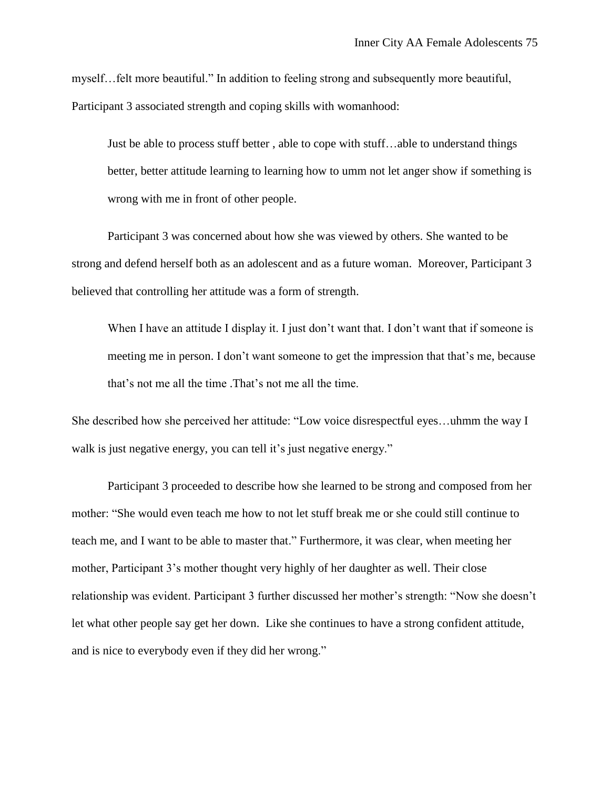myself…felt more beautiful." In addition to feeling strong and subsequently more beautiful, Participant 3 associated strength and coping skills with womanhood:

Just be able to process stuff better , able to cope with stuff…able to understand things better, better attitude learning to learning how to umm not let anger show if something is wrong with me in front of other people.

Participant 3 was concerned about how she was viewed by others. She wanted to be strong and defend herself both as an adolescent and as a future woman. Moreover, Participant 3 believed that controlling her attitude was a form of strength.

When I have an attitude I display it. I just don't want that. I don't want that if someone is meeting me in person. I don't want someone to get the impression that that's me, because that's not me all the time .That's not me all the time.

She described how she perceived her attitude: "Low voice disrespectful eyes…uhmm the way I walk is just negative energy, you can tell it's just negative energy."

Participant 3 proceeded to describe how she learned to be strong and composed from her mother: "She would even teach me how to not let stuff break me or she could still continue to teach me, and I want to be able to master that." Furthermore, it was clear, when meeting her mother, Participant 3's mother thought very highly of her daughter as well. Their close relationship was evident. Participant 3 further discussed her mother's strength: "Now she doesn't let what other people say get her down. Like she continues to have a strong confident attitude, and is nice to everybody even if they did her wrong."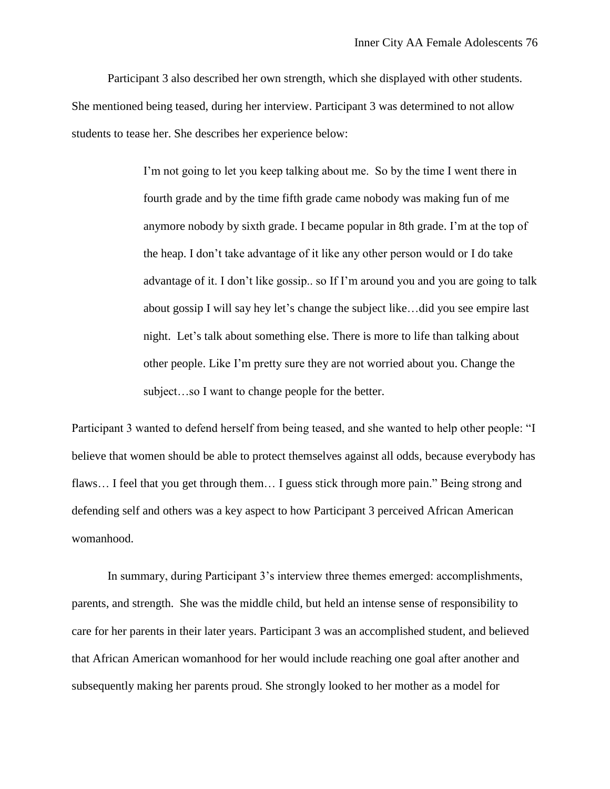Participant 3 also described her own strength, which she displayed with other students. She mentioned being teased, during her interview. Participant 3 was determined to not allow students to tease her. She describes her experience below:

> I'm not going to let you keep talking about me. So by the time I went there in fourth grade and by the time fifth grade came nobody was making fun of me anymore nobody by sixth grade. I became popular in 8th grade. I'm at the top of the heap. I don't take advantage of it like any other person would or I do take advantage of it. I don't like gossip.. so If I'm around you and you are going to talk about gossip I will say hey let's change the subject like…did you see empire last night. Let's talk about something else. There is more to life than talking about other people. Like I'm pretty sure they are not worried about you. Change the subject…so I want to change people for the better.

Participant 3 wanted to defend herself from being teased, and she wanted to help other people: "I believe that women should be able to protect themselves against all odds, because everybody has flaws... I feel that you get through them... I guess stick through more pain." Being strong and defending self and others was a key aspect to how Participant 3 perceived African American womanhood.

In summary, during Participant 3's interview three themes emerged: accomplishments, parents, and strength. She was the middle child, but held an intense sense of responsibility to care for her parents in their later years. Participant 3 was an accomplished student, and believed that African American womanhood for her would include reaching one goal after another and subsequently making her parents proud. She strongly looked to her mother as a model for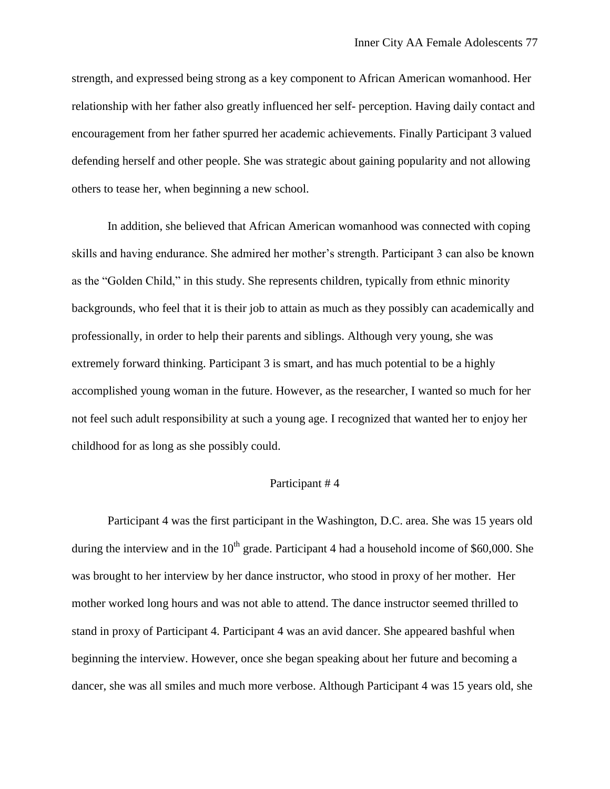strength, and expressed being strong as a key component to African American womanhood. Her relationship with her father also greatly influenced her self- perception. Having daily contact and encouragement from her father spurred her academic achievements. Finally Participant 3 valued defending herself and other people. She was strategic about gaining popularity and not allowing others to tease her, when beginning a new school.

In addition, she believed that African American womanhood was connected with coping skills and having endurance. She admired her mother's strength. Participant 3 can also be known as the "Golden Child," in this study. She represents children, typically from ethnic minority backgrounds, who feel that it is their job to attain as much as they possibly can academically and professionally, in order to help their parents and siblings. Although very young, she was extremely forward thinking. Participant 3 is smart, and has much potential to be a highly accomplished young woman in the future. However, as the researcher, I wanted so much for her not feel such adult responsibility at such a young age. I recognized that wanted her to enjoy her childhood for as long as she possibly could.

# Participant # 4

Participant 4 was the first participant in the Washington, D.C. area. She was 15 years old during the interview and in the  $10<sup>th</sup>$  grade. Participant 4 had a household income of \$60,000. She was brought to her interview by her dance instructor, who stood in proxy of her mother. Her mother worked long hours and was not able to attend. The dance instructor seemed thrilled to stand in proxy of Participant 4. Participant 4 was an avid dancer. She appeared bashful when beginning the interview. However, once she began speaking about her future and becoming a dancer, she was all smiles and much more verbose. Although Participant 4 was 15 years old, she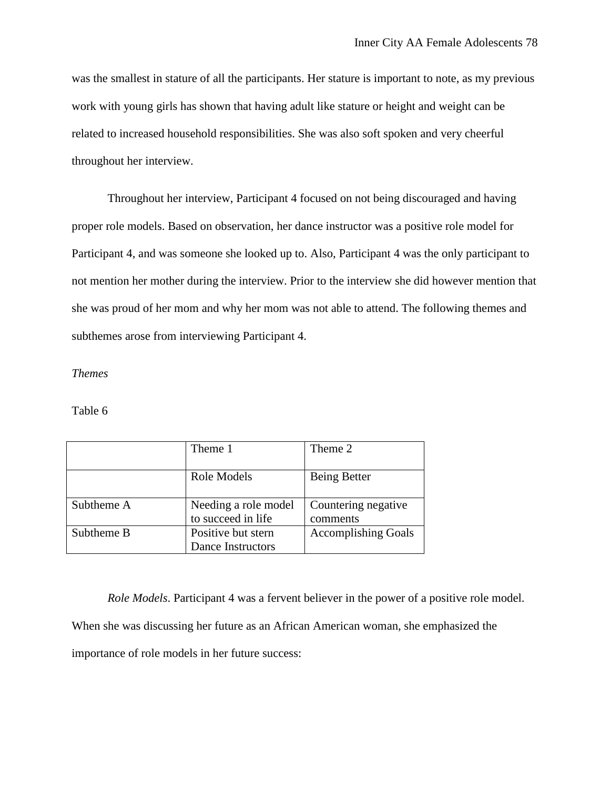was the smallest in stature of all the participants. Her stature is important to note, as my previous work with young girls has shown that having adult like stature or height and weight can be related to increased household responsibilities. She was also soft spoken and very cheerful throughout her interview.

Throughout her interview, Participant 4 focused on not being discouraged and having proper role models. Based on observation, her dance instructor was a positive role model for Participant 4, and was someone she looked up to. Also, Participant 4 was the only participant to not mention her mother during the interview. Prior to the interview she did however mention that she was proud of her mom and why her mom was not able to attend. The following themes and subthemes arose from interviewing Participant 4.

## *Themes*

## Table 6

|            | Theme 1              | Theme 2                    |
|------------|----------------------|----------------------------|
|            | Role Models          | Being Better               |
| Subtheme A | Needing a role model | Countering negative        |
|            | to succeed in life   | comments                   |
| Subtheme B | Positive but stern   | <b>Accomplishing Goals</b> |
|            | Dance Instructors    |                            |

*Role Models*. Participant 4 was a fervent believer in the power of a positive role model. When she was discussing her future as an African American woman, she emphasized the importance of role models in her future success: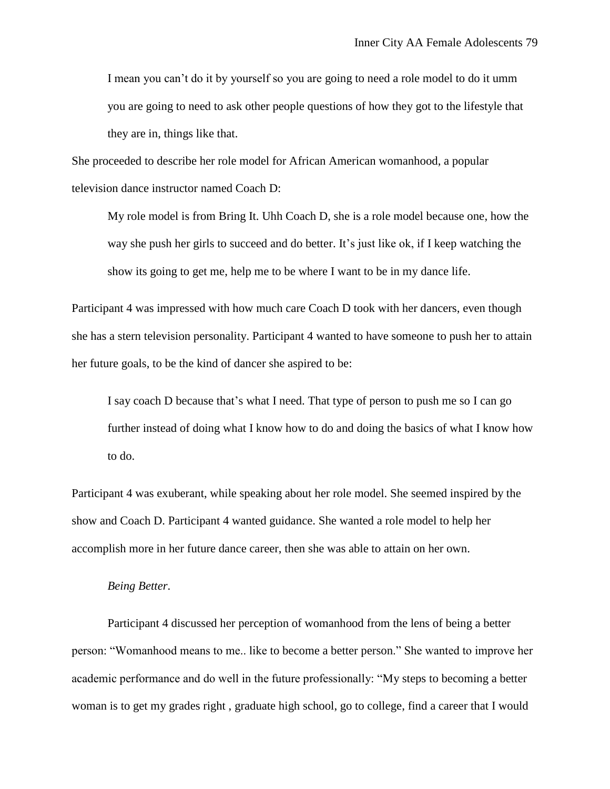I mean you can't do it by yourself so you are going to need a role model to do it umm you are going to need to ask other people questions of how they got to the lifestyle that they are in, things like that.

She proceeded to describe her role model for African American womanhood, a popular television dance instructor named Coach D:

My role model is from Bring It. Uhh Coach D, she is a role model because one, how the way she push her girls to succeed and do better. It's just like ok, if I keep watching the show its going to get me, help me to be where I want to be in my dance life.

Participant 4 was impressed with how much care Coach D took with her dancers, even though she has a stern television personality. Participant 4 wanted to have someone to push her to attain her future goals, to be the kind of dancer she aspired to be:

I say coach D because that's what I need. That type of person to push me so I can go further instead of doing what I know how to do and doing the basics of what I know how to do.

Participant 4 was exuberant, while speaking about her role model. She seemed inspired by the show and Coach D. Participant 4 wanted guidance. She wanted a role model to help her accomplish more in her future dance career, then she was able to attain on her own.

#### *Being Better*.

Participant 4 discussed her perception of womanhood from the lens of being a better person: "Womanhood means to me.. like to become a better person." She wanted to improve her academic performance and do well in the future professionally: "My steps to becoming a better woman is to get my grades right , graduate high school, go to college, find a career that I would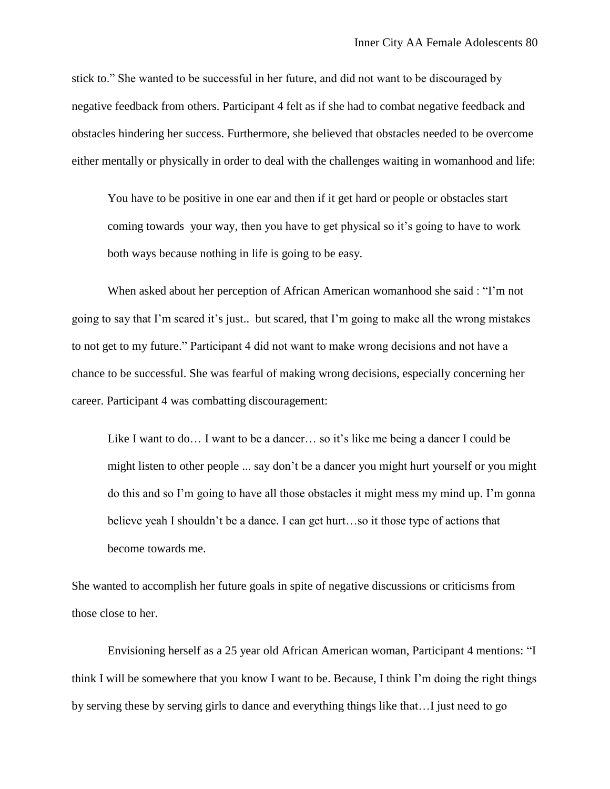stick to." She wanted to be successful in her future, and did not want to be discouraged by negative feedback from others. Participant 4 felt as if she had to combat negative feedback and obstacles hindering her success. Furthermore, she believed that obstacles needed to be overcome either mentally or physically in order to deal with the challenges waiting in womanhood and life:

You have to be positive in one ear and then if it get hard or people or obstacles start coming towards your way, then you have to get physical so it's going to have to work both ways because nothing in life is going to be easy.

When asked about her perception of African American womanhood she said : "I'm not going to say that I'm scared it's just.. but scared, that I'm going to make all the wrong mistakes to not get to my future." Participant 4 did not want to make wrong decisions and not have a chance to be successful. She was fearful of making wrong decisions, especially concerning her career. Participant 4 was combatting discouragement:

Like I want to do… I want to be a dancer… so it's like me being a dancer I could be might listen to other people ... say don't be a dancer you might hurt yourself or you might do this and so I'm going to have all those obstacles it might mess my mind up. I'm gonna believe yeah I shouldn't be a dance. I can get hurt…so it those type of actions that become towards me.

She wanted to accomplish her future goals in spite of negative discussions or criticisms from those close to her.

Envisioning herself as a 25 year old African American woman, Participant 4 mentions: "I think I will be somewhere that you know I want to be. Because, I think I'm doing the right things by serving these by serving girls to dance and everything things like that…I just need to go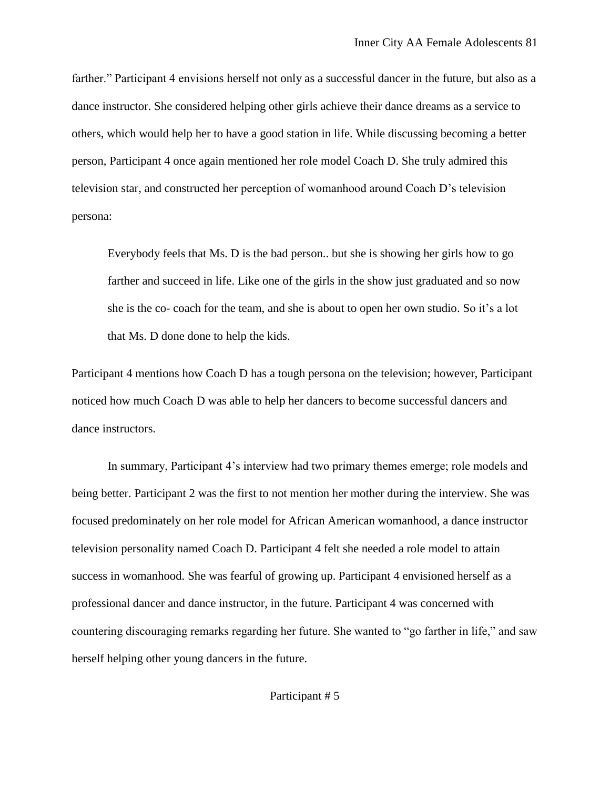farther." Participant 4 envisions herself not only as a successful dancer in the future, but also as a dance instructor. She considered helping other girls achieve their dance dreams as a service to others, which would help her to have a good station in life. While discussing becoming a better person, Participant 4 once again mentioned her role model Coach D. She truly admired this television star, and constructed her perception of womanhood around Coach D's television persona:

Everybody feels that Ms. D is the bad person.. but she is showing her girls how to go farther and succeed in life. Like one of the girls in the show just graduated and so now she is the co- coach for the team, and she is about to open her own studio. So it's a lot that Ms. D done done to help the kids.

Participant 4 mentions how Coach D has a tough persona on the television; however, Participant noticed how much Coach D was able to help her dancers to become successful dancers and dance instructors.

In summary, Participant 4's interview had two primary themes emerge; role models and being better. Participant 2 was the first to not mention her mother during the interview. She was focused predominately on her role model for African American womanhood, a dance instructor television personality named Coach D. Participant 4 felt she needed a role model to attain success in womanhood. She was fearful of growing up. Participant 4 envisioned herself as a professional dancer and dance instructor, in the future. Participant 4 was concerned with countering discouraging remarks regarding her future. She wanted to "go farther in life," and saw herself helping other young dancers in the future.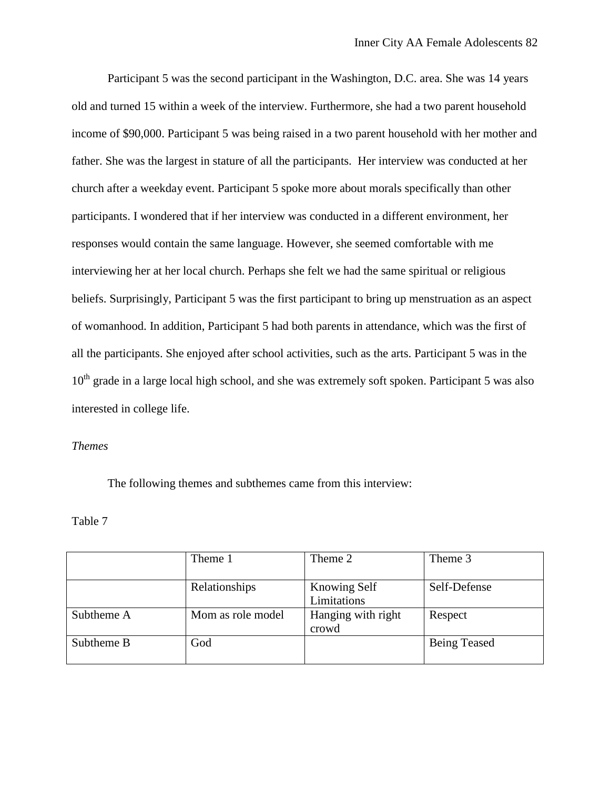Participant 5 was the second participant in the Washington, D.C. area. She was 14 years old and turned 15 within a week of the interview. Furthermore, she had a two parent household income of \$90,000. Participant 5 was being raised in a two parent household with her mother and father. She was the largest in stature of all the participants. Her interview was conducted at her church after a weekday event. Participant 5 spoke more about morals specifically than other participants. I wondered that if her interview was conducted in a different environment, her responses would contain the same language. However, she seemed comfortable with me interviewing her at her local church. Perhaps she felt we had the same spiritual or religious beliefs. Surprisingly, Participant 5 was the first participant to bring up menstruation as an aspect of womanhood. In addition, Participant 5 had both parents in attendance, which was the first of all the participants. She enjoyed after school activities, such as the arts. Participant 5 was in the 10<sup>th</sup> grade in a large local high school, and she was extremely soft spoken. Participant 5 was also interested in college life.

# *Themes*

The following themes and subthemes came from this interview:

## Table 7

|            | Theme 1           | Theme 2                     | Theme 3             |
|------------|-------------------|-----------------------------|---------------------|
|            | Relationships     | Knowing Self<br>Limitations | Self-Defense        |
| Subtheme A | Mom as role model | Hanging with right<br>crowd | Respect             |
| Subtheme B | God               |                             | <b>Being Teased</b> |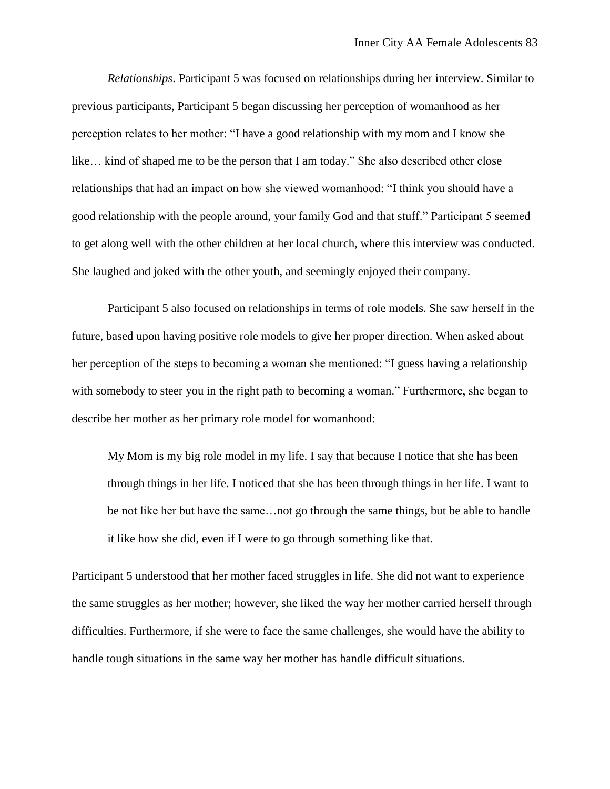*Relationships*. Participant 5 was focused on relationships during her interview. Similar to previous participants, Participant 5 began discussing her perception of womanhood as her perception relates to her mother: "I have a good relationship with my mom and I know she like… kind of shaped me to be the person that I am today." She also described other close relationships that had an impact on how she viewed womanhood: "I think you should have a good relationship with the people around, your family God and that stuff." Participant 5 seemed to get along well with the other children at her local church, where this interview was conducted. She laughed and joked with the other youth, and seemingly enjoyed their company.

Participant 5 also focused on relationships in terms of role models. She saw herself in the future, based upon having positive role models to give her proper direction. When asked about her perception of the steps to becoming a woman she mentioned: "I guess having a relationship with somebody to steer you in the right path to becoming a woman." Furthermore, she began to describe her mother as her primary role model for womanhood:

My Mom is my big role model in my life. I say that because I notice that she has been through things in her life. I noticed that she has been through things in her life. I want to be not like her but have the same…not go through the same things, but be able to handle it like how she did, even if I were to go through something like that.

Participant 5 understood that her mother faced struggles in life. She did not want to experience the same struggles as her mother; however, she liked the way her mother carried herself through difficulties. Furthermore, if she were to face the same challenges, she would have the ability to handle tough situations in the same way her mother has handle difficult situations.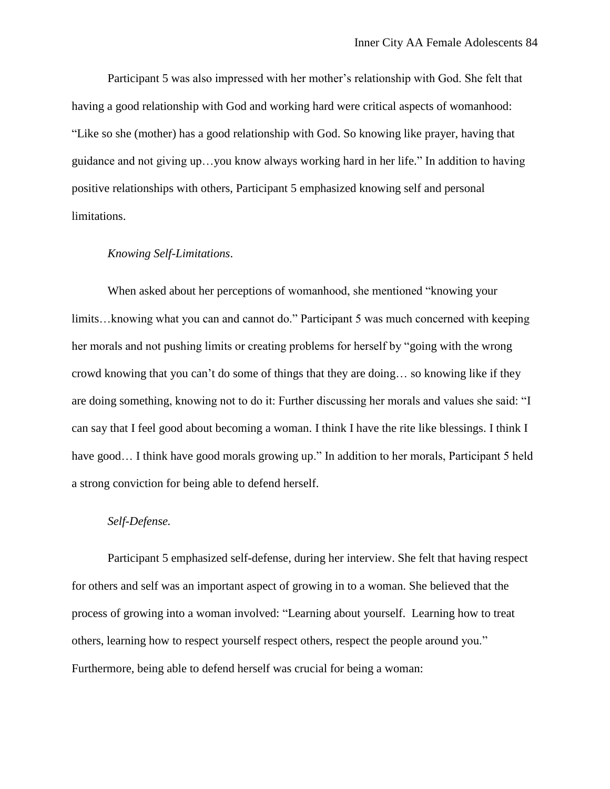Participant 5 was also impressed with her mother's relationship with God. She felt that having a good relationship with God and working hard were critical aspects of womanhood: "Like so she (mother) has a good relationship with God. So knowing like prayer, having that guidance and not giving up…you know always working hard in her life." In addition to having positive relationships with others, Participant 5 emphasized knowing self and personal limitations.

#### *Knowing Self-Limitations*.

When asked about her perceptions of womanhood, she mentioned "knowing your limits…knowing what you can and cannot do." Participant 5 was much concerned with keeping her morals and not pushing limits or creating problems for herself by "going with the wrong crowd knowing that you can't do some of things that they are doing… so knowing like if they are doing something, knowing not to do it: Further discussing her morals and values she said: "I can say that I feel good about becoming a woman. I think I have the rite like blessings. I think I have good... I think have good morals growing up." In addition to her morals, Participant 5 held a strong conviction for being able to defend herself.

## *Self-Defense.*

Participant 5 emphasized self-defense, during her interview. She felt that having respect for others and self was an important aspect of growing in to a woman. She believed that the process of growing into a woman involved: "Learning about yourself. Learning how to treat others, learning how to respect yourself respect others, respect the people around you." Furthermore, being able to defend herself was crucial for being a woman: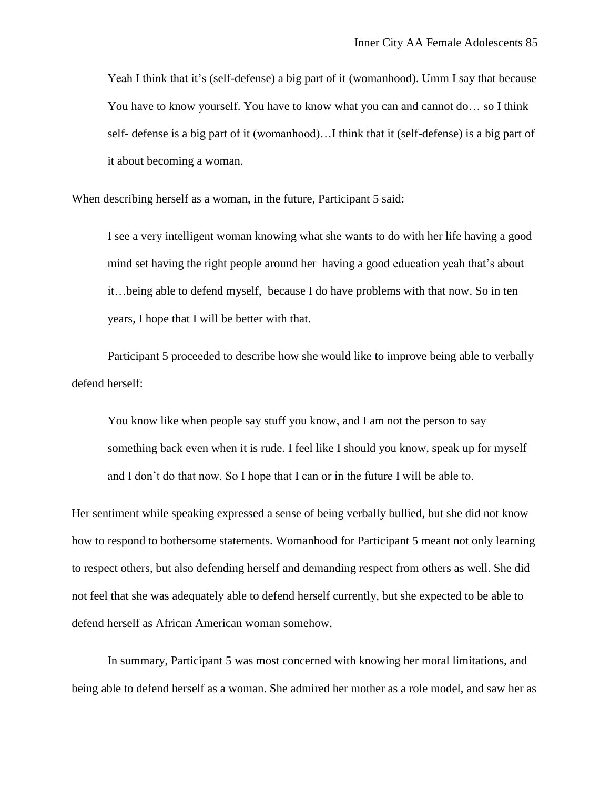Yeah I think that it's (self-defense) a big part of it (womanhood). Umm I say that because You have to know yourself. You have to know what you can and cannot do… so I think self- defense is a big part of it (womanhood)…I think that it (self-defense) is a big part of it about becoming a woman.

When describing herself as a woman, in the future, Participant 5 said:

I see a very intelligent woman knowing what she wants to do with her life having a good mind set having the right people around her having a good education yeah that's about it…being able to defend myself, because I do have problems with that now. So in ten years, I hope that I will be better with that.

Participant 5 proceeded to describe how she would like to improve being able to verbally defend herself:

You know like when people say stuff you know, and I am not the person to say something back even when it is rude. I feel like I should you know, speak up for myself and I don't do that now. So I hope that I can or in the future I will be able to.

Her sentiment while speaking expressed a sense of being verbally bullied, but she did not know how to respond to bothersome statements. Womanhood for Participant 5 meant not only learning to respect others, but also defending herself and demanding respect from others as well. She did not feel that she was adequately able to defend herself currently, but she expected to be able to defend herself as African American woman somehow.

In summary, Participant 5 was most concerned with knowing her moral limitations, and being able to defend herself as a woman. She admired her mother as a role model, and saw her as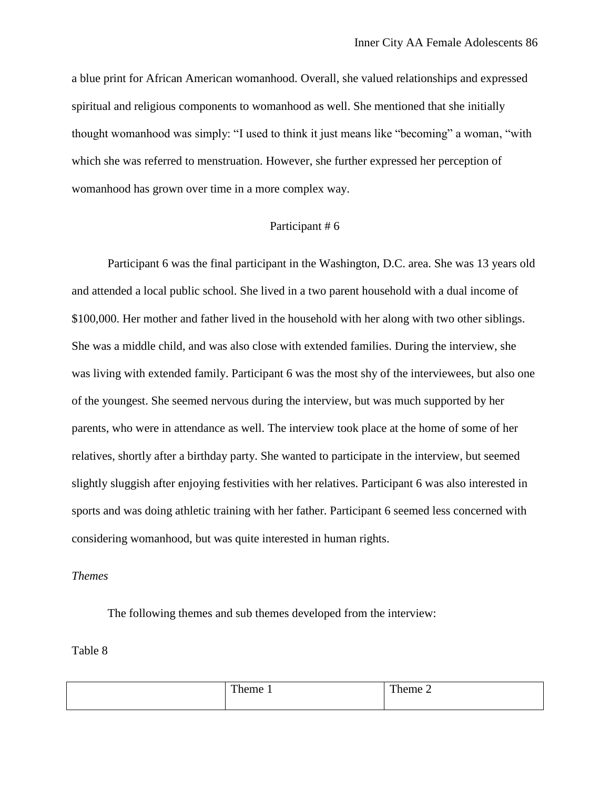a blue print for African American womanhood. Overall, she valued relationships and expressed spiritual and religious components to womanhood as well. She mentioned that she initially thought womanhood was simply: "I used to think it just means like "becoming" a woman, "with which she was referred to menstruation. However, she further expressed her perception of womanhood has grown over time in a more complex way.

## Participant # 6

Participant 6 was the final participant in the Washington, D.C. area. She was 13 years old and attended a local public school. She lived in a two parent household with a dual income of \$100,000. Her mother and father lived in the household with her along with two other siblings. She was a middle child, and was also close with extended families. During the interview, she was living with extended family. Participant 6 was the most shy of the interviewees, but also one of the youngest. She seemed nervous during the interview, but was much supported by her parents, who were in attendance as well. The interview took place at the home of some of her relatives, shortly after a birthday party. She wanted to participate in the interview, but seemed slightly sluggish after enjoying festivities with her relatives. Participant 6 was also interested in sports and was doing athletic training with her father. Participant 6 seemed less concerned with considering womanhood, but was quite interested in human rights.

## *Themes*

The following themes and sub themes developed from the interview:

#### Table 8

| T <sub>1</sub><br>Theme 1 | Theme 2 |
|---------------------------|---------|
|                           |         |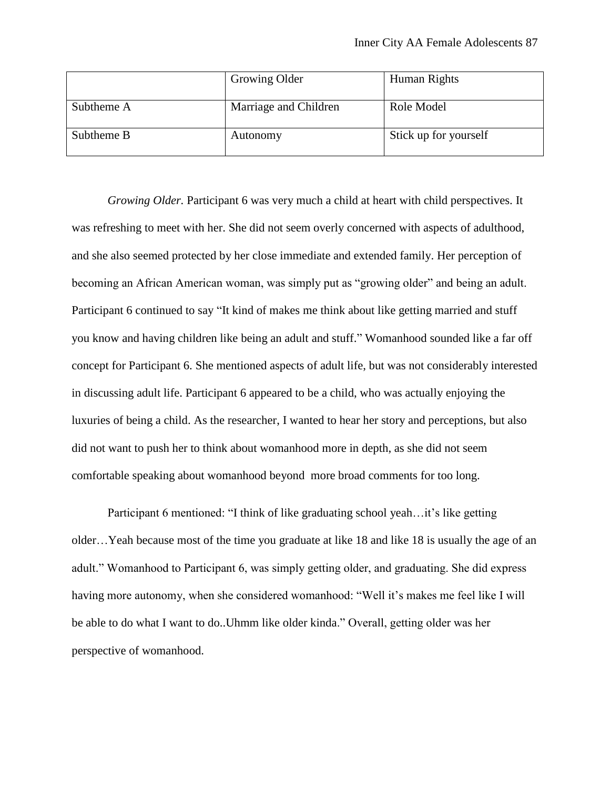|            | Growing Older         | Human Rights          |
|------------|-----------------------|-----------------------|
| Subtheme A | Marriage and Children | Role Model            |
| Subtheme B | Autonomy              | Stick up for yourself |

*Growing Older.* Participant 6 was very much a child at heart with child perspectives. It was refreshing to meet with her. She did not seem overly concerned with aspects of adulthood, and she also seemed protected by her close immediate and extended family. Her perception of becoming an African American woman, was simply put as "growing older" and being an adult. Participant 6 continued to say "It kind of makes me think about like getting married and stuff you know and having children like being an adult and stuff." Womanhood sounded like a far off concept for Participant 6. She mentioned aspects of adult life, but was not considerably interested in discussing adult life. Participant 6 appeared to be a child, who was actually enjoying the luxuries of being a child. As the researcher, I wanted to hear her story and perceptions, but also did not want to push her to think about womanhood more in depth, as she did not seem comfortable speaking about womanhood beyond more broad comments for too long.

Participant 6 mentioned: "I think of like graduating school yeah…it's like getting older…Yeah because most of the time you graduate at like 18 and like 18 is usually the age of an adult." Womanhood to Participant 6, was simply getting older, and graduating. She did express having more autonomy, when she considered womanhood: "Well it's makes me feel like I will be able to do what I want to do..Uhmm like older kinda." Overall, getting older was her perspective of womanhood.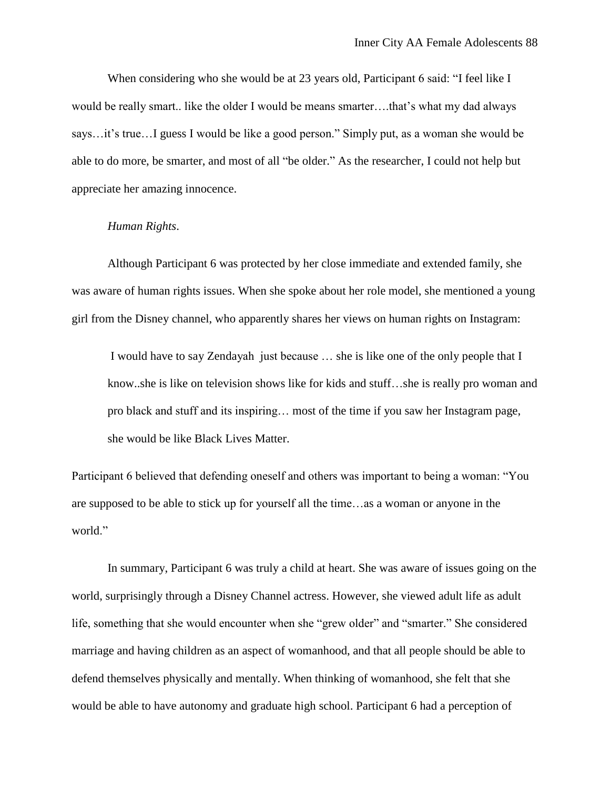When considering who she would be at 23 years old, Participant 6 said: "I feel like I would be really smart.. like the older I would be means smarter….that's what my dad always says…it's true…I guess I would be like a good person." Simply put, as a woman she would be able to do more, be smarter, and most of all "be older." As the researcher, I could not help but appreciate her amazing innocence.

# *Human Rights*.

Although Participant 6 was protected by her close immediate and extended family, she was aware of human rights issues. When she spoke about her role model, she mentioned a young girl from the Disney channel, who apparently shares her views on human rights on Instagram:

I would have to say Zendayah just because … she is like one of the only people that I know..she is like on television shows like for kids and stuff…she is really pro woman and pro black and stuff and its inspiring… most of the time if you saw her Instagram page, she would be like Black Lives Matter.

Participant 6 believed that defending oneself and others was important to being a woman: "You are supposed to be able to stick up for yourself all the time…as a woman or anyone in the world."

In summary, Participant 6 was truly a child at heart. She was aware of issues going on the world, surprisingly through a Disney Channel actress. However, she viewed adult life as adult life, something that she would encounter when she "grew older" and "smarter." She considered marriage and having children as an aspect of womanhood, and that all people should be able to defend themselves physically and mentally. When thinking of womanhood, she felt that she would be able to have autonomy and graduate high school. Participant 6 had a perception of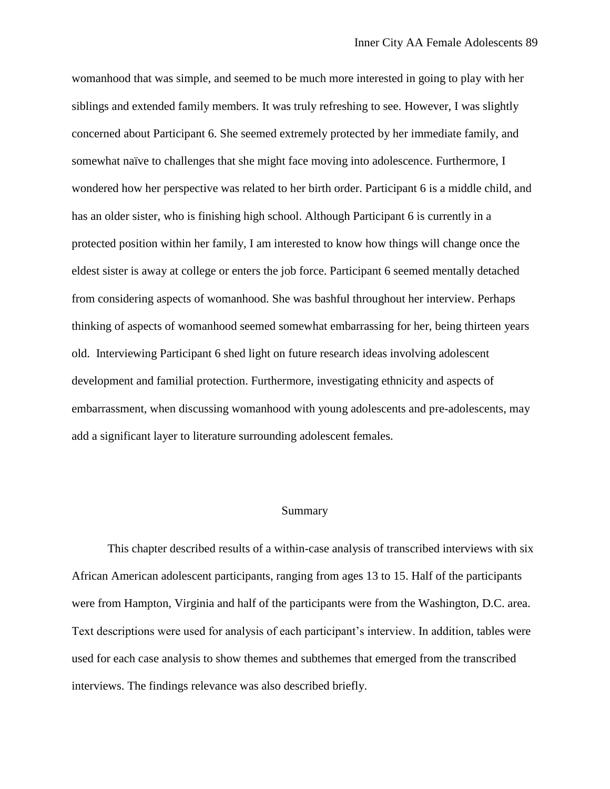womanhood that was simple, and seemed to be much more interested in going to play with her siblings and extended family members. It was truly refreshing to see. However, I was slightly concerned about Participant 6. She seemed extremely protected by her immediate family, and somewhat naïve to challenges that she might face moving into adolescence. Furthermore, I wondered how her perspective was related to her birth order. Participant 6 is a middle child, and has an older sister, who is finishing high school. Although Participant 6 is currently in a protected position within her family, I am interested to know how things will change once the eldest sister is away at college or enters the job force. Participant 6 seemed mentally detached from considering aspects of womanhood. She was bashful throughout her interview. Perhaps thinking of aspects of womanhood seemed somewhat embarrassing for her, being thirteen years old. Interviewing Participant 6 shed light on future research ideas involving adolescent development and familial protection. Furthermore, investigating ethnicity and aspects of embarrassment, when discussing womanhood with young adolescents and pre-adolescents, may add a significant layer to literature surrounding adolescent females.

#### Summary

This chapter described results of a within-case analysis of transcribed interviews with six African American adolescent participants, ranging from ages 13 to 15. Half of the participants were from Hampton, Virginia and half of the participants were from the Washington, D.C. area. Text descriptions were used for analysis of each participant's interview. In addition, tables were used for each case analysis to show themes and subthemes that emerged from the transcribed interviews. The findings relevance was also described briefly.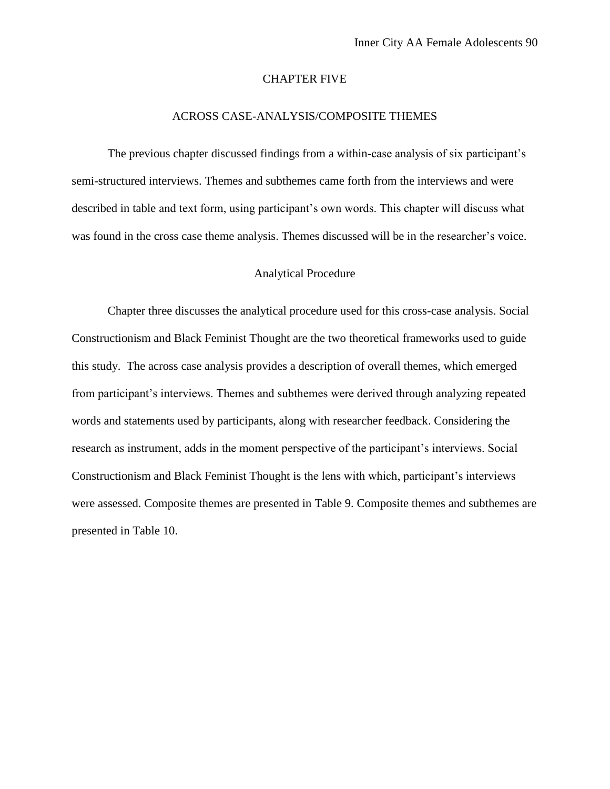#### CHAPTER FIVE

## ACROSS CASE-ANALYSIS/COMPOSITE THEMES

The previous chapter discussed findings from a within-case analysis of six participant's semi-structured interviews. Themes and subthemes came forth from the interviews and were described in table and text form, using participant's own words. This chapter will discuss what was found in the cross case theme analysis. Themes discussed will be in the researcher's voice.

### Analytical Procedure

Chapter three discusses the analytical procedure used for this cross-case analysis. Social Constructionism and Black Feminist Thought are the two theoretical frameworks used to guide this study. The across case analysis provides a description of overall themes, which emerged from participant's interviews. Themes and subthemes were derived through analyzing repeated words and statements used by participants, along with researcher feedback. Considering the research as instrument, adds in the moment perspective of the participant's interviews. Social Constructionism and Black Feminist Thought is the lens with which, participant's interviews were assessed. Composite themes are presented in Table 9. Composite themes and subthemes are presented in Table 10.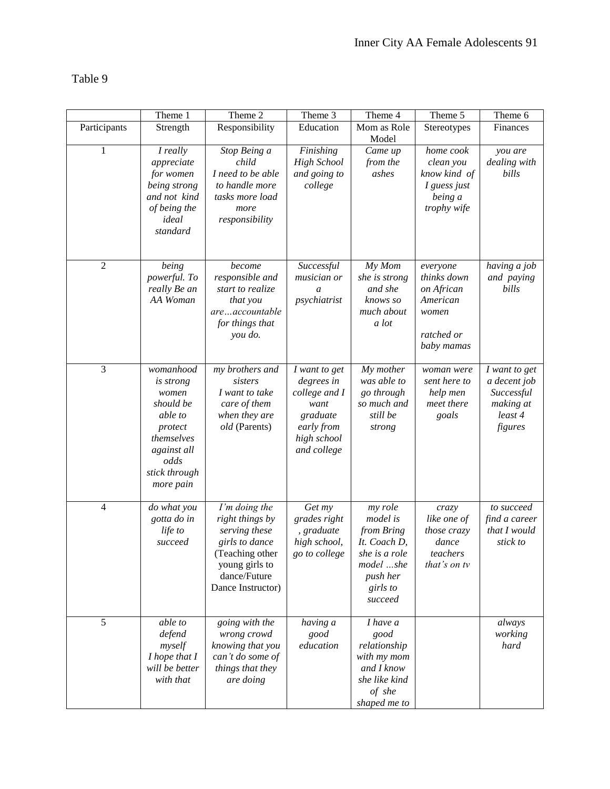Table 9

|                | Theme 1                                                                                                                                      | Theme 2                                                                                                                                       | Theme 3                                                                                                      | Theme 4                                                                                                            | Theme 5                                                                                | Theme 6                                                                        |
|----------------|----------------------------------------------------------------------------------------------------------------------------------------------|-----------------------------------------------------------------------------------------------------------------------------------------------|--------------------------------------------------------------------------------------------------------------|--------------------------------------------------------------------------------------------------------------------|----------------------------------------------------------------------------------------|--------------------------------------------------------------------------------|
| Participants   | Strength                                                                                                                                     | Responsibility                                                                                                                                | Education                                                                                                    | Mom as Role<br>Model                                                                                               | Stereotypes                                                                            | Finances                                                                       |
| 1              | I really<br>appreciate<br>for women<br>being strong<br>and not kind<br>of being the<br>ideal<br>standard                                     | Stop Being a<br>child<br>I need to be able<br>to handle more<br>tasks more load<br>more<br>responsibility                                     | Finishing<br><b>High School</b><br>and going to<br>college                                                   | Came up<br>from the<br>ashes                                                                                       | home cook<br>clean you<br>know kind of<br>I guess just<br>being a<br>trophy wife       | you are<br>dealing with<br>bills                                               |
| $\overline{c}$ | being<br>powerful. To<br>really Be an<br>AA Woman                                                                                            | become<br>responsible and<br>start to realize<br>that you<br>areaccountable<br>for things that<br>you do.                                     | Successful<br>musician or<br>$\mathfrak a$<br>psychiatrist                                                   | My Mom<br>she is strong<br>and she<br>knows so<br>much about<br>a lot                                              | everyone<br>thinks down<br>on African<br>American<br>women<br>ratched or<br>baby mamas | having a job<br>and paying<br>bills                                            |
| 3              | womanhood<br><i>is strong</i><br>women<br>should be<br>able to<br>protect<br>themselves<br>against all<br>odds<br>stick through<br>more pain | my brothers and<br>sisters<br>I want to take<br>care of them<br>when they are<br>old (Parents)                                                | I want to get<br>degrees in<br>college and I<br>want<br>graduate<br>early from<br>high school<br>and college | My mother<br>was able to<br>go through<br>so much and<br>still be<br>strong                                        | woman were<br>sent here to<br>help men<br>meet there<br>goals                          | I want to get<br>a decent job<br>Successful<br>making at<br>least 4<br>figures |
| $\overline{4}$ | do what you<br>gotta do in<br>life to<br>succeed                                                                                             | I'm doing the<br>right things by<br>serving these<br>girls to dance<br>(Teaching other<br>young girls to<br>dance/Future<br>Dance Instructor) | Get my<br>grades right<br>, graduate<br>high school,<br>go to college                                        | my role<br>model is<br>from Bring<br>It. Coach D,<br>she is a role<br>model she<br>push her<br>girls to<br>succeed | crazy<br>like one of<br><i>those crazy</i><br>dance<br>teachers<br>that's on tv        | to succeed<br>find a career<br>that I would<br>stick to                        |
| $\overline{5}$ | able to<br>defend<br>myself<br>I hope that I<br>will be better<br>with that                                                                  | going with the<br>wrong crowd<br>knowing that you<br>can't do some of<br>things that they<br>are doing                                        | having a<br>good<br>education                                                                                | I have a<br>good<br>relationship<br>with my mom<br>and I know<br>she like kind<br>of she<br>shaped me to           |                                                                                        | always<br>working<br>hard                                                      |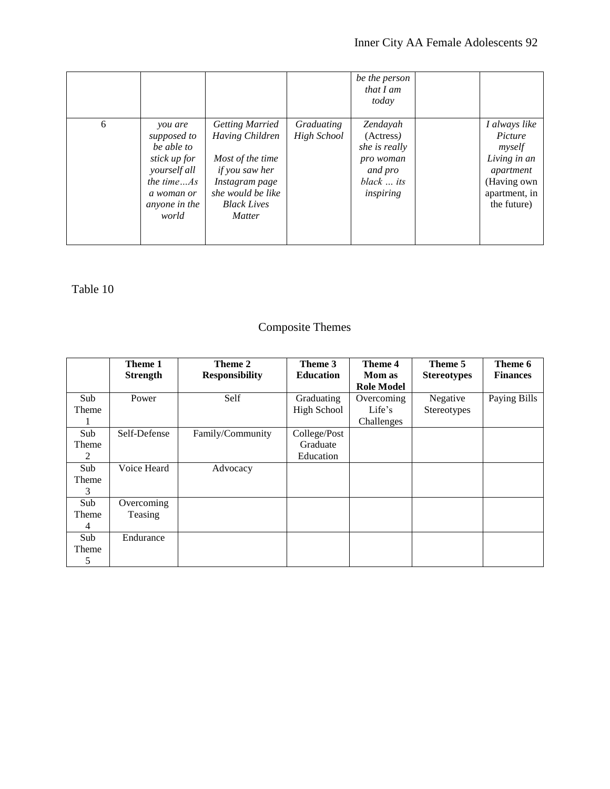|   |                                                                                                                               |                                                                                                                                                                      |                                  | be the person<br>that I am<br>today                                                       |                                                                                                                |
|---|-------------------------------------------------------------------------------------------------------------------------------|----------------------------------------------------------------------------------------------------------------------------------------------------------------------|----------------------------------|-------------------------------------------------------------------------------------------|----------------------------------------------------------------------------------------------------------------|
| 6 | you are<br>supposed to<br>be able to<br>stick up for<br>yourself all<br>the time $As$<br>a woman or<br>anyone in the<br>world | <b>Getting Married</b><br>Having Children<br>Most of the time<br><i>if you saw her</i><br>Instagram page<br>she would be like<br><b>Black Lives</b><br><b>Matter</b> | Graduating<br><b>High School</b> | Zendayah<br>(Actress)<br>she is really<br>pro woman<br>and pro<br>black  its<br>inspiring | I always like<br>Picture<br>myself<br>Living in an<br>apartment<br>(Having own<br>apartment, in<br>the future) |

Table 10

# Composite Themes

|                | Theme 1         | Theme 2               | Theme 3          | Theme 4           | Theme 5            | Theme 6         |
|----------------|-----------------|-----------------------|------------------|-------------------|--------------------|-----------------|
|                | <b>Strength</b> | <b>Responsibility</b> | <b>Education</b> | <b>Mom</b> as     | <b>Stereotypes</b> | <b>Finances</b> |
|                |                 |                       |                  | <b>Role Model</b> |                    |                 |
| Sub            | Power           | Self                  | Graduating       | Overcoming        | Negative           | Paying Bills    |
| Theme          |                 |                       | High School      | Life's            | Stereotypes        |                 |
|                |                 |                       |                  | Challenges        |                    |                 |
| Sub            | Self-Defense    | Family/Community      | College/Post     |                   |                    |                 |
| Theme          |                 |                       | Graduate         |                   |                    |                 |
| $\mathfrak{D}$ |                 |                       | Education        |                   |                    |                 |
| Sub            | Voice Heard     | Advocacy              |                  |                   |                    |                 |
| Theme          |                 |                       |                  |                   |                    |                 |
| 3              |                 |                       |                  |                   |                    |                 |
| Sub            | Overcoming      |                       |                  |                   |                    |                 |
| Theme          | Teasing         |                       |                  |                   |                    |                 |
| 4              |                 |                       |                  |                   |                    |                 |
| Sub            | Endurance       |                       |                  |                   |                    |                 |
| Theme          |                 |                       |                  |                   |                    |                 |
| 5              |                 |                       |                  |                   |                    |                 |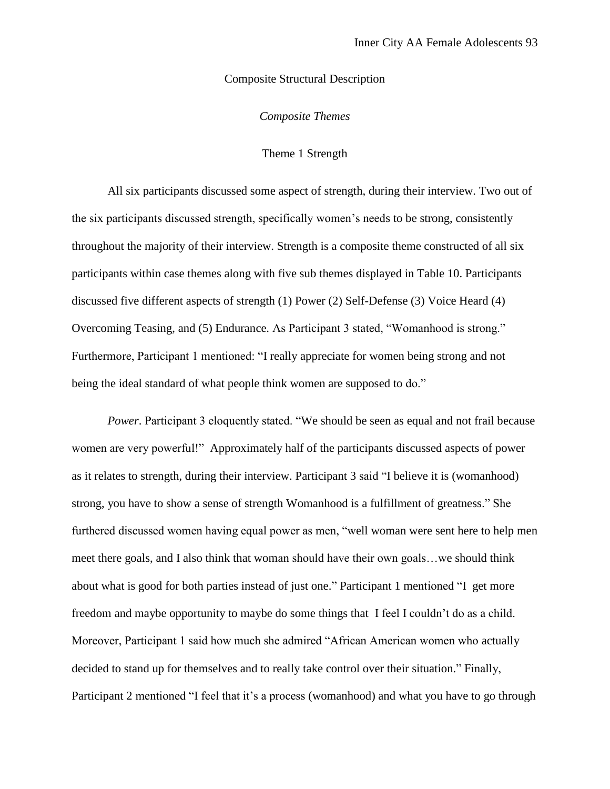## Composite Structural Description

*Composite Themes* 

## Theme 1 Strength

All six participants discussed some aspect of strength, during their interview. Two out of the six participants discussed strength, specifically women's needs to be strong, consistently throughout the majority of their interview. Strength is a composite theme constructed of all six participants within case themes along with five sub themes displayed in Table 10. Participants discussed five different aspects of strength (1) Power (2) Self-Defense (3) Voice Heard (4) Overcoming Teasing, and (5) Endurance. As Participant 3 stated, "Womanhood is strong." Furthermore, Participant 1 mentioned: "I really appreciate for women being strong and not being the ideal standard of what people think women are supposed to do."

*Power*. Participant 3 eloquently stated. "We should be seen as equal and not frail because women are very powerful!" Approximately half of the participants discussed aspects of power as it relates to strength, during their interview. Participant 3 said "I believe it is (womanhood) strong, you have to show a sense of strength Womanhood is a fulfillment of greatness." She furthered discussed women having equal power as men, "well woman were sent here to help men meet there goals, and I also think that woman should have their own goals…we should think about what is good for both parties instead of just one." Participant 1 mentioned "I get more freedom and maybe opportunity to maybe do some things that I feel I couldn't do as a child. Moreover, Participant 1 said how much she admired "African American women who actually decided to stand up for themselves and to really take control over their situation." Finally, Participant 2 mentioned "I feel that it's a process (womanhood) and what you have to go through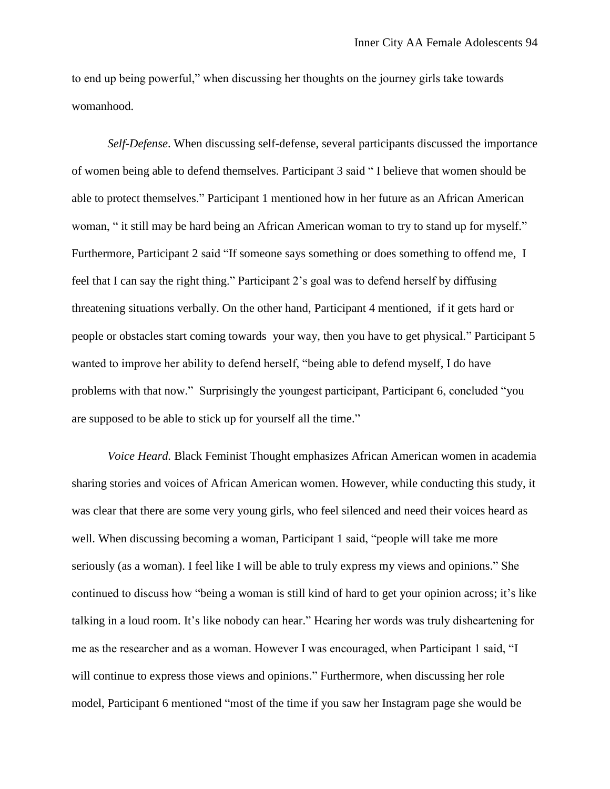to end up being powerful," when discussing her thoughts on the journey girls take towards womanhood.

*Self-Defense*. When discussing self-defense, several participants discussed the importance of women being able to defend themselves. Participant 3 said " I believe that women should be able to protect themselves." Participant 1 mentioned how in her future as an African American woman, " it still may be hard being an African American woman to try to stand up for myself." Furthermore, Participant 2 said "If someone says something or does something to offend me, I feel that I can say the right thing." Participant 2's goal was to defend herself by diffusing threatening situations verbally. On the other hand, Participant 4 mentioned, if it gets hard or people or obstacles start coming towards your way, then you have to get physical." Participant 5 wanted to improve her ability to defend herself, "being able to defend myself, I do have problems with that now." Surprisingly the youngest participant, Participant 6, concluded "you are supposed to be able to stick up for yourself all the time."

*Voice Heard.* Black Feminist Thought emphasizes African American women in academia sharing stories and voices of African American women. However, while conducting this study, it was clear that there are some very young girls, who feel silenced and need their voices heard as well. When discussing becoming a woman, Participant 1 said, "people will take me more seriously (as a woman). I feel like I will be able to truly express my views and opinions." She continued to discuss how "being a woman is still kind of hard to get your opinion across; it's like talking in a loud room. It's like nobody can hear." Hearing her words was truly disheartening for me as the researcher and as a woman. However I was encouraged, when Participant 1 said, "I will continue to express those views and opinions." Furthermore, when discussing her role model, Participant 6 mentioned "most of the time if you saw her Instagram page she would be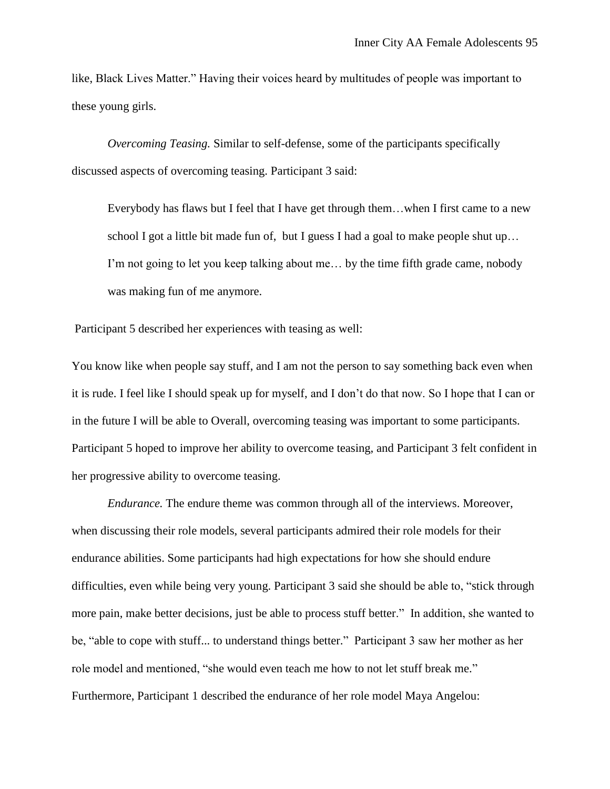like, Black Lives Matter." Having their voices heard by multitudes of people was important to these young girls.

*Overcoming Teasing.* Similar to self-defense, some of the participants specifically discussed aspects of overcoming teasing. Participant 3 said:

Everybody has flaws but I feel that I have get through them…when I first came to a new school I got a little bit made fun of, but I guess I had a goal to make people shut up... I'm not going to let you keep talking about me… by the time fifth grade came, nobody was making fun of me anymore.

Participant 5 described her experiences with teasing as well:

You know like when people say stuff, and I am not the person to say something back even when it is rude. I feel like I should speak up for myself, and I don't do that now. So I hope that I can or in the future I will be able to Overall, overcoming teasing was important to some participants. Participant 5 hoped to improve her ability to overcome teasing, and Participant 3 felt confident in her progressive ability to overcome teasing.

*Endurance.* The endure theme was common through all of the interviews. Moreover, when discussing their role models, several participants admired their role models for their endurance abilities. Some participants had high expectations for how she should endure difficulties, even while being very young. Participant 3 said she should be able to, "stick through more pain, make better decisions, just be able to process stuff better." In addition, she wanted to be, "able to cope with stuff... to understand things better." Participant 3 saw her mother as her role model and mentioned, "she would even teach me how to not let stuff break me." Furthermore, Participant 1 described the endurance of her role model Maya Angelou: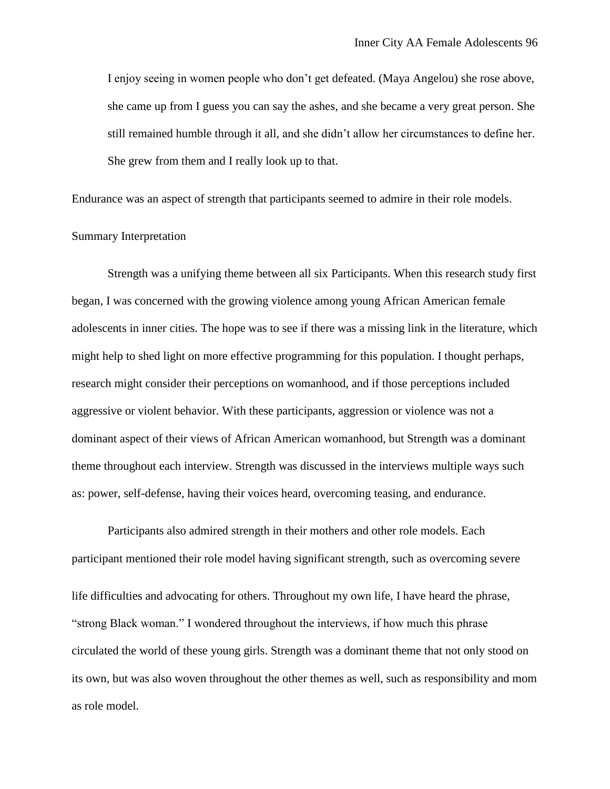I enjoy seeing in women people who don't get defeated. (Maya Angelou) she rose above, she came up from I guess you can say the ashes, and she became a very great person. She still remained humble through it all, and she didn't allow her circumstances to define her. She grew from them and I really look up to that.

Endurance was an aspect of strength that participants seemed to admire in their role models.

#### Summary Interpretation

Strength was a unifying theme between all six Participants. When this research study first began, I was concerned with the growing violence among young African American female adolescents in inner cities. The hope was to see if there was a missing link in the literature, which might help to shed light on more effective programming for this population. I thought perhaps, research might consider their perceptions on womanhood, and if those perceptions included aggressive or violent behavior. With these participants, aggression or violence was not a dominant aspect of their views of African American womanhood, but Strength was a dominant theme throughout each interview. Strength was discussed in the interviews multiple ways such as: power, self-defense, having their voices heard, overcoming teasing, and endurance.

Participants also admired strength in their mothers and other role models. Each participant mentioned their role model having significant strength, such as overcoming severe life difficulties and advocating for others. Throughout my own life, I have heard the phrase, "strong Black woman." I wondered throughout the interviews, if how much this phrase circulated the world of these young girls. Strength was a dominant theme that not only stood on its own, but was also woven throughout the other themes as well, such as responsibility and mom as role model.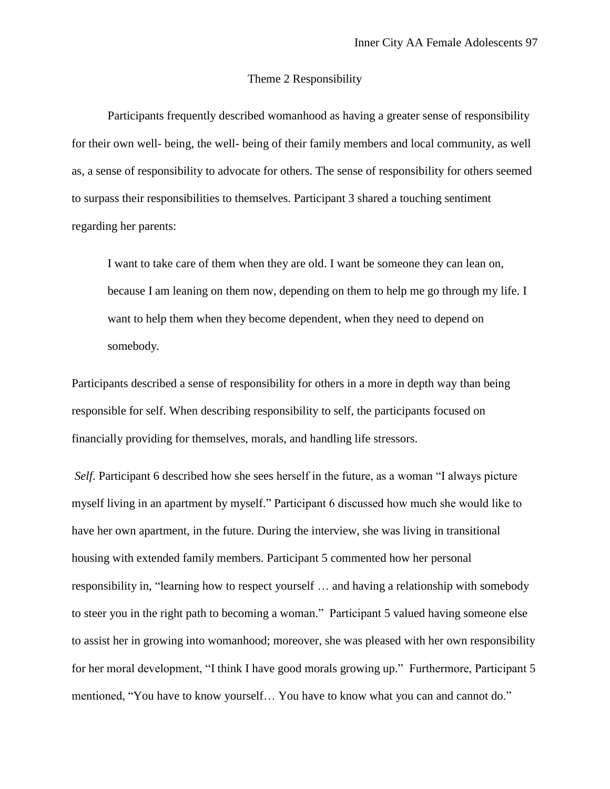## Theme 2 Responsibility

Participants frequently described womanhood as having a greater sense of responsibility for their own well- being, the well- being of their family members and local community, as well as, a sense of responsibility to advocate for others. The sense of responsibility for others seemed to surpass their responsibilities to themselves. Participant 3 shared a touching sentiment regarding her parents:

I want to take care of them when they are old. I want be someone they can lean on, because I am leaning on them now, depending on them to help me go through my life. I want to help them when they become dependent, when they need to depend on somebody.

Participants described a sense of responsibility for others in a more in depth way than being responsible for self. When describing responsibility to self, the participants focused on financially providing for themselves, morals, and handling life stressors.

*Self*. Participant 6 described how she sees herself in the future, as a woman "I always picture myself living in an apartment by myself." Participant 6 discussed how much she would like to have her own apartment, in the future. During the interview, she was living in transitional housing with extended family members. Participant 5 commented how her personal responsibility in, "learning how to respect yourself … and having a relationship with somebody to steer you in the right path to becoming a woman." Participant 5 valued having someone else to assist her in growing into womanhood; moreover, she was pleased with her own responsibility for her moral development, "I think I have good morals growing up." Furthermore, Participant 5 mentioned, "You have to know yourself… You have to know what you can and cannot do."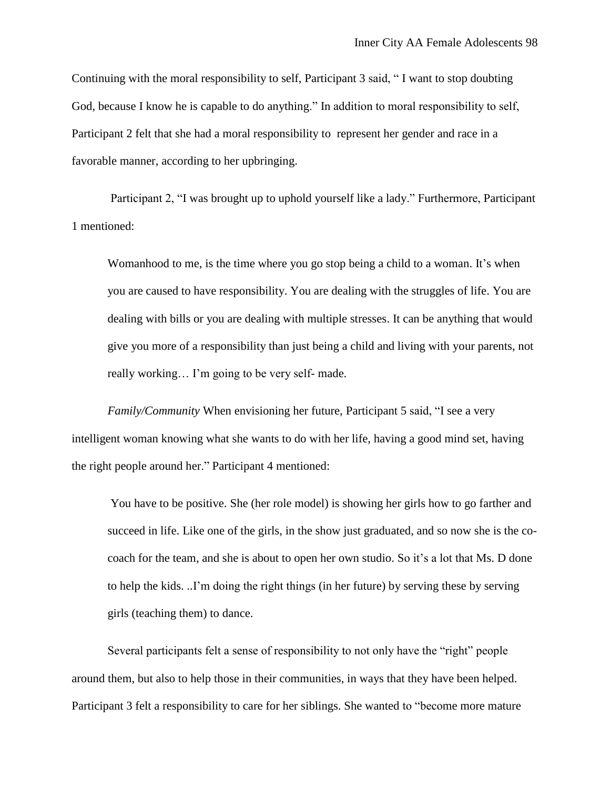Continuing with the moral responsibility to self, Participant 3 said, " I want to stop doubting God, because I know he is capable to do anything." In addition to moral responsibility to self, Participant 2 felt that she had a moral responsibility to represent her gender and race in a favorable manner, according to her upbringing.

Participant 2, "I was brought up to uphold yourself like a lady." Furthermore, Participant 1 mentioned:

Womanhood to me, is the time where you go stop being a child to a woman. It's when you are caused to have responsibility. You are dealing with the struggles of life. You are dealing with bills or you are dealing with multiple stresses. It can be anything that would give you more of a responsibility than just being a child and living with your parents, not really working… I'm going to be very self- made.

*Family/Community* When envisioning her future, Participant 5 said, "I see a very intelligent woman knowing what she wants to do with her life, having a good mind set, having the right people around her." Participant 4 mentioned:

You have to be positive. She (her role model) is showing her girls how to go farther and succeed in life. Like one of the girls, in the show just graduated, and so now she is the cocoach for the team, and she is about to open her own studio. So it's a lot that Ms. D done to help the kids. ..I'm doing the right things (in her future) by serving these by serving girls (teaching them) to dance.

Several participants felt a sense of responsibility to not only have the "right" people around them, but also to help those in their communities, in ways that they have been helped. Participant 3 felt a responsibility to care for her siblings. She wanted to "become more mature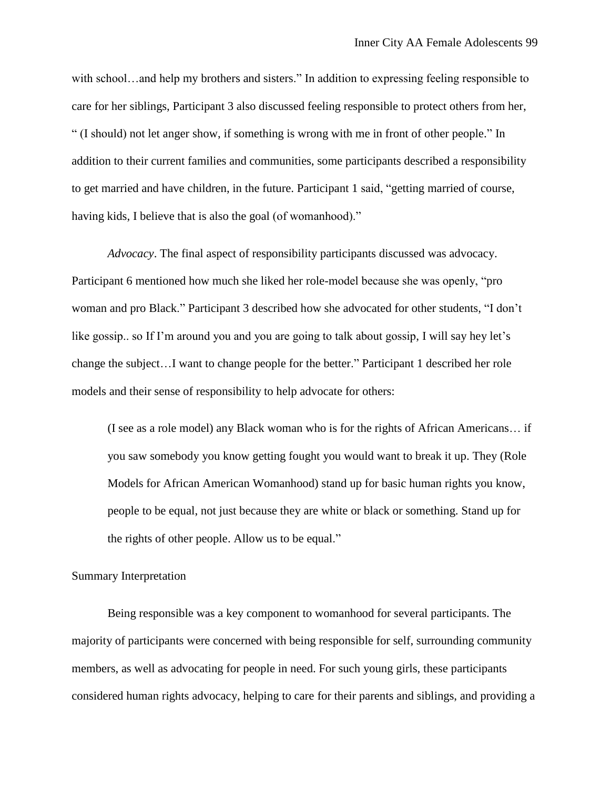with school…and help my brothers and sisters." In addition to expressing feeling responsible to care for her siblings, Participant 3 also discussed feeling responsible to protect others from her, " (I should) not let anger show, if something is wrong with me in front of other people." In addition to their current families and communities, some participants described a responsibility to get married and have children, in the future. Participant 1 said, "getting married of course, having kids, I believe that is also the goal (of womanhood)."

*Advocacy*. The final aspect of responsibility participants discussed was advocacy. Participant 6 mentioned how much she liked her role-model because she was openly, "pro woman and pro Black." Participant 3 described how she advocated for other students, "I don't like gossip.. so If I'm around you and you are going to talk about gossip, I will say hey let's change the subject…I want to change people for the better." Participant 1 described her role models and their sense of responsibility to help advocate for others:

(I see as a role model) any Black woman who is for the rights of African Americans… if you saw somebody you know getting fought you would want to break it up. They (Role Models for African American Womanhood) stand up for basic human rights you know, people to be equal, not just because they are white or black or something. Stand up for the rights of other people. Allow us to be equal."

#### Summary Interpretation

Being responsible was a key component to womanhood for several participants. The majority of participants were concerned with being responsible for self, surrounding community members, as well as advocating for people in need. For such young girls, these participants considered human rights advocacy, helping to care for their parents and siblings, and providing a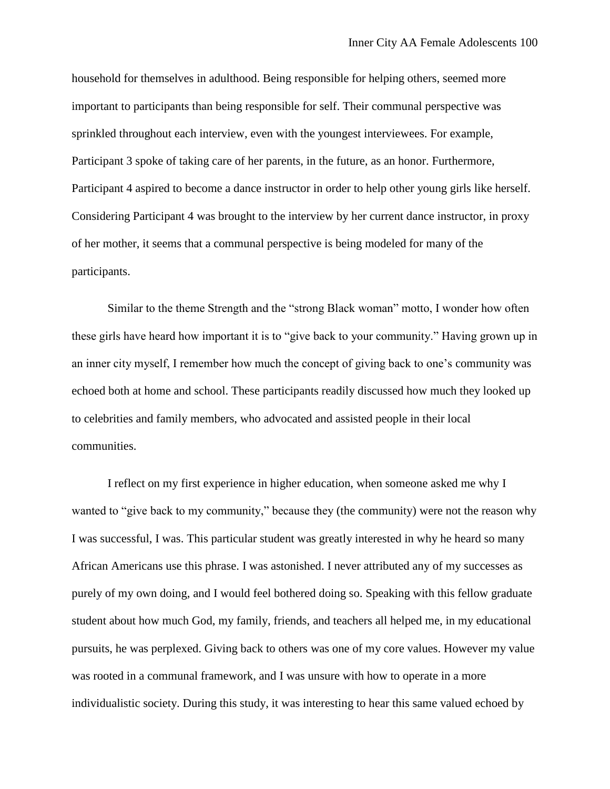household for themselves in adulthood. Being responsible for helping others, seemed more important to participants than being responsible for self. Their communal perspective was sprinkled throughout each interview, even with the youngest interviewees. For example, Participant 3 spoke of taking care of her parents, in the future, as an honor. Furthermore, Participant 4 aspired to become a dance instructor in order to help other young girls like herself. Considering Participant 4 was brought to the interview by her current dance instructor, in proxy of her mother, it seems that a communal perspective is being modeled for many of the participants.

Similar to the theme Strength and the "strong Black woman" motto, I wonder how often these girls have heard how important it is to "give back to your community." Having grown up in an inner city myself, I remember how much the concept of giving back to one's community was echoed both at home and school. These participants readily discussed how much they looked up to celebrities and family members, who advocated and assisted people in their local communities.

I reflect on my first experience in higher education, when someone asked me why I wanted to "give back to my community," because they (the community) were not the reason why I was successful, I was. This particular student was greatly interested in why he heard so many African Americans use this phrase. I was astonished. I never attributed any of my successes as purely of my own doing, and I would feel bothered doing so. Speaking with this fellow graduate student about how much God, my family, friends, and teachers all helped me, in my educational pursuits, he was perplexed. Giving back to others was one of my core values. However my value was rooted in a communal framework, and I was unsure with how to operate in a more individualistic society. During this study, it was interesting to hear this same valued echoed by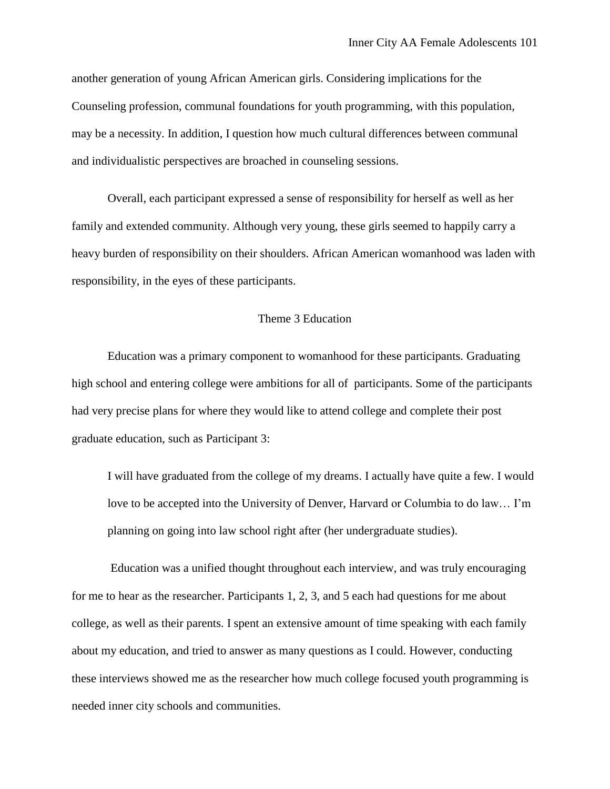another generation of young African American girls. Considering implications for the Counseling profession, communal foundations for youth programming, with this population, may be a necessity. In addition, I question how much cultural differences between communal and individualistic perspectives are broached in counseling sessions.

Overall, each participant expressed a sense of responsibility for herself as well as her family and extended community. Although very young, these girls seemed to happily carry a heavy burden of responsibility on their shoulders. African American womanhood was laden with responsibility, in the eyes of these participants.

## Theme 3 Education

Education was a primary component to womanhood for these participants. Graduating high school and entering college were ambitions for all of participants. Some of the participants had very precise plans for where they would like to attend college and complete their post graduate education, such as Participant 3:

I will have graduated from the college of my dreams. I actually have quite a few. I would love to be accepted into the University of Denver, Harvard or Columbia to do law… I'm planning on going into law school right after (her undergraduate studies).

Education was a unified thought throughout each interview, and was truly encouraging for me to hear as the researcher. Participants 1, 2, 3, and 5 each had questions for me about college, as well as their parents. I spent an extensive amount of time speaking with each family about my education, and tried to answer as many questions as I could. However, conducting these interviews showed me as the researcher how much college focused youth programming is needed inner city schools and communities.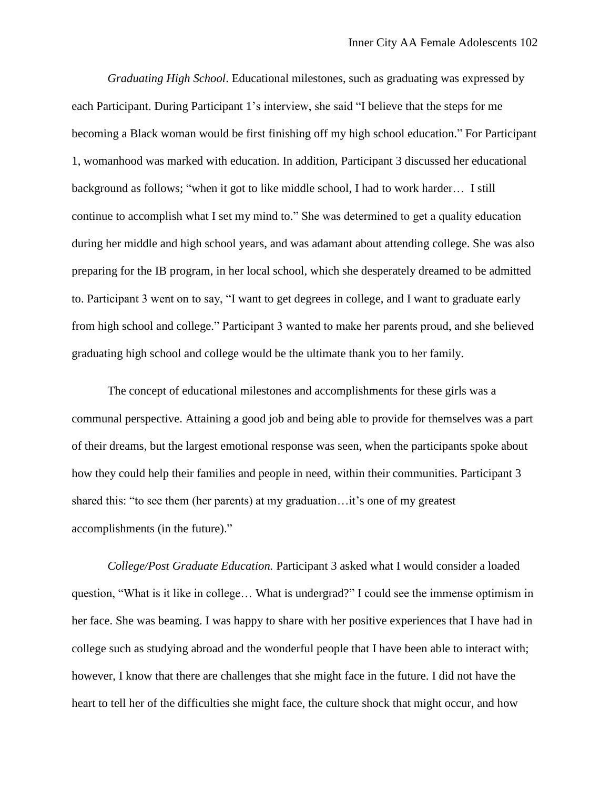*Graduating High School*. Educational milestones, such as graduating was expressed by each Participant. During Participant 1's interview, she said "I believe that the steps for me becoming a Black woman would be first finishing off my high school education." For Participant 1, womanhood was marked with education. In addition, Participant 3 discussed her educational background as follows; "when it got to like middle school, I had to work harder… I still continue to accomplish what I set my mind to." She was determined to get a quality education during her middle and high school years, and was adamant about attending college. She was also preparing for the IB program, in her local school, which she desperately dreamed to be admitted to. Participant 3 went on to say, "I want to get degrees in college, and I want to graduate early from high school and college." Participant 3 wanted to make her parents proud, and she believed graduating high school and college would be the ultimate thank you to her family.

The concept of educational milestones and accomplishments for these girls was a communal perspective. Attaining a good job and being able to provide for themselves was a part of their dreams, but the largest emotional response was seen, when the participants spoke about how they could help their families and people in need, within their communities. Participant 3 shared this: "to see them (her parents) at my graduation…it's one of my greatest accomplishments (in the future)."

*College/Post Graduate Education.* Participant 3 asked what I would consider a loaded question, "What is it like in college… What is undergrad?" I could see the immense optimism in her face. She was beaming. I was happy to share with her positive experiences that I have had in college such as studying abroad and the wonderful people that I have been able to interact with; however, I know that there are challenges that she might face in the future. I did not have the heart to tell her of the difficulties she might face, the culture shock that might occur, and how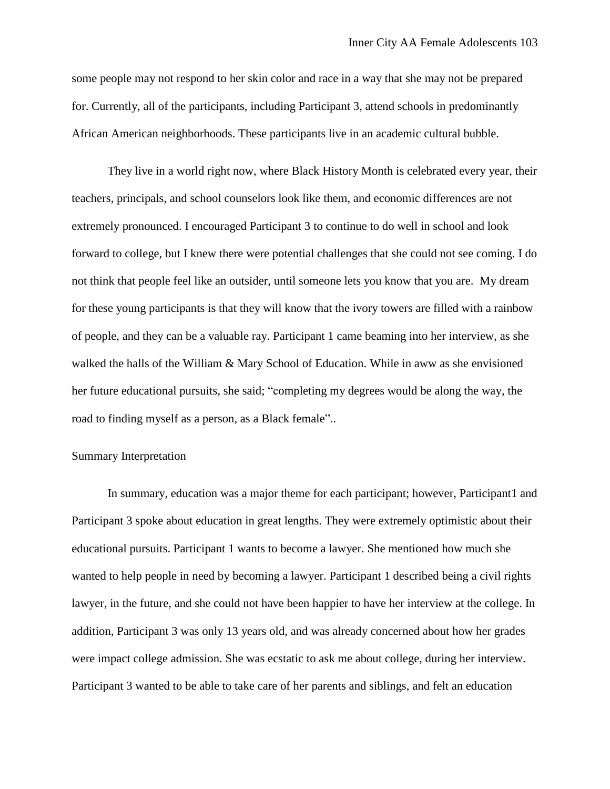some people may not respond to her skin color and race in a way that she may not be prepared for. Currently, all of the participants, including Participant 3, attend schools in predominantly African American neighborhoods. These participants live in an academic cultural bubble.

They live in a world right now, where Black History Month is celebrated every year, their teachers, principals, and school counselors look like them, and economic differences are not extremely pronounced. I encouraged Participant 3 to continue to do well in school and look forward to college, but I knew there were potential challenges that she could not see coming. I do not think that people feel like an outsider, until someone lets you know that you are. My dream for these young participants is that they will know that the ivory towers are filled with a rainbow of people, and they can be a valuable ray. Participant 1 came beaming into her interview, as she walked the halls of the William & Mary School of Education. While in aww as she envisioned her future educational pursuits, she said; "completing my degrees would be along the way, the road to finding myself as a person, as a Black female"..

# Summary Interpretation

In summary, education was a major theme for each participant; however, Participant1 and Participant 3 spoke about education in great lengths. They were extremely optimistic about their educational pursuits. Participant 1 wants to become a lawyer. She mentioned how much she wanted to help people in need by becoming a lawyer. Participant 1 described being a civil rights lawyer, in the future, and she could not have been happier to have her interview at the college. In addition, Participant 3 was only 13 years old, and was already concerned about how her grades were impact college admission. She was ecstatic to ask me about college, during her interview. Participant 3 wanted to be able to take care of her parents and siblings, and felt an education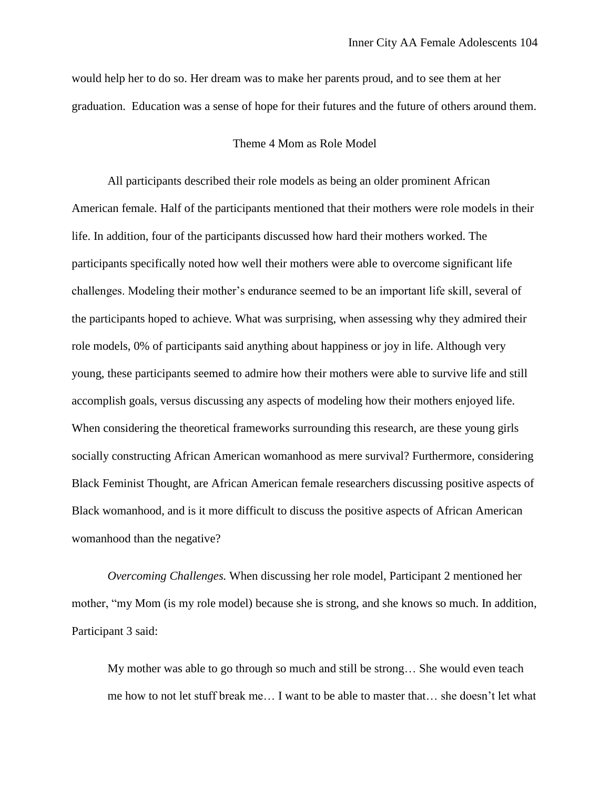would help her to do so. Her dream was to make her parents proud, and to see them at her graduation. Education was a sense of hope for their futures and the future of others around them.

## Theme 4 Mom as Role Model

All participants described their role models as being an older prominent African American female. Half of the participants mentioned that their mothers were role models in their life. In addition, four of the participants discussed how hard their mothers worked. The participants specifically noted how well their mothers were able to overcome significant life challenges. Modeling their mother's endurance seemed to be an important life skill, several of the participants hoped to achieve. What was surprising, when assessing why they admired their role models, 0% of participants said anything about happiness or joy in life. Although very young, these participants seemed to admire how their mothers were able to survive life and still accomplish goals, versus discussing any aspects of modeling how their mothers enjoyed life. When considering the theoretical frameworks surrounding this research, are these young girls socially constructing African American womanhood as mere survival? Furthermore, considering Black Feminist Thought, are African American female researchers discussing positive aspects of Black womanhood, and is it more difficult to discuss the positive aspects of African American womanhood than the negative?

*Overcoming Challenges.* When discussing her role model, Participant 2 mentioned her mother, "my Mom (is my role model) because she is strong, and she knows so much. In addition, Participant 3 said:

My mother was able to go through so much and still be strong… She would even teach me how to not let stuff break me… I want to be able to master that… she doesn't let what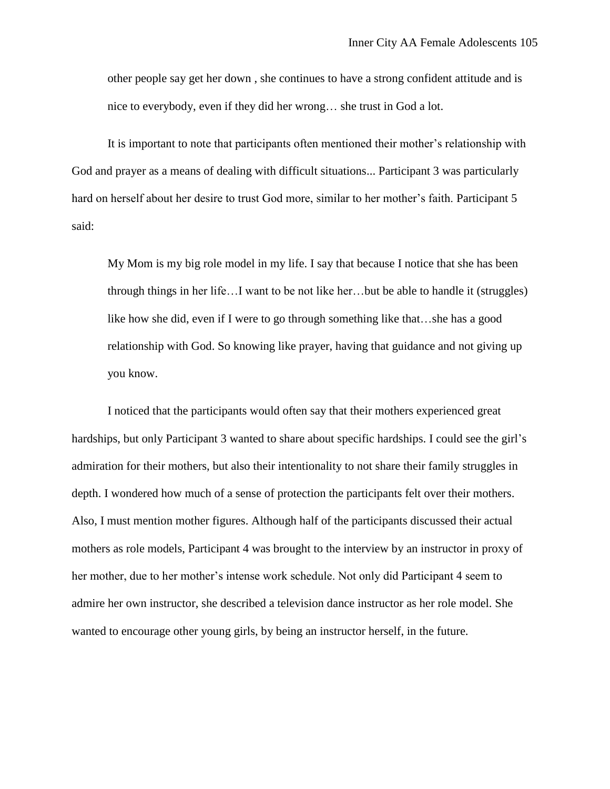other people say get her down , she continues to have a strong confident attitude and is nice to everybody, even if they did her wrong… she trust in God a lot.

It is important to note that participants often mentioned their mother's relationship with God and prayer as a means of dealing with difficult situations... Participant 3 was particularly hard on herself about her desire to trust God more, similar to her mother's faith. Participant 5 said:

My Mom is my big role model in my life. I say that because I notice that she has been through things in her life…I want to be not like her…but be able to handle it (struggles) like how she did, even if I were to go through something like that…she has a good relationship with God. So knowing like prayer, having that guidance and not giving up you know.

I noticed that the participants would often say that their mothers experienced great hardships, but only Participant 3 wanted to share about specific hardships. I could see the girl's admiration for their mothers, but also their intentionality to not share their family struggles in depth. I wondered how much of a sense of protection the participants felt over their mothers. Also, I must mention mother figures. Although half of the participants discussed their actual mothers as role models, Participant 4 was brought to the interview by an instructor in proxy of her mother, due to her mother's intense work schedule. Not only did Participant 4 seem to admire her own instructor, she described a television dance instructor as her role model. She wanted to encourage other young girls, by being an instructor herself, in the future.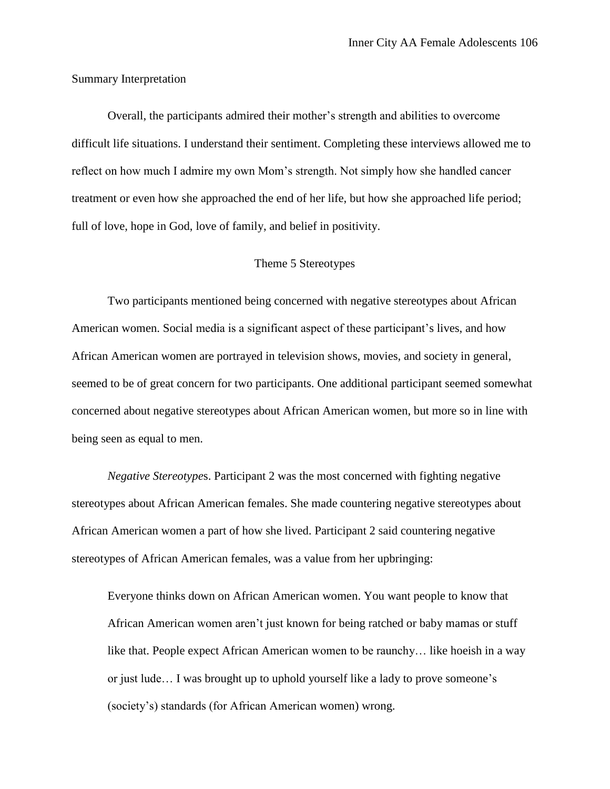Summary Interpretation

Overall, the participants admired their mother's strength and abilities to overcome difficult life situations. I understand their sentiment. Completing these interviews allowed me to reflect on how much I admire my own Mom's strength. Not simply how she handled cancer treatment or even how she approached the end of her life, but how she approached life period; full of love, hope in God, love of family, and belief in positivity.

# Theme 5 Stereotypes

Two participants mentioned being concerned with negative stereotypes about African American women. Social media is a significant aspect of these participant's lives, and how African American women are portrayed in television shows, movies, and society in general, seemed to be of great concern for two participants. One additional participant seemed somewhat concerned about negative stereotypes about African American women, but more so in line with being seen as equal to men.

*Negative Stereotype*s. Participant 2 was the most concerned with fighting negative stereotypes about African American females. She made countering negative stereotypes about African American women a part of how she lived. Participant 2 said countering negative stereotypes of African American females, was a value from her upbringing:

Everyone thinks down on African American women. You want people to know that African American women aren't just known for being ratched or baby mamas or stuff like that. People expect African American women to be raunchy… like hoeish in a way or just lude… I was brought up to uphold yourself like a lady to prove someone's (society's) standards (for African American women) wrong.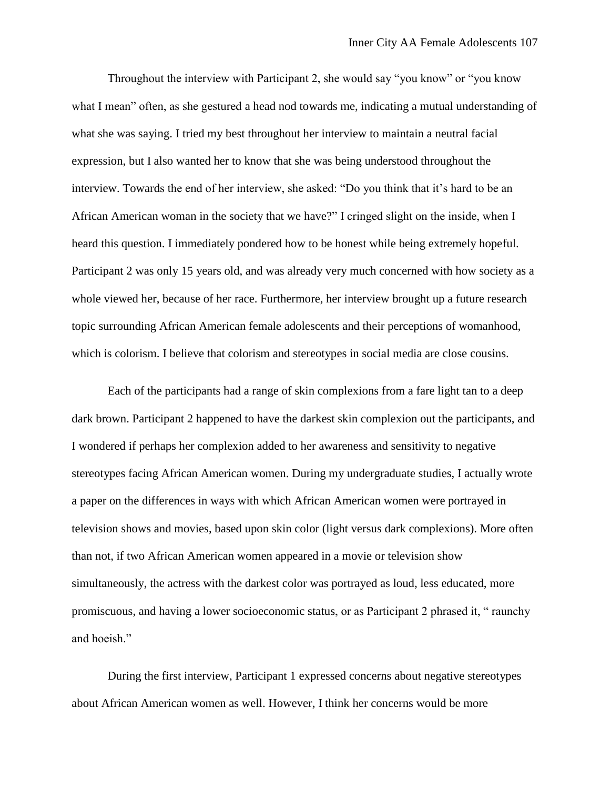Throughout the interview with Participant 2, she would say "you know" or "you know what I mean" often, as she gestured a head nod towards me, indicating a mutual understanding of what she was saying. I tried my best throughout her interview to maintain a neutral facial expression, but I also wanted her to know that she was being understood throughout the interview. Towards the end of her interview, she asked: "Do you think that it's hard to be an African American woman in the society that we have?" I cringed slight on the inside, when I heard this question. I immediately pondered how to be honest while being extremely hopeful. Participant 2 was only 15 years old, and was already very much concerned with how society as a whole viewed her, because of her race. Furthermore, her interview brought up a future research topic surrounding African American female adolescents and their perceptions of womanhood, which is colorism. I believe that colorism and stereotypes in social media are close cousins.

Each of the participants had a range of skin complexions from a fare light tan to a deep dark brown. Participant 2 happened to have the darkest skin complexion out the participants, and I wondered if perhaps her complexion added to her awareness and sensitivity to negative stereotypes facing African American women. During my undergraduate studies, I actually wrote a paper on the differences in ways with which African American women were portrayed in television shows and movies, based upon skin color (light versus dark complexions). More often than not, if two African American women appeared in a movie or television show simultaneously, the actress with the darkest color was portrayed as loud, less educated, more promiscuous, and having a lower socioeconomic status, or as Participant 2 phrased it, " raunchy and hoeish."

During the first interview, Participant 1 expressed concerns about negative stereotypes about African American women as well. However, I think her concerns would be more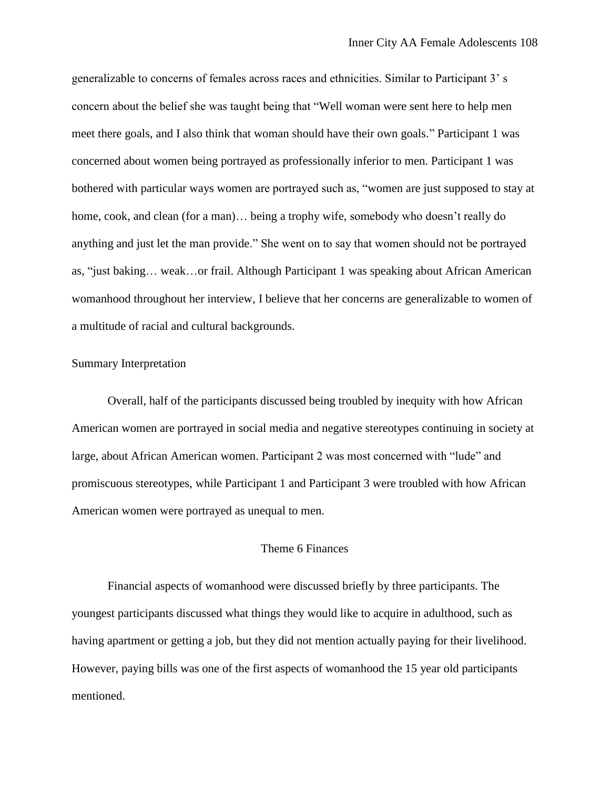generalizable to concerns of females across races and ethnicities. Similar to Participant 3' s concern about the belief she was taught being that "Well woman were sent here to help men meet there goals, and I also think that woman should have their own goals." Participant 1 was concerned about women being portrayed as professionally inferior to men. Participant 1 was bothered with particular ways women are portrayed such as, "women are just supposed to stay at home, cook, and clean (for a man)... being a trophy wife, somebody who doesn't really do anything and just let the man provide." She went on to say that women should not be portrayed as, "just baking… weak…or frail. Although Participant 1 was speaking about African American womanhood throughout her interview, I believe that her concerns are generalizable to women of a multitude of racial and cultural backgrounds.

### Summary Interpretation

Overall, half of the participants discussed being troubled by inequity with how African American women are portrayed in social media and negative stereotypes continuing in society at large, about African American women. Participant 2 was most concerned with "lude" and promiscuous stereotypes, while Participant 1 and Participant 3 were troubled with how African American women were portrayed as unequal to men.

### Theme 6 Finances

Financial aspects of womanhood were discussed briefly by three participants. The youngest participants discussed what things they would like to acquire in adulthood, such as having apartment or getting a job, but they did not mention actually paying for their livelihood. However, paying bills was one of the first aspects of womanhood the 15 year old participants mentioned.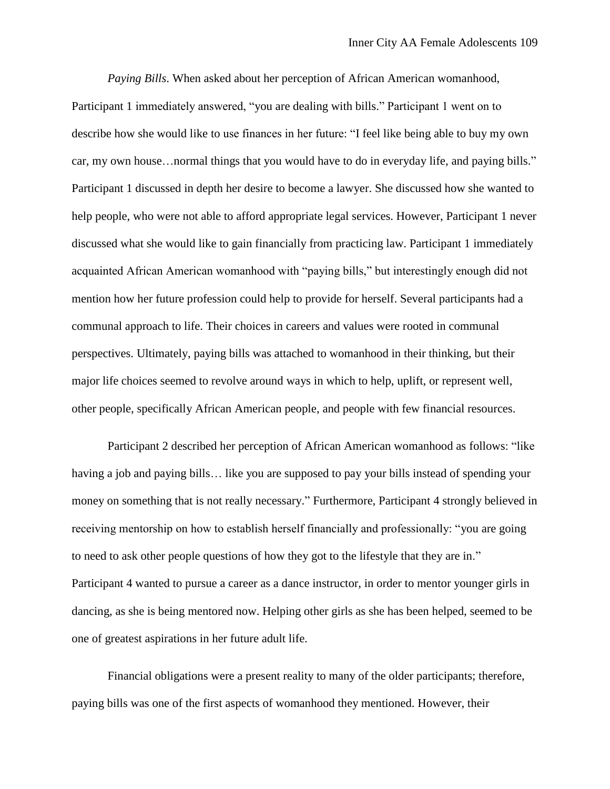*Paying Bills*. When asked about her perception of African American womanhood, Participant 1 immediately answered, "you are dealing with bills." Participant 1 went on to describe how she would like to use finances in her future: "I feel like being able to buy my own car, my own house…normal things that you would have to do in everyday life, and paying bills." Participant 1 discussed in depth her desire to become a lawyer. She discussed how she wanted to help people, who were not able to afford appropriate legal services. However, Participant 1 never discussed what she would like to gain financially from practicing law. Participant 1 immediately acquainted African American womanhood with "paying bills," but interestingly enough did not mention how her future profession could help to provide for herself. Several participants had a communal approach to life. Their choices in careers and values were rooted in communal perspectives. Ultimately, paying bills was attached to womanhood in their thinking, but their major life choices seemed to revolve around ways in which to help, uplift, or represent well, other people, specifically African American people, and people with few financial resources.

Participant 2 described her perception of African American womanhood as follows: "like having a job and paying bills… like you are supposed to pay your bills instead of spending your money on something that is not really necessary." Furthermore, Participant 4 strongly believed in receiving mentorship on how to establish herself financially and professionally: "you are going to need to ask other people questions of how they got to the lifestyle that they are in." Participant 4 wanted to pursue a career as a dance instructor, in order to mentor younger girls in dancing, as she is being mentored now. Helping other girls as she has been helped, seemed to be one of greatest aspirations in her future adult life.

Financial obligations were a present reality to many of the older participants; therefore, paying bills was one of the first aspects of womanhood they mentioned. However, their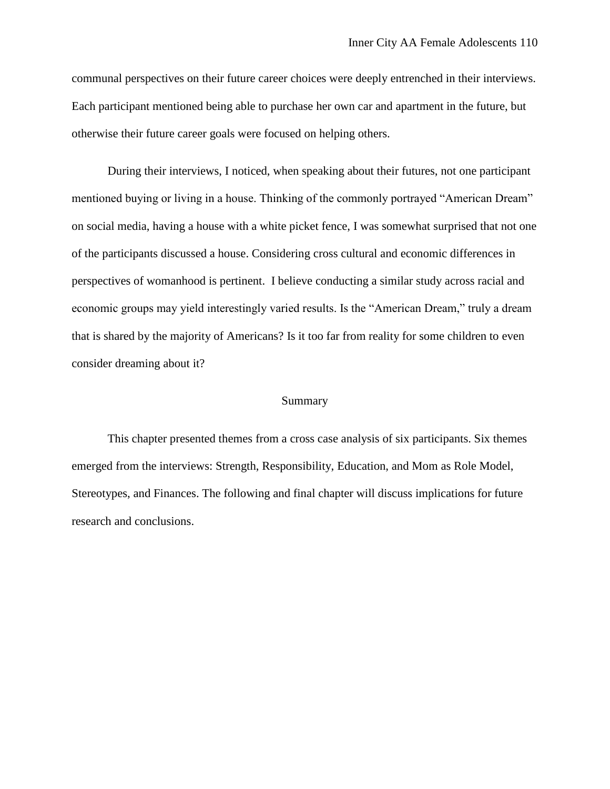communal perspectives on their future career choices were deeply entrenched in their interviews. Each participant mentioned being able to purchase her own car and apartment in the future, but otherwise their future career goals were focused on helping others.

During their interviews, I noticed, when speaking about their futures, not one participant mentioned buying or living in a house. Thinking of the commonly portrayed "American Dream" on social media, having a house with a white picket fence, I was somewhat surprised that not one of the participants discussed a house. Considering cross cultural and economic differences in perspectives of womanhood is pertinent. I believe conducting a similar study across racial and economic groups may yield interestingly varied results. Is the "American Dream," truly a dream that is shared by the majority of Americans? Is it too far from reality for some children to even consider dreaming about it?

#### Summary

This chapter presented themes from a cross case analysis of six participants. Six themes emerged from the interviews: Strength, Responsibility, Education, and Mom as Role Model, Stereotypes, and Finances. The following and final chapter will discuss implications for future research and conclusions.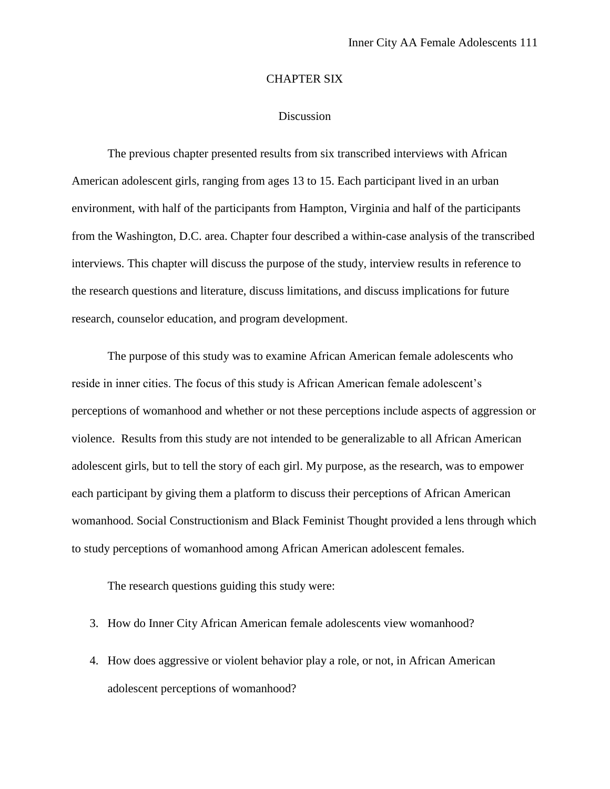#### CHAPTER SIX

### Discussion

The previous chapter presented results from six transcribed interviews with African American adolescent girls, ranging from ages 13 to 15. Each participant lived in an urban environment, with half of the participants from Hampton, Virginia and half of the participants from the Washington, D.C. area. Chapter four described a within-case analysis of the transcribed interviews. This chapter will discuss the purpose of the study, interview results in reference to the research questions and literature, discuss limitations, and discuss implications for future research, counselor education, and program development.

The purpose of this study was to examine African American female adolescents who reside in inner cities. The focus of this study is African American female adolescent's perceptions of womanhood and whether or not these perceptions include aspects of aggression or violence. Results from this study are not intended to be generalizable to all African American adolescent girls, but to tell the story of each girl. My purpose, as the research, was to empower each participant by giving them a platform to discuss their perceptions of African American womanhood. Social Constructionism and Black Feminist Thought provided a lens through which to study perceptions of womanhood among African American adolescent females.

The research questions guiding this study were:

- 3. How do Inner City African American female adolescents view womanhood?
- 4. How does aggressive or violent behavior play a role, or not, in African American adolescent perceptions of womanhood?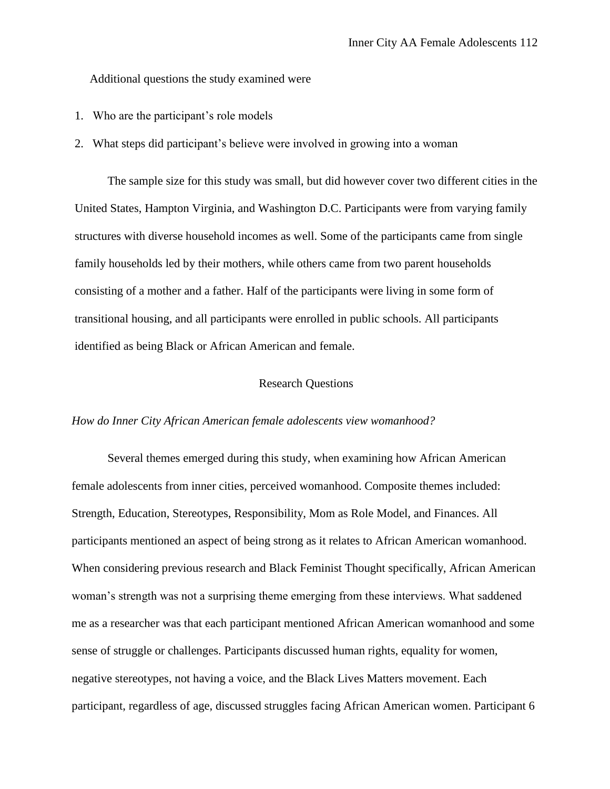Additional questions the study examined were

- 1. Who are the participant's role models
- 2. What steps did participant's believe were involved in growing into a woman

The sample size for this study was small, but did however cover two different cities in the United States, Hampton Virginia, and Washington D.C. Participants were from varying family structures with diverse household incomes as well. Some of the participants came from single family households led by their mothers, while others came from two parent households consisting of a mother and a father. Half of the participants were living in some form of transitional housing, and all participants were enrolled in public schools. All participants identified as being Black or African American and female.

### Research Questions

### *How do Inner City African American female adolescents view womanhood?*

Several themes emerged during this study, when examining how African American female adolescents from inner cities, perceived womanhood. Composite themes included: Strength, Education, Stereotypes, Responsibility, Mom as Role Model, and Finances. All participants mentioned an aspect of being strong as it relates to African American womanhood. When considering previous research and Black Feminist Thought specifically, African American woman's strength was not a surprising theme emerging from these interviews. What saddened me as a researcher was that each participant mentioned African American womanhood and some sense of struggle or challenges. Participants discussed human rights, equality for women, negative stereotypes, not having a voice, and the Black Lives Matters movement. Each participant, regardless of age, discussed struggles facing African American women. Participant 6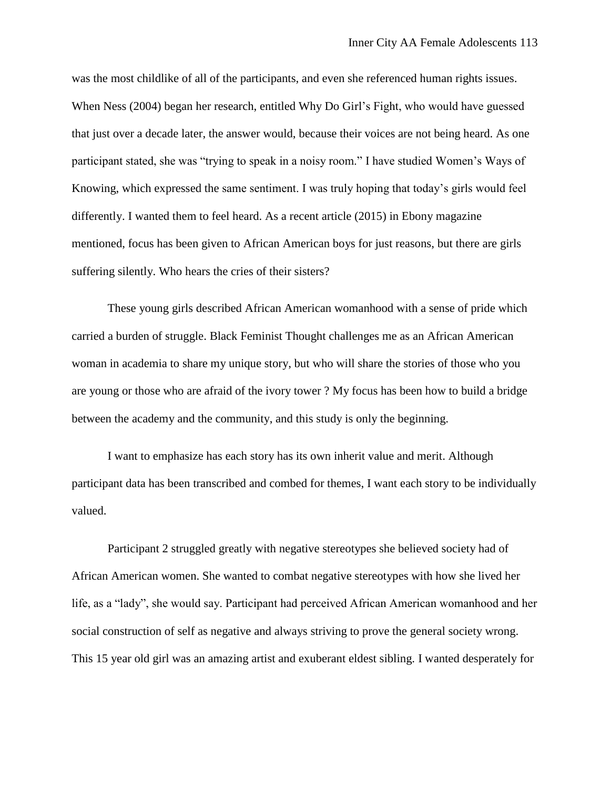was the most childlike of all of the participants, and even she referenced human rights issues. When Ness (2004) began her research, entitled Why Do Girl's Fight, who would have guessed that just over a decade later, the answer would, because their voices are not being heard. As one participant stated, she was "trying to speak in a noisy room." I have studied Women's Ways of Knowing, which expressed the same sentiment. I was truly hoping that today's girls would feel differently. I wanted them to feel heard. As a recent article (2015) in Ebony magazine mentioned, focus has been given to African American boys for just reasons, but there are girls suffering silently. Who hears the cries of their sisters?

These young girls described African American womanhood with a sense of pride which carried a burden of struggle. Black Feminist Thought challenges me as an African American woman in academia to share my unique story, but who will share the stories of those who you are young or those who are afraid of the ivory tower ? My focus has been how to build a bridge between the academy and the community, and this study is only the beginning.

I want to emphasize has each story has its own inherit value and merit. Although participant data has been transcribed and combed for themes, I want each story to be individually valued.

Participant 2 struggled greatly with negative stereotypes she believed society had of African American women. She wanted to combat negative stereotypes with how she lived her life, as a "lady", she would say. Participant had perceived African American womanhood and her social construction of self as negative and always striving to prove the general society wrong. This 15 year old girl was an amazing artist and exuberant eldest sibling. I wanted desperately for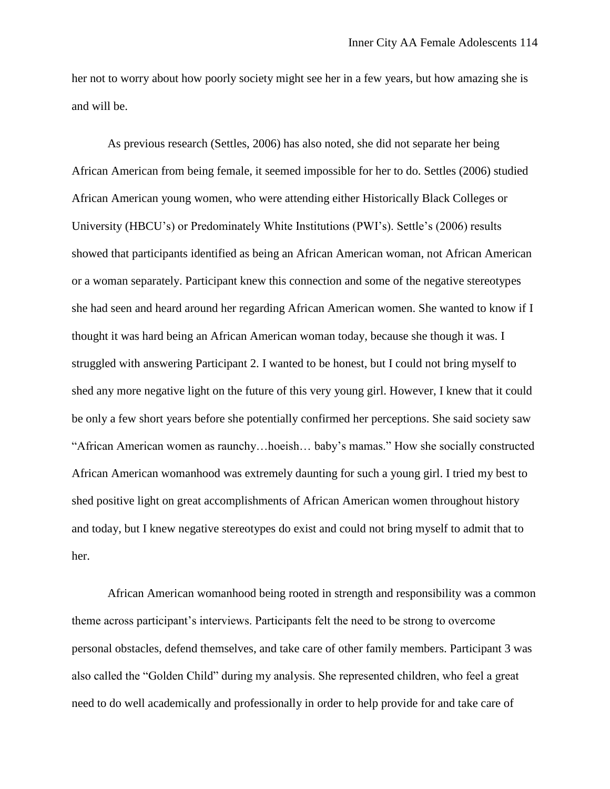her not to worry about how poorly society might see her in a few years, but how amazing she is and will be.

As previous research (Settles, 2006) has also noted, she did not separate her being African American from being female, it seemed impossible for her to do. Settles (2006) studied African American young women, who were attending either Historically Black Colleges or University (HBCU's) or Predominately White Institutions (PWI's). Settle's (2006) results showed that participants identified as being an African American woman, not African American or a woman separately. Participant knew this connection and some of the negative stereotypes she had seen and heard around her regarding African American women. She wanted to know if I thought it was hard being an African American woman today, because she though it was. I struggled with answering Participant 2. I wanted to be honest, but I could not bring myself to shed any more negative light on the future of this very young girl. However, I knew that it could be only a few short years before she potentially confirmed her perceptions. She said society saw "African American women as raunchy…hoeish… baby's mamas." How she socially constructed African American womanhood was extremely daunting for such a young girl. I tried my best to shed positive light on great accomplishments of African American women throughout history and today, but I knew negative stereotypes do exist and could not bring myself to admit that to her.

African American womanhood being rooted in strength and responsibility was a common theme across participant's interviews. Participants felt the need to be strong to overcome personal obstacles, defend themselves, and take care of other family members. Participant 3 was also called the "Golden Child" during my analysis. She represented children, who feel a great need to do well academically and professionally in order to help provide for and take care of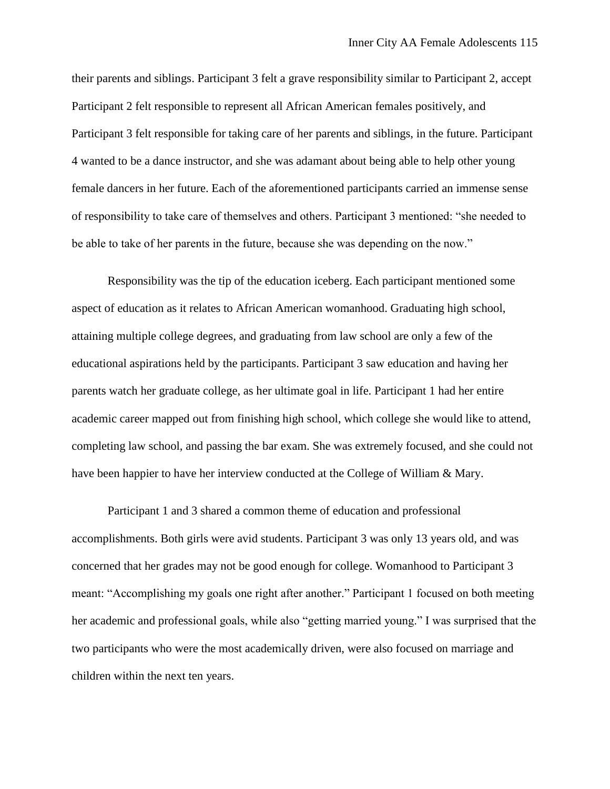their parents and siblings. Participant 3 felt a grave responsibility similar to Participant 2, accept Participant 2 felt responsible to represent all African American females positively, and Participant 3 felt responsible for taking care of her parents and siblings, in the future. Participant 4 wanted to be a dance instructor, and she was adamant about being able to help other young female dancers in her future. Each of the aforementioned participants carried an immense sense of responsibility to take care of themselves and others. Participant 3 mentioned: "she needed to be able to take of her parents in the future, because she was depending on the now."

Responsibility was the tip of the education iceberg. Each participant mentioned some aspect of education as it relates to African American womanhood. Graduating high school, attaining multiple college degrees, and graduating from law school are only a few of the educational aspirations held by the participants. Participant 3 saw education and having her parents watch her graduate college, as her ultimate goal in life. Participant 1 had her entire academic career mapped out from finishing high school, which college she would like to attend, completing law school, and passing the bar exam. She was extremely focused, and she could not have been happier to have her interview conducted at the College of William & Mary.

Participant 1 and 3 shared a common theme of education and professional accomplishments. Both girls were avid students. Participant 3 was only 13 years old, and was concerned that her grades may not be good enough for college. Womanhood to Participant 3 meant: "Accomplishing my goals one right after another." Participant 1 focused on both meeting her academic and professional goals, while also "getting married young." I was surprised that the two participants who were the most academically driven, were also focused on marriage and children within the next ten years.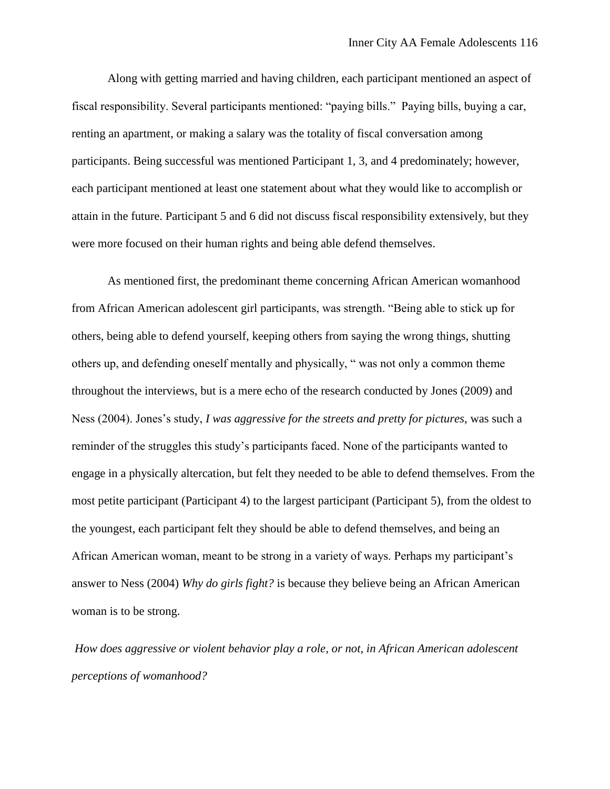Along with getting married and having children, each participant mentioned an aspect of fiscal responsibility. Several participants mentioned: "paying bills." Paying bills, buying a car, renting an apartment, or making a salary was the totality of fiscal conversation among participants. Being successful was mentioned Participant 1, 3, and 4 predominately; however, each participant mentioned at least one statement about what they would like to accomplish or attain in the future. Participant 5 and 6 did not discuss fiscal responsibility extensively, but they were more focused on their human rights and being able defend themselves.

As mentioned first, the predominant theme concerning African American womanhood from African American adolescent girl participants, was strength. "Being able to stick up for others, being able to defend yourself, keeping others from saying the wrong things, shutting others up, and defending oneself mentally and physically, " was not only a common theme throughout the interviews, but is a mere echo of the research conducted by Jones (2009) and Ness (2004). Jones's study, *I was aggressive for the streets and pretty for pictures*, was such a reminder of the struggles this study's participants faced. None of the participants wanted to engage in a physically altercation, but felt they needed to be able to defend themselves. From the most petite participant (Participant 4) to the largest participant (Participant 5), from the oldest to the youngest, each participant felt they should be able to defend themselves, and being an African American woman, meant to be strong in a variety of ways. Perhaps my participant's answer to Ness (2004) *Why do girls fight?* is because they believe being an African American woman is to be strong.

*How does aggressive or violent behavior play a role, or not, in African American adolescent perceptions of womanhood?*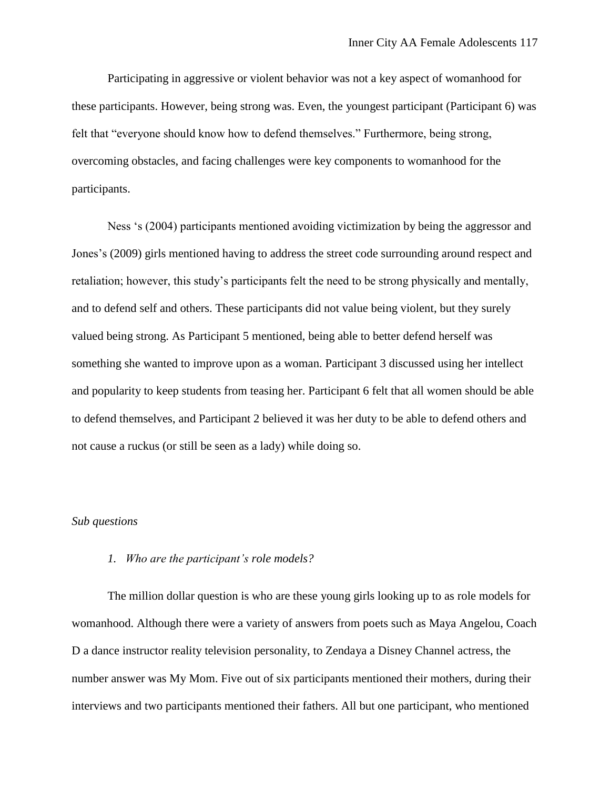Participating in aggressive or violent behavior was not a key aspect of womanhood for these participants. However, being strong was. Even, the youngest participant (Participant 6) was felt that "everyone should know how to defend themselves." Furthermore, being strong, overcoming obstacles, and facing challenges were key components to womanhood for the participants.

Ness 's (2004) participants mentioned avoiding victimization by being the aggressor and Jones's (2009) girls mentioned having to address the street code surrounding around respect and retaliation; however, this study's participants felt the need to be strong physically and mentally, and to defend self and others. These participants did not value being violent, but they surely valued being strong. As Participant 5 mentioned, being able to better defend herself was something she wanted to improve upon as a woman. Participant 3 discussed using her intellect and popularity to keep students from teasing her. Participant 6 felt that all women should be able to defend themselves, and Participant 2 believed it was her duty to be able to defend others and not cause a ruckus (or still be seen as a lady) while doing so.

### *Sub questions*

### *1. Who are the participant's role models?*

The million dollar question is who are these young girls looking up to as role models for womanhood. Although there were a variety of answers from poets such as Maya Angelou, Coach D a dance instructor reality television personality, to Zendaya a Disney Channel actress, the number answer was My Mom. Five out of six participants mentioned their mothers, during their interviews and two participants mentioned their fathers. All but one participant, who mentioned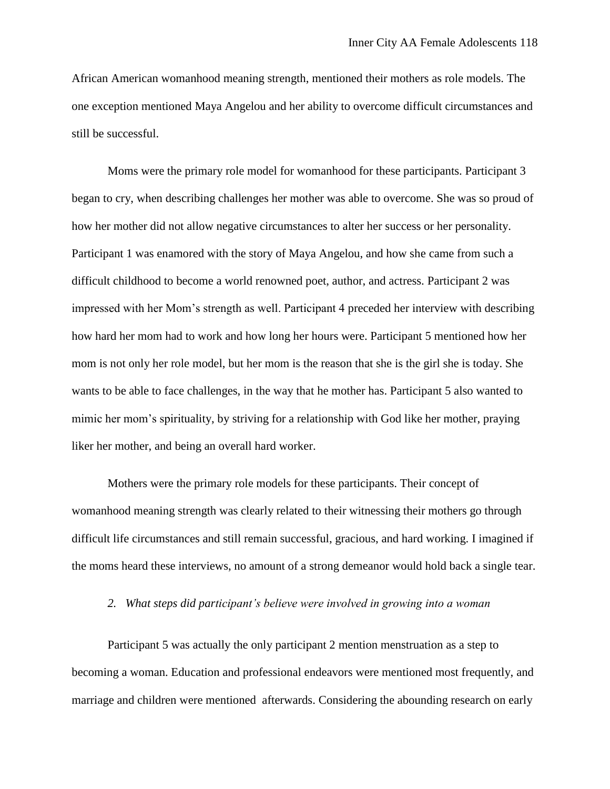African American womanhood meaning strength, mentioned their mothers as role models. The one exception mentioned Maya Angelou and her ability to overcome difficult circumstances and still be successful.

Moms were the primary role model for womanhood for these participants. Participant 3 began to cry, when describing challenges her mother was able to overcome. She was so proud of how her mother did not allow negative circumstances to alter her success or her personality. Participant 1 was enamored with the story of Maya Angelou, and how she came from such a difficult childhood to become a world renowned poet, author, and actress. Participant 2 was impressed with her Mom's strength as well. Participant 4 preceded her interview with describing how hard her mom had to work and how long her hours were. Participant 5 mentioned how her mom is not only her role model, but her mom is the reason that she is the girl she is today. She wants to be able to face challenges, in the way that he mother has. Participant 5 also wanted to mimic her mom's spirituality, by striving for a relationship with God like her mother, praying liker her mother, and being an overall hard worker.

Mothers were the primary role models for these participants. Their concept of womanhood meaning strength was clearly related to their witnessing their mothers go through difficult life circumstances and still remain successful, gracious, and hard working. I imagined if the moms heard these interviews, no amount of a strong demeanor would hold back a single tear.

### *2. What steps did participant's believe were involved in growing into a woman*

Participant 5 was actually the only participant 2 mention menstruation as a step to becoming a woman. Education and professional endeavors were mentioned most frequently, and marriage and children were mentioned afterwards. Considering the abounding research on early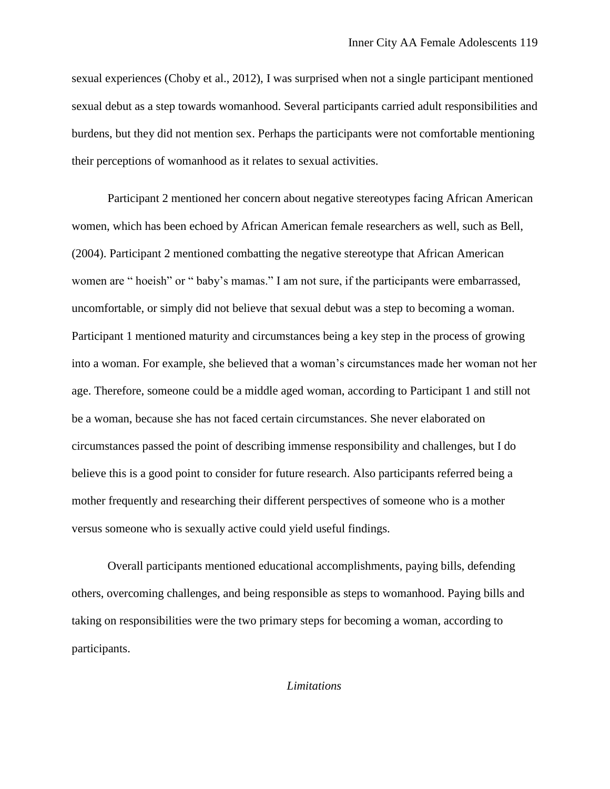sexual experiences (Choby et al., 2012), I was surprised when not a single participant mentioned sexual debut as a step towards womanhood. Several participants carried adult responsibilities and burdens, but they did not mention sex. Perhaps the participants were not comfortable mentioning their perceptions of womanhood as it relates to sexual activities.

Participant 2 mentioned her concern about negative stereotypes facing African American women, which has been echoed by African American female researchers as well, such as Bell, (2004). Participant 2 mentioned combatting the negative stereotype that African American women are " hoeish" or " baby's mamas." I am not sure, if the participants were embarrassed, uncomfortable, or simply did not believe that sexual debut was a step to becoming a woman. Participant 1 mentioned maturity and circumstances being a key step in the process of growing into a woman. For example, she believed that a woman's circumstances made her woman not her age. Therefore, someone could be a middle aged woman, according to Participant 1 and still not be a woman, because she has not faced certain circumstances. She never elaborated on circumstances passed the point of describing immense responsibility and challenges, but I do believe this is a good point to consider for future research. Also participants referred being a mother frequently and researching their different perspectives of someone who is a mother versus someone who is sexually active could yield useful findings.

Overall participants mentioned educational accomplishments, paying bills, defending others, overcoming challenges, and being responsible as steps to womanhood. Paying bills and taking on responsibilities were the two primary steps for becoming a woman, according to participants.

*Limitations*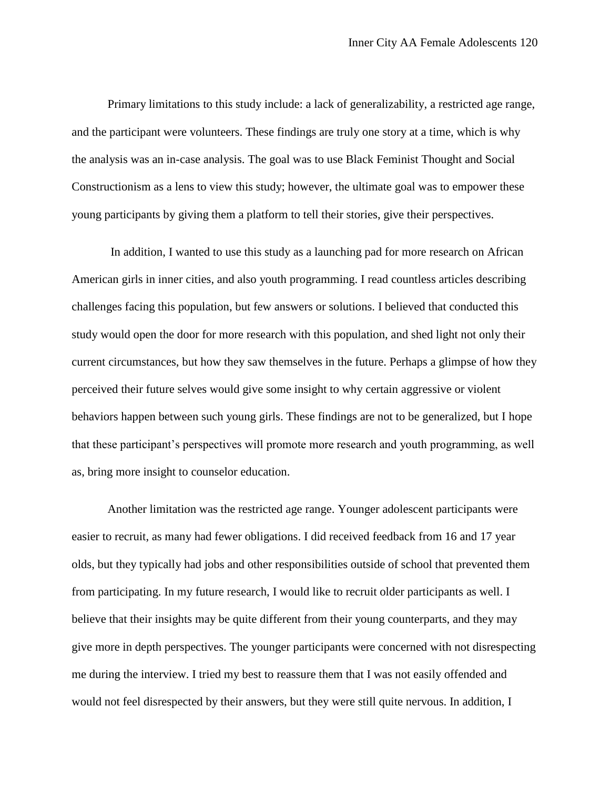Primary limitations to this study include: a lack of generalizability, a restricted age range, and the participant were volunteers. These findings are truly one story at a time, which is why the analysis was an in-case analysis. The goal was to use Black Feminist Thought and Social Constructionism as a lens to view this study; however, the ultimate goal was to empower these young participants by giving them a platform to tell their stories, give their perspectives.

In addition, I wanted to use this study as a launching pad for more research on African American girls in inner cities, and also youth programming. I read countless articles describing challenges facing this population, but few answers or solutions. I believed that conducted this study would open the door for more research with this population, and shed light not only their current circumstances, but how they saw themselves in the future. Perhaps a glimpse of how they perceived their future selves would give some insight to why certain aggressive or violent behaviors happen between such young girls. These findings are not to be generalized, but I hope that these participant's perspectives will promote more research and youth programming, as well as, bring more insight to counselor education.

Another limitation was the restricted age range. Younger adolescent participants were easier to recruit, as many had fewer obligations. I did received feedback from 16 and 17 year olds, but they typically had jobs and other responsibilities outside of school that prevented them from participating. In my future research, I would like to recruit older participants as well. I believe that their insights may be quite different from their young counterparts, and they may give more in depth perspectives. The younger participants were concerned with not disrespecting me during the interview. I tried my best to reassure them that I was not easily offended and would not feel disrespected by their answers, but they were still quite nervous. In addition, I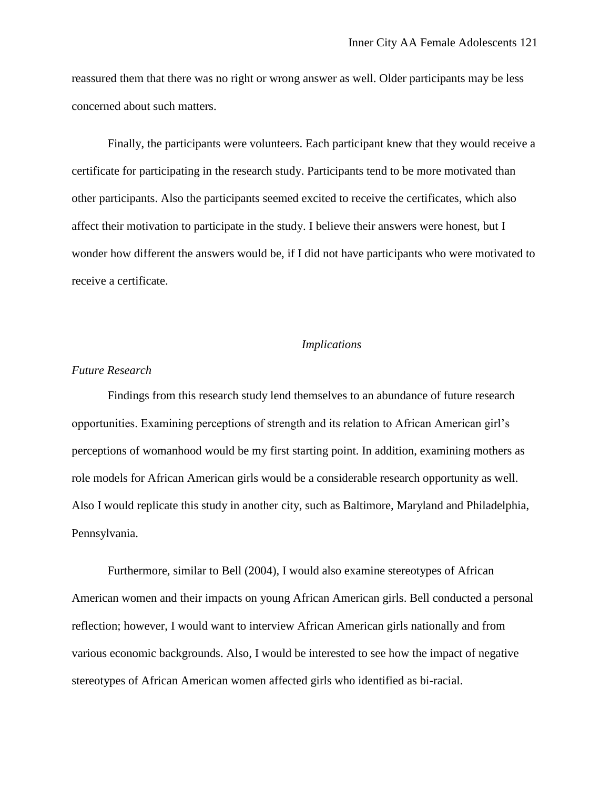reassured them that there was no right or wrong answer as well. Older participants may be less concerned about such matters.

Finally, the participants were volunteers. Each participant knew that they would receive a certificate for participating in the research study. Participants tend to be more motivated than other participants. Also the participants seemed excited to receive the certificates, which also affect their motivation to participate in the study. I believe their answers were honest, but I wonder how different the answers would be, if I did not have participants who were motivated to receive a certificate.

### *Implications*

#### *Future Research*

Findings from this research study lend themselves to an abundance of future research opportunities. Examining perceptions of strength and its relation to African American girl's perceptions of womanhood would be my first starting point. In addition, examining mothers as role models for African American girls would be a considerable research opportunity as well. Also I would replicate this study in another city, such as Baltimore, Maryland and Philadelphia, Pennsylvania.

Furthermore, similar to Bell (2004), I would also examine stereotypes of African American women and their impacts on young African American girls. Bell conducted a personal reflection; however, I would want to interview African American girls nationally and from various economic backgrounds. Also, I would be interested to see how the impact of negative stereotypes of African American women affected girls who identified as bi-racial.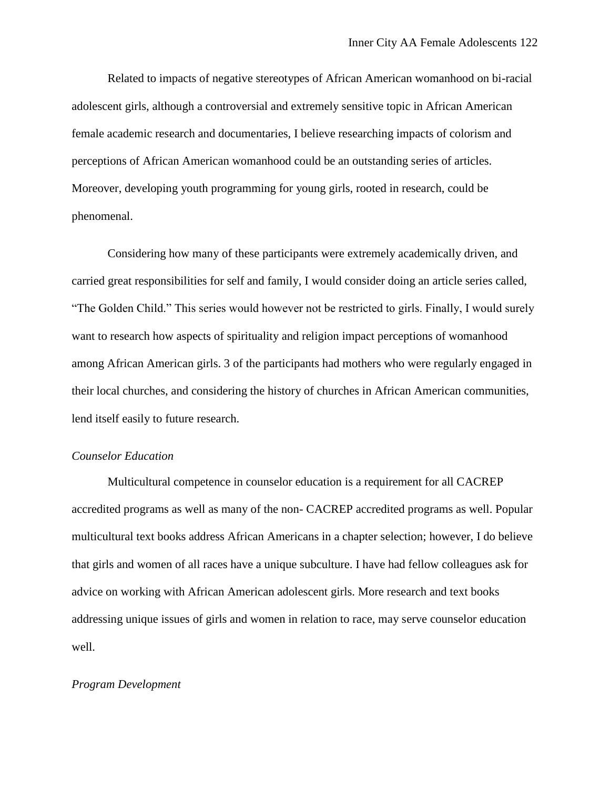Related to impacts of negative stereotypes of African American womanhood on bi-racial adolescent girls, although a controversial and extremely sensitive topic in African American female academic research and documentaries, I believe researching impacts of colorism and perceptions of African American womanhood could be an outstanding series of articles. Moreover, developing youth programming for young girls, rooted in research, could be phenomenal.

Considering how many of these participants were extremely academically driven, and carried great responsibilities for self and family, I would consider doing an article series called, "The Golden Child." This series would however not be restricted to girls. Finally, I would surely want to research how aspects of spirituality and religion impact perceptions of womanhood among African American girls. 3 of the participants had mothers who were regularly engaged in their local churches, and considering the history of churches in African American communities, lend itself easily to future research.

### *Counselor Education*

Multicultural competence in counselor education is a requirement for all CACREP accredited programs as well as many of the non- CACREP accredited programs as well. Popular multicultural text books address African Americans in a chapter selection; however, I do believe that girls and women of all races have a unique subculture. I have had fellow colleagues ask for advice on working with African American adolescent girls. More research and text books addressing unique issues of girls and women in relation to race, may serve counselor education well.

### *Program Development*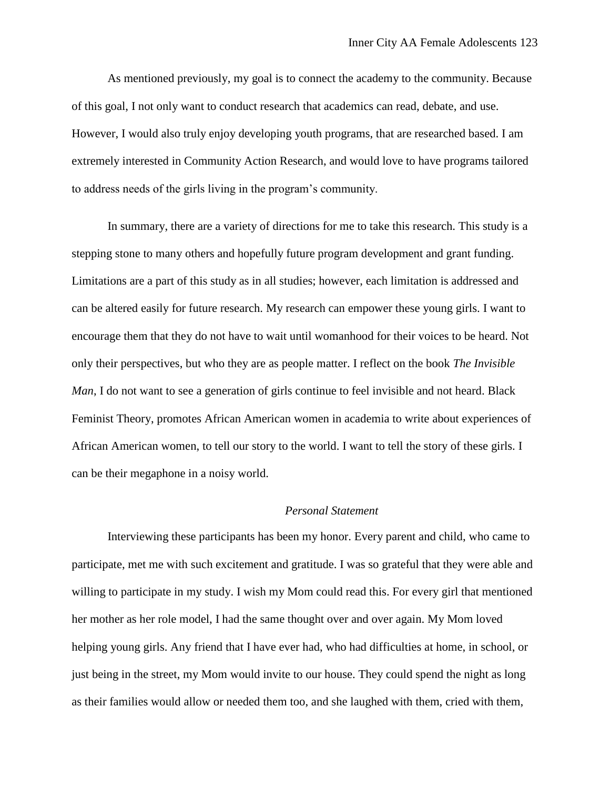As mentioned previously, my goal is to connect the academy to the community. Because of this goal, I not only want to conduct research that academics can read, debate, and use. However, I would also truly enjoy developing youth programs, that are researched based. I am extremely interested in Community Action Research, and would love to have programs tailored to address needs of the girls living in the program's community.

In summary, there are a variety of directions for me to take this research. This study is a stepping stone to many others and hopefully future program development and grant funding. Limitations are a part of this study as in all studies; however, each limitation is addressed and can be altered easily for future research. My research can empower these young girls. I want to encourage them that they do not have to wait until womanhood for their voices to be heard. Not only their perspectives, but who they are as people matter. I reflect on the book *The Invisible Man*, I do not want to see a generation of girls continue to feel invisible and not heard. Black Feminist Theory, promotes African American women in academia to write about experiences of African American women, to tell our story to the world. I want to tell the story of these girls. I can be their megaphone in a noisy world.

# *Personal Statement*

Interviewing these participants has been my honor. Every parent and child, who came to participate, met me with such excitement and gratitude. I was so grateful that they were able and willing to participate in my study. I wish my Mom could read this. For every girl that mentioned her mother as her role model, I had the same thought over and over again. My Mom loved helping young girls. Any friend that I have ever had, who had difficulties at home, in school, or just being in the street, my Mom would invite to our house. They could spend the night as long as their families would allow or needed them too, and she laughed with them, cried with them,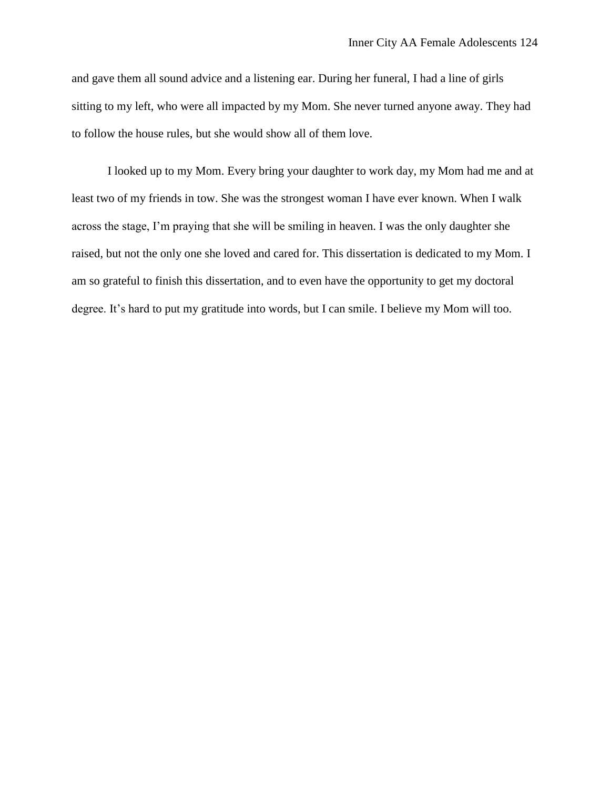and gave them all sound advice and a listening ear. During her funeral, I had a line of girls sitting to my left, who were all impacted by my Mom. She never turned anyone away. They had to follow the house rules, but she would show all of them love.

I looked up to my Mom. Every bring your daughter to work day, my Mom had me and at least two of my friends in tow. She was the strongest woman I have ever known. When I walk across the stage, I'm praying that she will be smiling in heaven. I was the only daughter she raised, but not the only one she loved and cared for. This dissertation is dedicated to my Mom. I am so grateful to finish this dissertation, and to even have the opportunity to get my doctoral degree. It's hard to put my gratitude into words, but I can smile. I believe my Mom will too.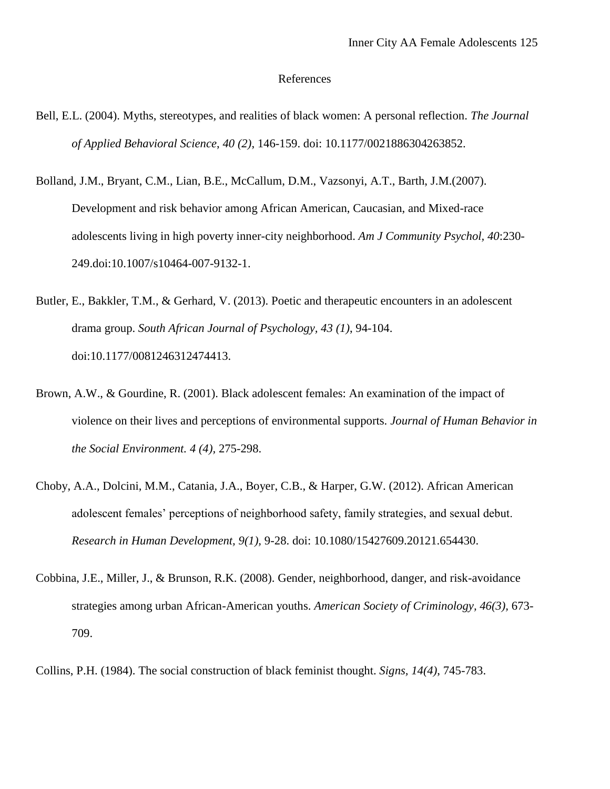#### References

- Bell, E.L. (2004). Myths, stereotypes, and realities of black women: A personal reflection. *The Journal of Applied Behavioral Science*, *40 (2)*, 146-159. doi: 10.1177/0021886304263852.
- Bolland, J.M., Bryant, C.M., Lian, B.E., McCallum, D.M., Vazsonyi, A.T., Barth, J.M.(2007). Development and risk behavior among African American, Caucasian, and Mixed-race adolescents living in high poverty inner-city neighborhood. *Am J Community Psychol, 40*:230- 249.doi:10.1007/s10464-007-9132-1.
- Butler, E., Bakkler, T.M., & Gerhard, V. (2013). Poetic and therapeutic encounters in an adolescent drama group. *South African Journal of Psychology, 43 (1)*, 94-104. doi:10.1177/0081246312474413.
- Brown, A.W., & Gourdine, R. (2001). Black adolescent females: An examination of the impact of violence on their lives and perceptions of environmental supports. *Journal of Human Behavior in the Social Environment. 4 (4),* 275-298.
- Choby, A.A., Dolcini, M.M., Catania, J.A., Boyer, C.B., & Harper, G.W. (2012). African American adolescent females' perceptions of neighborhood safety, family strategies, and sexual debut. *Research in Human Development, 9(1),* 9-28. doi: 10.1080/15427609.20121.654430.
- Cobbina, J.E., Miller, J., & Brunson, R.K. (2008). Gender, neighborhood, danger, and risk-avoidance strategies among urban African-American youths. *American Society of Criminology, 46(3),* 673- 709.

Collins, P.H. (1984). The social construction of black feminist thought. *Signs, 14(4)*, 745-783.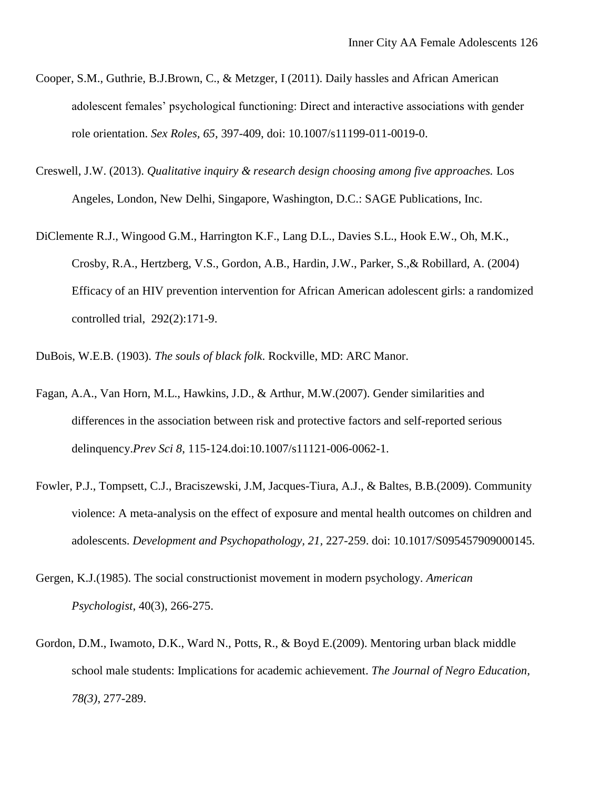- Cooper, S.M., Guthrie, B.J.Brown, C., & Metzger, I (2011). Daily hassles and African American adolescent females' psychological functioning: Direct and interactive associations with gender role orientation. *Sex Roles, 65*, 397-409, doi: 10.1007/s11199-011-0019-0.
- Creswell, J.W. (2013). *Qualitative inquiry & research design choosing among five approaches.* Los Angeles, London, New Delhi, Singapore, Washington, D.C.: SAGE Publications, Inc.
- DiClemente R.J., Wingood G.M., Harrington K.F., Lang D.L., Davies S.L., Hook E.W., Oh, M.K., Crosby, R.A., Hertzberg, V.S., Gordon, A.B., Hardin, J.W., Parker, S.,& Robillard, A. (2004) Efficacy of an HIV prevention intervention for African American adolescent girls: a randomized controlled trial, 292(2):171-9.
- DuBois, W.E.B. (1903). *The souls of black folk*. Rockville, MD: ARC Manor.
- Fagan, A.A., Van Horn, M.L., Hawkins, J.D., & Arthur, M.W.(2007). Gender similarities and differences in the association between risk and protective factors and self-reported serious delinquency.*Prev Sci 8*, 115-124.doi:10.1007/s11121-006-0062-1.
- Fowler, P.J., Tompsett, C.J., Braciszewski, J.M, Jacques-Tiura, A.J., & Baltes, B.B.(2009). Community violence: A meta-analysis on the effect of exposure and mental health outcomes on children and adolescents. *Development and Psychopathology, 21,* 227-259. doi: 10.1017/S095457909000145.
- Gergen, K.J.(1985). The social constructionist movement in modern psychology. *American Psychologist*, 40(3), 266-275.
- Gordon, D.M., Iwamoto, D.K., Ward N., Potts, R., & Boyd E.(2009). Mentoring urban black middle school male students: Implications for academic achievement. *The Journal of Negro Education, 78(3)*, 277-289.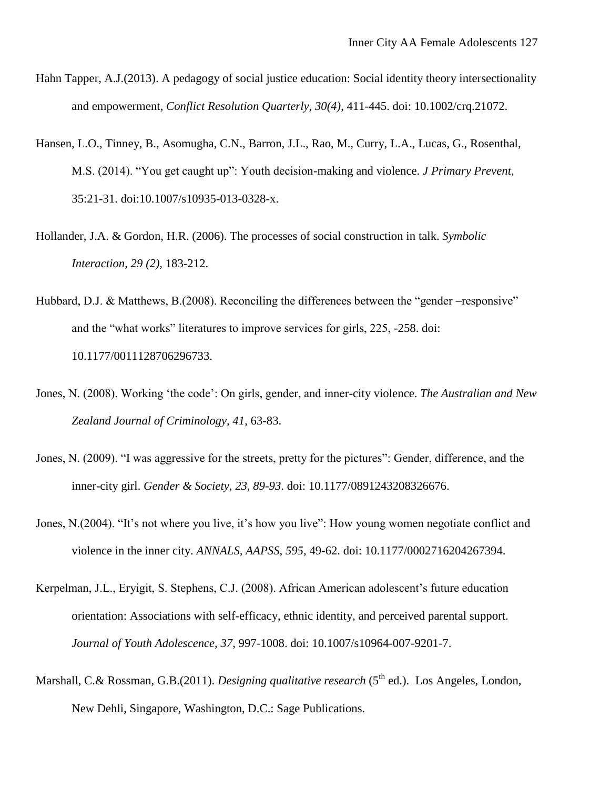- Hahn Tapper, A.J.(2013). A pedagogy of social justice education: Social identity theory intersectionality and empowerment, *Conflict Resolution Quarterly, 30(4)*, 411-445. doi: [10.1002/crq.21072.](http://psycnet.apa.org.proxy.wm.edu/doi/10.1002/crq.21072)
- Hansen, L.O., Tinney, B., Asomugha, C.N., Barron, J.L., Rao, M., Curry, L.A., Lucas, G., Rosenthal, M.S. (2014). "You get caught up": Youth decision-making and violence. *J Primary Prevent*, 35:21-31. doi:10.1007/s10935-013-0328-x.
- Hollander, J.A. & Gordon, H.R. (2006). The processes of social construction in talk. *Symbolic Interaction, 29 (2)*, 183-212.
- Hubbard, D.J. & Matthews, B.(2008). Reconciling the differences between the "gender –responsive" and the "what works" literatures to improve services for girls, 225, -258. doi: 10.1177/0011128706296733.
- Jones, N. (2008). Working 'the code': On girls, gender, and inner-city violence. *The Australian and New Zealand Journal of Criminology, 41*, 63-83.
- Jones, N. (2009). "I was aggressive for the streets, pretty for the pictures": Gender, difference, and the inner-city girl. *Gender & Society, 23, 89-93*. doi: 10.1177/0891243208326676.
- Jones, N.(2004). "It's not where you live, it's how you live": How young women negotiate conflict and violence in the inner city. *ANNALS, AAPSS, 595,* 49-62. doi: 10.1177/0002716204267394.
- Kerpelman, J.L., Eryigit, S. Stephens, C.J. (2008). African American adolescent's future education orientation: Associations with self-efficacy, ethnic identity, and perceived parental support. *Journal of Youth Adolescence, 37*, 997-1008. doi: 10.1007/s10964-007-9201-7.
- Marshall, C.& Rossman, G.B.(2011). *Designing qualitative research* (5<sup>th</sup> ed.). Los Angeles, London, New Dehli, Singapore, Washington, D.C.: Sage Publications.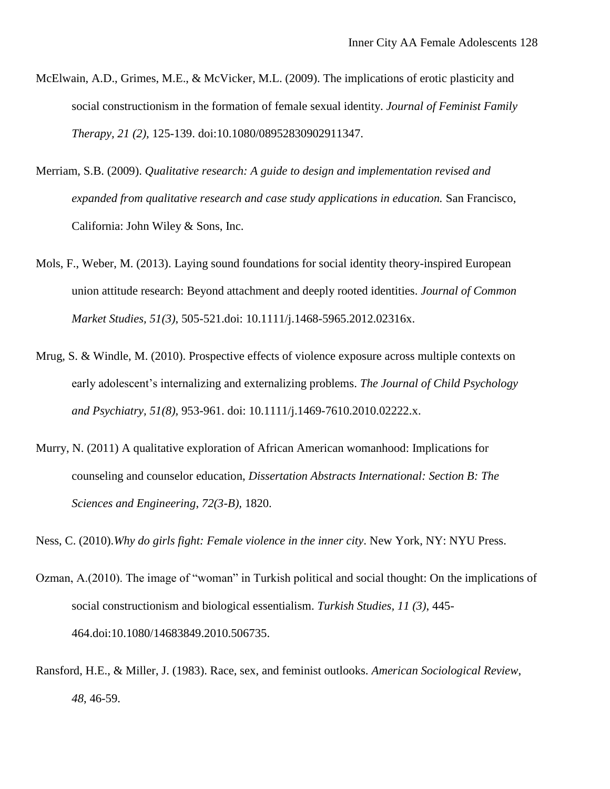- McElwain, A.D., Grimes, M.E., & McVicker, M.L. (2009). The implications of erotic plasticity and social constructionism in the formation of female sexual identity. *Journal of Feminist Family Therapy, 21 (2),* 125-139. doi:10.1080/08952830902911347.
- Merriam, S.B. (2009). *Qualitative research: A guide to design and implementation revised and expanded from qualitative research and case study applications in education.* San Francisco, California: John Wiley & Sons, Inc.
- Mols, F., Weber, M. (2013). Laying sound foundations for social identity theory-inspired European union attitude research: Beyond attachment and deeply rooted identities. *Journal of Common Market Studies, 51(3)*, 505-521.doi: 10.1111/j.1468-5965.2012.02316x.
- Mrug, S. & Windle, M. (2010). Prospective effects of violence exposure across multiple contexts on early adolescent's internalizing and externalizing problems. *The Journal of Child Psychology and Psychiatry, 51(8),* 953-961. doi: 10.1111/j.1469-7610.2010.02222.x.
- Murry, N. (2011) A qualitative exploration of African American womanhood: Implications for counseling and counselor education, *Dissertation Abstracts International: Section B: The Sciences and Engineering*, *72(3-B),* 1820.

Ness, C. (2010).*Why do girls fight: Female violence in the inner city*. New York, NY: NYU Press.

- Ozman, A.(2010). The image of "woman" in Turkish political and social thought: On the implications of social constructionism and biological essentialism. *Turkish Studies, 11 (3)*, 445- 464.doi:10.1080/14683849.2010.506735.
- Ransford, H.E., & Miller, J. (1983). Race, sex, and feminist outlooks. *American Sociological Review*, *48*, 46-59.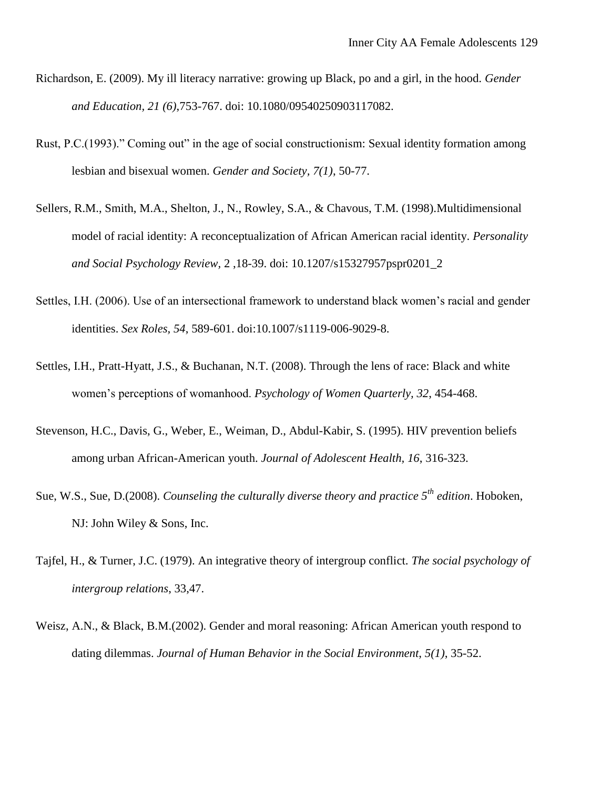- Richardson, E. (2009). My ill literacy narrative: growing up Black, po and a girl, in the hood. *Gender and Education, 21 (6)*,753-767. doi: 10.1080/09540250903117082.
- Rust, P.C.(1993)." Coming out" in the age of social constructionism: Sexual identity formation among lesbian and bisexual women. *Gender and Society, 7(1)*, 50-77.
- Sellers, R.M., Smith, M.A., Shelton, J., N., Rowley, S.A., & Chavous, T.M. (1998).Multidimensional model of racial identity: A reconceptualization of African American racial identity. *Personality and Social Psychology Review,* 2 ,18-39. doi: 10.1207/s15327957pspr0201\_2
- Settles, I.H. (2006). Use of an intersectional framework to understand black women's racial and gender identities. *Sex Roles, 54*, 589-601. doi:10.1007/s1119-006-9029-8.
- Settles, I.H., Pratt-Hyatt, J.S., & Buchanan, N.T. (2008). Through the lens of race: Black and white women's perceptions of womanhood. *Psychology of Women Quarterly, 32*, 454-468.
- Stevenson, H.C., Davis, G., Weber, E., Weiman, D., Abdul-Kabir, S. (1995). HIV prevention beliefs among urban African-American youth. *Journal of Adolescent Health, 16*, 316-323.
- Sue, W.S., Sue, D.(2008). *Counseling the culturally diverse theory and practice 5th edition*. Hoboken, NJ: John Wiley & Sons, Inc.
- Tajfel, H., & Turner, J.C. (1979). An integrative theory of intergroup conflict. *The social psychology of intergroup relations*, 33,47.
- Weisz, A.N., & Black, B.M.(2002). Gender and moral reasoning: African American youth respond to dating dilemmas. *Journal of Human Behavior in the Social Environment*, *5(1)*, 35-52.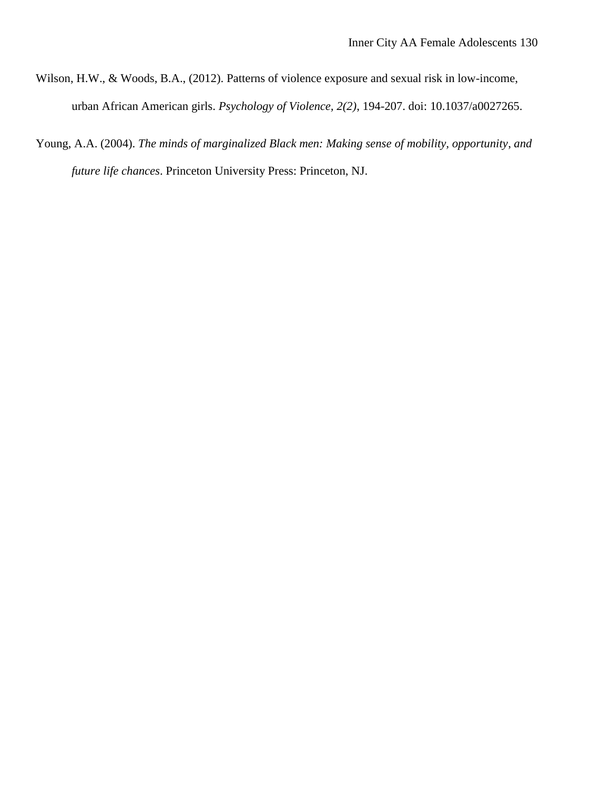- Wilson, H.W., & Woods, B.A., (2012). Patterns of violence exposure and sexual risk in low-income, urban African American girls. *Psychology of Violence, 2(2)*, 194-207. doi: 10.1037/a0027265.
- Young, A.A. (2004). *The minds of marginalized Black men: Making sense of mobility, opportunity*, *and future life chances*. Princeton University Press: Princeton, NJ.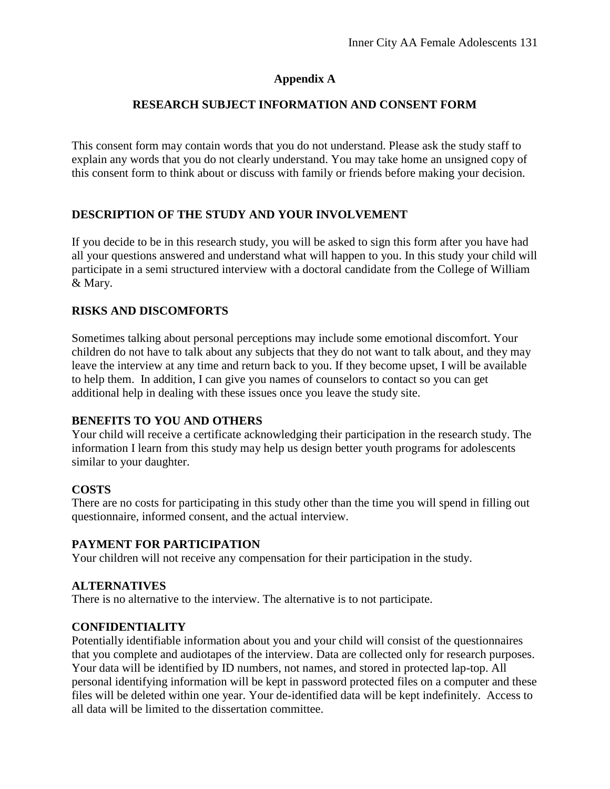# **Appendix A**

## **RESEARCH SUBJECT INFORMATION AND CONSENT FORM**

This consent form may contain words that you do not understand. Please ask the study staff to explain any words that you do not clearly understand. You may take home an unsigned copy of this consent form to think about or discuss with family or friends before making your decision.

# **DESCRIPTION OF THE STUDY AND YOUR INVOLVEMENT**

If you decide to be in this research study, you will be asked to sign this form after you have had all your questions answered and understand what will happen to you. In this study your child will participate in a semi structured interview with a doctoral candidate from the College of William & Mary.

## **RISKS AND DISCOMFORTS**

Sometimes talking about personal perceptions may include some emotional discomfort. Your children do not have to talk about any subjects that they do not want to talk about, and they may leave the interview at any time and return back to you. If they become upset, I will be available to help them. In addition, I can give you names of counselors to contact so you can get additional help in dealing with these issues once you leave the study site.

## **BENEFITS TO YOU AND OTHERS**

Your child will receive a certificate acknowledging their participation in the research study. The information I learn from this study may help us design better youth programs for adolescents similar to your daughter.

## **COSTS**

There are no costs for participating in this study other than the time you will spend in filling out questionnaire, informed consent, and the actual interview.

## **PAYMENT FOR PARTICIPATION**

Your children will not receive any compensation for their participation in the study.

## **ALTERNATIVES**

There is no alternative to the interview. The alternative is to not participate.

## **CONFIDENTIALITY**

Potentially identifiable information about you and your child will consist of the questionnaires that you complete and audiotapes of the interview. Data are collected only for research purposes. Your data will be identified by ID numbers, not names, and stored in protected lap-top. All personal identifying information will be kept in password protected files on a computer and these files will be deleted within one year. Your de-identified data will be kept indefinitely. Access to all data will be limited to the dissertation committee.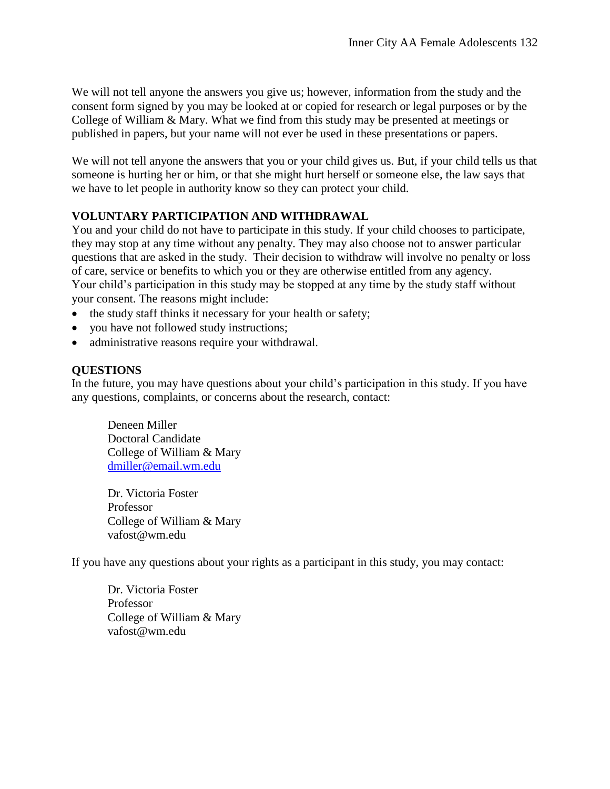We will not tell anyone the answers you give us; however, information from the study and the consent form signed by you may be looked at or copied for research or legal purposes or by the College of William & Mary. What we find from this study may be presented at meetings or published in papers, but your name will not ever be used in these presentations or papers.

We will not tell anyone the answers that you or your child gives us. But, if your child tells us that someone is hurting her or him, or that she might hurt herself or someone else, the law says that we have to let people in authority know so they can protect your child.

# **VOLUNTARY PARTICIPATION AND WITHDRAWAL**

You and your child do not have to participate in this study. If your child chooses to participate, they may stop at any time without any penalty. They may also choose not to answer particular questions that are asked in the study. Their decision to withdraw will involve no penalty or loss of care, service or benefits to which you or they are otherwise entitled from any agency. Your child's participation in this study may be stopped at any time by the study staff without your consent. The reasons might include:

- the study staff thinks it necessary for your health or safety;
- you have not followed study instructions;
- administrative reasons require your withdrawal.

## **QUESTIONS**

In the future, you may have questions about your child's participation in this study. If you have any questions, complaints, or concerns about the research, contact:

Deneen Miller Doctoral Candidate College of William & Mary [dmiller@email.wm.edu](mailto:dmiller@email.wm.edu)

Dr. Victoria Foster Professor College of William & Mary vafost@wm.edu

If you have any questions about your rights as a participant in this study, you may contact:

Dr. Victoria Foster Professor College of William & Mary vafost@wm.edu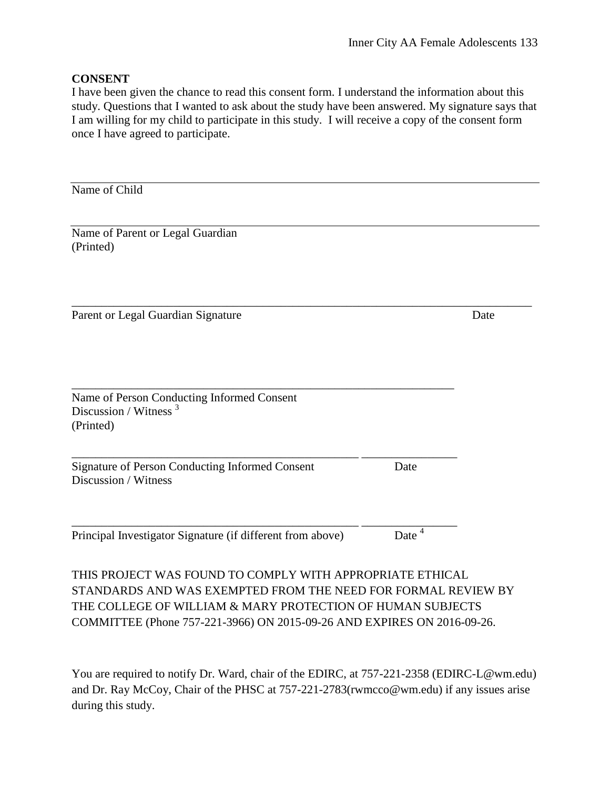### **CONSENT**

I have been given the chance to read this consent form. I understand the information about this study. Questions that I wanted to ask about the study have been answered. My signature says that I am willing for my child to participate in this study. I will receive a copy of the consent form once I have agreed to participate.

| Date                                                      |
|-----------------------------------------------------------|
|                                                           |
| Date                                                      |
| Date <sup>4</sup>                                         |
| THIS PROJECT WAS FOUND TO COMPLY WITH APPROPRIATE ETHICAL |

STANDARDS AND WAS EXEMPTED FROM THE NEED FOR FORMAL REVIEW BY THE COLLEGE OF WILLIAM & MARY PROTECTION OF HUMAN SUBJECTS COMMITTEE (Phone 757-221-3966) ON 2015-09-26 AND EXPIRES ON 2016-09-26.

You are required to notify Dr. Ward, chair of the EDIRC, at 757-221-2358 (EDIRC-L@wm.edu) and Dr. Ray McCoy, Chair of the PHSC at 757-221-2783(rwmcco@wm.edu) if any issues arise during this study.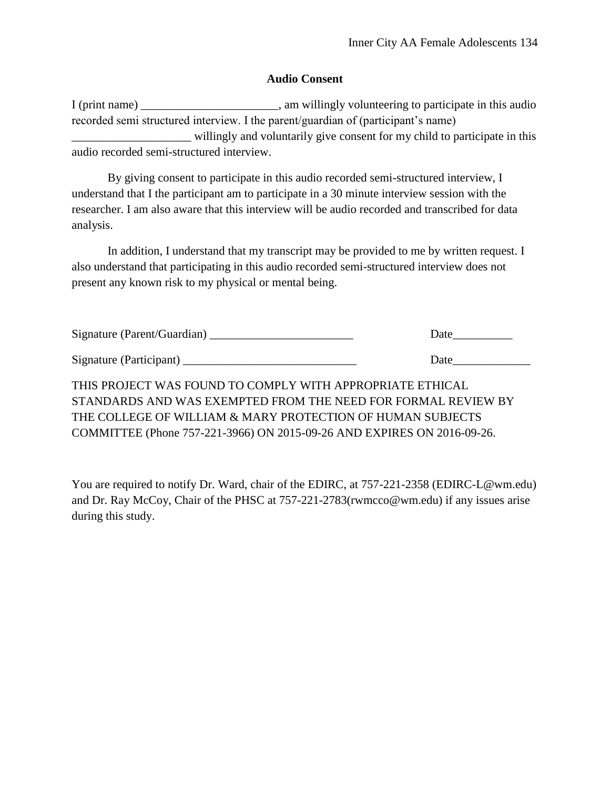### **Audio Consent**

| I (print name) $\overline{\phantom{a}}$                                           | , am willingly volunteering to participate in this audio                   |
|-----------------------------------------------------------------------------------|----------------------------------------------------------------------------|
| recorded semi structured interview. I the parent/guardian of (participant's name) |                                                                            |
|                                                                                   | willingly and voluntarily give consent for my child to participate in this |
| audio recorded semi-structured interview.                                         |                                                                            |

By giving consent to participate in this audio recorded semi-structured interview, I understand that I the participant am to participate in a 30 minute interview session with the researcher. I am also aware that this interview will be audio recorded and transcribed for data analysis.

In addition, I understand that my transcript may be provided to me by written request. I also understand that participating in this audio recorded semi-structured interview does not present any known risk to my physical or mental being.

| Signature (Parent/Guardian) | Date |
|-----------------------------|------|
| Signature (Participant)     | Date |

THIS PROJECT WAS FOUND TO COMPLY WITH APPROPRIATE ETHICAL STANDARDS AND WAS EXEMPTED FROM THE NEED FOR FORMAL REVIEW BY THE COLLEGE OF WILLIAM & MARY PROTECTION OF HUMAN SUBJECTS COMMITTEE (Phone 757-221-3966) ON 2015-09-26 AND EXPIRES ON 2016-09-26.

You are required to notify Dr. Ward, chair of the EDIRC, at 757-221-2358 (EDIRC-L@wm.edu) and Dr. Ray McCoy, Chair of the PHSC at 757-221-2783(rwmcco@wm.edu) if any issues arise during this study.